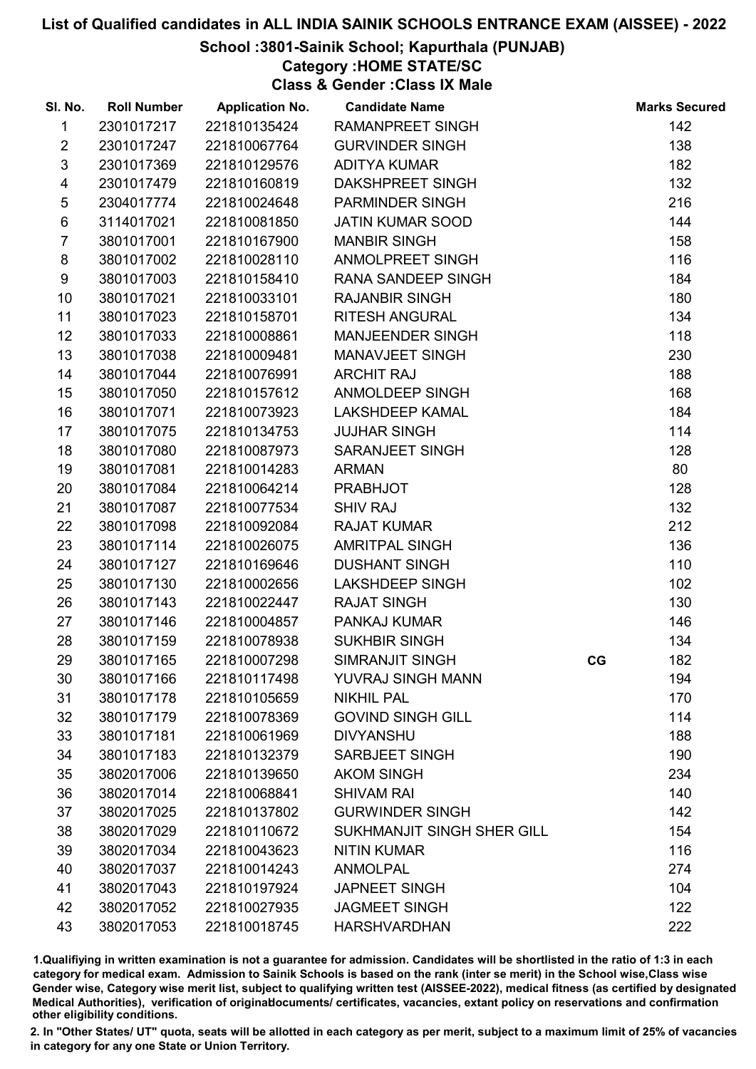## School :3801-Sainik School; Kapurthala (PUNJAB)

## Category :HOME STATE/SC

Class & Gender :Class IX Male

| SI. No.                 | <b>Roll Number</b> | <b>Application No.</b> | <b>Candidate Name</b>      |    | <b>Marks Secured</b> |
|-------------------------|--------------------|------------------------|----------------------------|----|----------------------|
| 1                       | 2301017217         | 221810135424           | <b>RAMANPREET SINGH</b>    |    | 142                  |
| $\overline{2}$          | 2301017247         | 221810067764           | <b>GURVINDER SINGH</b>     |    | 138                  |
| $\sqrt{3}$              | 2301017369         | 221810129576           | <b>ADITYA KUMAR</b>        |    | 182                  |
| $\overline{\mathbf{4}}$ | 2301017479         | 221810160819           | DAKSHPREET SINGH           |    | 132                  |
| $\sqrt{5}$              | 2304017774         | 221810024648           | <b>PARMINDER SINGH</b>     |    | 216                  |
| $\,6$                   | 3114017021         | 221810081850           | <b>JATIN KUMAR SOOD</b>    |    | 144                  |
| $\overline{7}$          | 3801017001         | 221810167900           | <b>MANBIR SINGH</b>        |    | 158                  |
| 8                       | 3801017002         | 221810028110           | ANMOLPREET SINGH           |    | 116                  |
| 9                       | 3801017003         | 221810158410           | RANA SANDEEP SINGH         |    | 184                  |
| 10                      | 3801017021         | 221810033101           | <b>RAJANBIR SINGH</b>      |    | 180                  |
| 11                      | 3801017023         | 221810158701           | <b>RITESH ANGURAL</b>      |    | 134                  |
| 12                      | 3801017033         | 221810008861           | <b>MANJEENDER SINGH</b>    |    | 118                  |
| 13                      | 3801017038         | 221810009481           | MANAVJEET SINGH            |    | 230                  |
| 14                      | 3801017044         | 221810076991           | <b>ARCHIT RAJ</b>          |    | 188                  |
| 15                      | 3801017050         | 221810157612           | ANMOLDEEP SINGH            |    | 168                  |
| 16                      | 3801017071         | 221810073923           | <b>LAKSHDEEP KAMAL</b>     |    | 184                  |
| 17                      | 3801017075         | 221810134753           | <b>JUJHAR SINGH</b>        |    | 114                  |
| 18                      | 3801017080         | 221810087973           | <b>SARANJEET SINGH</b>     |    | 128                  |
| 19                      | 3801017081         | 221810014283           | <b>ARMAN</b>               |    | 80                   |
| 20                      | 3801017084         | 221810064214           | <b>PRABHJOT</b>            |    | 128                  |
| 21                      | 3801017087         | 221810077534           | <b>SHIV RAJ</b>            |    | 132                  |
| 22                      | 3801017098         | 221810092084           | <b>RAJAT KUMAR</b>         |    | 212                  |
| 23                      | 3801017114         | 221810026075           | <b>AMRITPAL SINGH</b>      |    | 136                  |
| 24                      | 3801017127         | 221810169646           | <b>DUSHANT SINGH</b>       |    | 110                  |
| 25                      | 3801017130         | 221810002656           | <b>LAKSHDEEP SINGH</b>     |    | 102                  |
| 26                      | 3801017143         | 221810022447           | <b>RAJAT SINGH</b>         |    | 130                  |
| 27                      | 3801017146         | 221810004857           | PANKAJ KUMAR               |    | 146                  |
| 28                      | 3801017159         | 221810078938           | <b>SUKHBIR SINGH</b>       |    | 134                  |
| 29                      | 3801017165         | 221810007298           | SIMRANJIT SINGH            | CG | 182                  |
| 30                      | 3801017166         | 221810117498           | YUVRAJ SINGH MANN          |    | 194                  |
| 31                      | 3801017178         | 221810105659           | <b>NIKHIL PAL</b>          |    | 170                  |
| 32                      | 3801017179         | 221810078369           | <b>GOVIND SINGH GILL</b>   |    | 114                  |
| 33                      | 3801017181         | 221810061969           | <b>DIVYANSHU</b>           |    | 188                  |
| 34                      | 3801017183         | 221810132379           | SARBJEET SINGH             |    | 190                  |
| 35                      | 3802017006         | 221810139650           | <b>AKOM SINGH</b>          |    | 234                  |
| 36                      | 3802017014         | 221810068841           | <b>SHIVAM RAI</b>          |    | 140                  |
| 37                      | 3802017025         | 221810137802           | <b>GURWINDER SINGH</b>     |    | 142                  |
| 38                      | 3802017029         | 221810110672           | SUKHMANJIT SINGH SHER GILL |    | 154                  |
| 39                      | 3802017034         | 221810043623           | <b>NITIN KUMAR</b>         |    | 116                  |
| 40                      | 3802017037         | 221810014243           | <b>ANMOLPAL</b>            |    | 274                  |
| 41                      | 3802017043         | 221810197924           | <b>JAPNEET SINGH</b>       |    | 104                  |
| 42                      | 3802017052         | 221810027935           | <b>JAGMEET SINGH</b>       |    | 122                  |
| 43                      | 3802017053         | 221810018745           | <b>HARSHVARDHAN</b>        |    | 222                  |

1.Qualifiying in written examination is not a guarantee for admission. Candidates will be shortlisted in the ratio of 1:3 in each category for medical exam. Admission to Sainik Schools is based on the rank (inter se merit) in the School wise,Class wise Gender wise, Category wise merit list, subject to qualifying written test (AISSEE-2022), medical fitness (as certified by designated Medical Authorities), verification of originablocuments/ certificates, vacancies, extant policy on reservations and confirmation other eligibility conditions.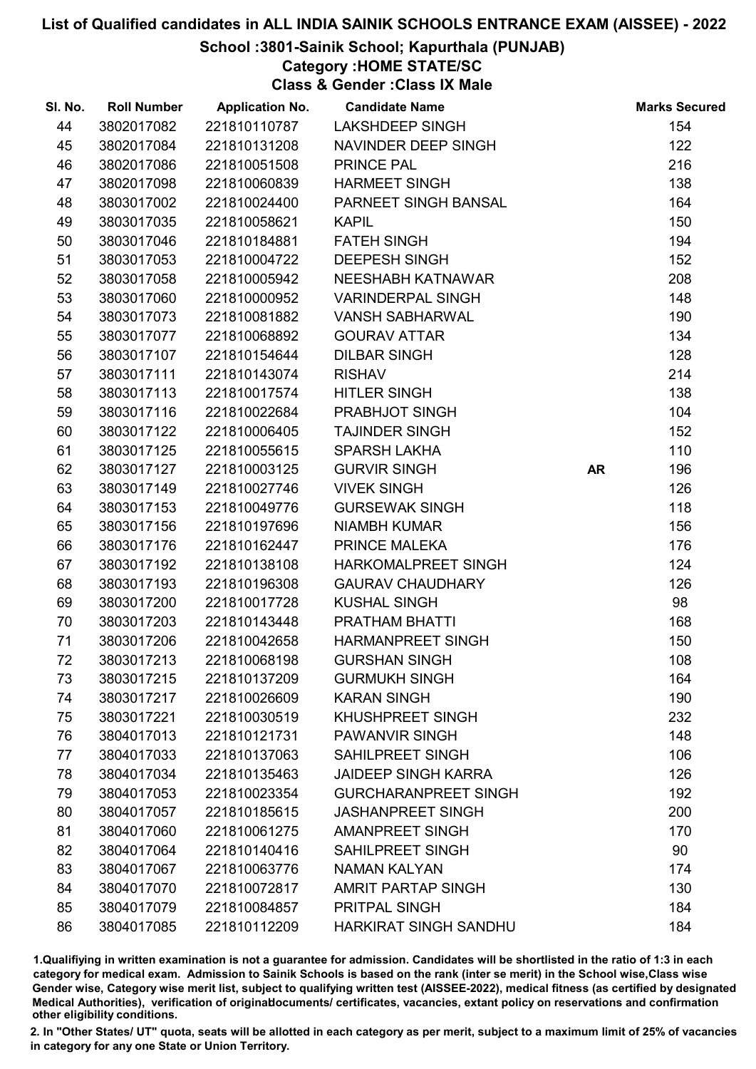## School :3801-Sainik School; Kapurthala (PUNJAB)

## Category :HOME STATE/SC

Class & Gender :Class IX Male

| SI. No. | <b>Roll Number</b> | <b>Application No.</b> | <b>Candidate Name</b>       |           | <b>Marks Secured</b> |
|---------|--------------------|------------------------|-----------------------------|-----------|----------------------|
| 44      | 3802017082         | 221810110787           | <b>LAKSHDEEP SINGH</b>      |           | 154                  |
| 45      | 3802017084         | 221810131208           | NAVINDER DEEP SINGH         |           | 122                  |
| 46      | 3802017086         | 221810051508           | PRINCE PAL                  |           | 216                  |
| 47      | 3802017098         | 221810060839           | <b>HARMEET SINGH</b>        |           | 138                  |
| 48      | 3803017002         | 221810024400           | PARNEET SINGH BANSAL        |           | 164                  |
| 49      | 3803017035         | 221810058621           | <b>KAPIL</b>                |           | 150                  |
| 50      | 3803017046         | 221810184881           | <b>FATEH SINGH</b>          |           | 194                  |
| 51      | 3803017053         | 221810004722           | <b>DEEPESH SINGH</b>        |           | 152                  |
| 52      | 3803017058         | 221810005942           | NEESHABH KATNAWAR           |           | 208                  |
| 53      | 3803017060         | 221810000952           | <b>VARINDERPAL SINGH</b>    |           | 148                  |
| 54      | 3803017073         | 221810081882           | <b>VANSH SABHARWAL</b>      |           | 190                  |
| 55      | 3803017077         | 221810068892           | <b>GOURAV ATTAR</b>         |           | 134                  |
| 56      | 3803017107         | 221810154644           | <b>DILBAR SINGH</b>         |           | 128                  |
| 57      | 3803017111         | 221810143074           | <b>RISHAV</b>               |           | 214                  |
| 58      | 3803017113         | 221810017574           | <b>HITLER SINGH</b>         |           | 138                  |
| 59      | 3803017116         | 221810022684           | PRABHJOT SINGH              |           | 104                  |
| 60      | 3803017122         | 221810006405           | <b>TAJINDER SINGH</b>       |           | 152                  |
| 61      | 3803017125         | 221810055615           | <b>SPARSH LAKHA</b>         |           | 110                  |
| 62      | 3803017127         | 221810003125           | <b>GURVIR SINGH</b>         | <b>AR</b> | 196                  |
| 63      | 3803017149         | 221810027746           | <b>VIVEK SINGH</b>          |           | 126                  |
| 64      | 3803017153         | 221810049776           | <b>GURSEWAK SINGH</b>       |           | 118                  |
| 65      | 3803017156         | 221810197696           | <b>NIAMBH KUMAR</b>         |           | 156                  |
| 66      | 3803017176         | 221810162447           | PRINCE MALEKA               |           | 176                  |
| 67      | 3803017192         | 221810138108           | HARKOMALPREET SINGH         |           | 124                  |
| 68      | 3803017193         | 221810196308           | <b>GAURAV CHAUDHARY</b>     |           | 126                  |
| 69      | 3803017200         | 221810017728           | <b>KUSHAL SINGH</b>         |           | 98                   |
| 70      | 3803017203         | 221810143448           | PRATHAM BHATTI              |           | 168                  |
| 71      | 3803017206         | 221810042658           | <b>HARMANPREET SINGH</b>    |           | 150                  |
| 72      | 3803017213         | 221810068198           | <b>GURSHAN SINGH</b>        |           | 108                  |
| 73      | 3803017215         | 221810137209           | <b>GURMUKH SINGH</b>        |           | 164                  |
| 74      | 3803017217         | 221810026609           | <b>KARAN SINGH</b>          |           | 190                  |
| 75      | 3803017221         | 221810030519           | <b>KHUSHPREET SINGH</b>     |           | 232                  |
| 76      | 3804017013         | 221810121731           | <b>PAWANVIR SINGH</b>       |           | 148                  |
| 77      | 3804017033         | 221810137063           | <b>SAHILPREET SINGH</b>     |           | 106                  |
| 78      | 3804017034         | 221810135463           | <b>JAIDEEP SINGH KARRA</b>  |           | 126                  |
| 79      | 3804017053         | 221810023354           | <b>GURCHARANPREET SINGH</b> |           | 192                  |
| 80      | 3804017057         | 221810185615           | <b>JASHANPREET SINGH</b>    |           | 200                  |
| 81      | 3804017060         | 221810061275           | <b>AMANPREET SINGH</b>      |           | 170                  |
| 82      | 3804017064         | 221810140416           | <b>SAHILPREET SINGH</b>     |           | 90                   |
| 83      | 3804017067         | 221810063776           | <b>NAMAN KALYAN</b>         |           | 174                  |
| 84      | 3804017070         | 221810072817           | AMRIT PARTAP SINGH          |           | 130                  |
| 85      | 3804017079         | 221810084857           | PRITPAL SINGH               |           | 184                  |
| 86      | 3804017085         | 221810112209           | HARKIRAT SINGH SANDHU       |           | 184                  |

1.Qualifiying in written examination is not a guarantee for admission. Candidates will be shortlisted in the ratio of 1:3 in each category for medical exam. Admission to Sainik Schools is based on the rank (inter se merit) in the School wise,Class wise Gender wise, Category wise merit list, subject to qualifying written test (AISSEE-2022), medical fitness (as certified by designated Medical Authorities), verification of originablocuments/ certificates, vacancies, extant policy on reservations and confirmation other eligibility conditions.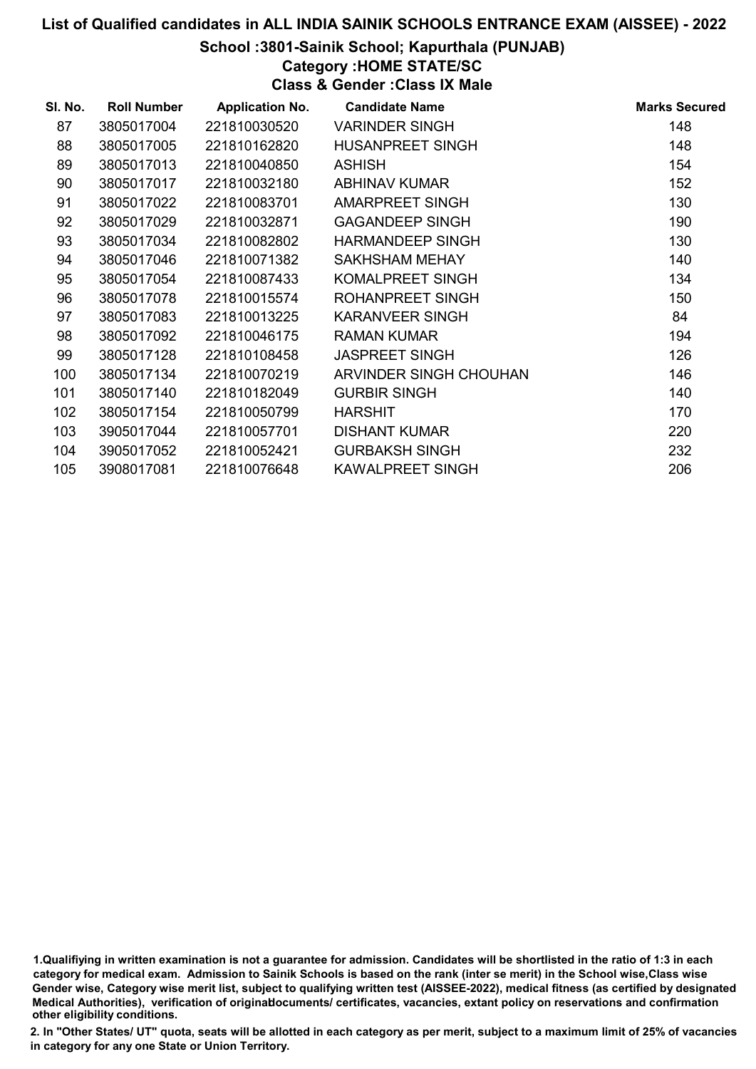## School :3801-Sainik School; Kapurthala (PUNJAB)

## Category :HOME STATE/SC

Class & Gender :Class IX Male

| SI. No. | <b>Roll Number</b> | <b>Application No.</b> | <b>Candidate Name</b>   | <b>Marks Secured</b> |
|---------|--------------------|------------------------|-------------------------|----------------------|
| 87      | 3805017004         | 221810030520           | <b>VARINDER SINGH</b>   | 148                  |
| 88      | 3805017005         | 221810162820           | <b>HUSANPREET SINGH</b> | 148                  |
| 89      | 3805017013         | 221810040850           | <b>ASHISH</b>           | 154                  |
| 90      | 3805017017         | 221810032180           | <b>ABHINAV KUMAR</b>    | 152                  |
| 91      | 3805017022         | 221810083701           | <b>AMARPREET SINGH</b>  | 130                  |
| 92      | 3805017029         | 221810032871           | <b>GAGANDEEP SINGH</b>  | 190                  |
| 93      | 3805017034         | 221810082802           | <b>HARMANDEEP SINGH</b> | 130                  |
| 94      | 3805017046         | 221810071382           | SAKHSHAM MEHAY          | 140                  |
| 95      | 3805017054         | 221810087433           | KOMALPREET SINGH        | 134                  |
| 96      | 3805017078         | 221810015574           | <b>ROHANPREET SINGH</b> | 150                  |
| 97      | 3805017083         | 221810013225           | <b>KARANVEER SINGH</b>  | 84                   |
| 98      | 3805017092         | 221810046175           | <b>RAMAN KUMAR</b>      | 194                  |
| 99      | 3805017128         | 221810108458           | <b>JASPREET SINGH</b>   | 126                  |
| 100     | 3805017134         | 221810070219           | ARVINDER SINGH CHOUHAN  | 146                  |
| 101     | 3805017140         | 221810182049           | <b>GURBIR SINGH</b>     | 140                  |
| 102     | 3805017154         | 221810050799           | <b>HARSHIT</b>          | 170                  |
| 103     | 3905017044         | 221810057701           | <b>DISHANT KUMAR</b>    | 220                  |
| 104     | 3905017052         | 221810052421           | <b>GURBAKSH SINGH</b>   | 232                  |
| 105     | 3908017081         | 221810076648           | <b>KAWALPREET SINGH</b> | 206                  |

<sup>1.</sup>Qualifiying in written examination is not a guarantee for admission. Candidates will be shortlisted in the ratio of 1:3 in each category for medical exam. Admission to Sainik Schools is based on the rank (inter se merit) in the School wise,Class wise Gender wise, Category wise merit list, subject to qualifying written test (AISSEE-2022), medical fitness (as certified by designated Medical Authorities), verification of originablocuments/ certificates, vacancies, extant policy on reservations and confirmation other eligibility conditions.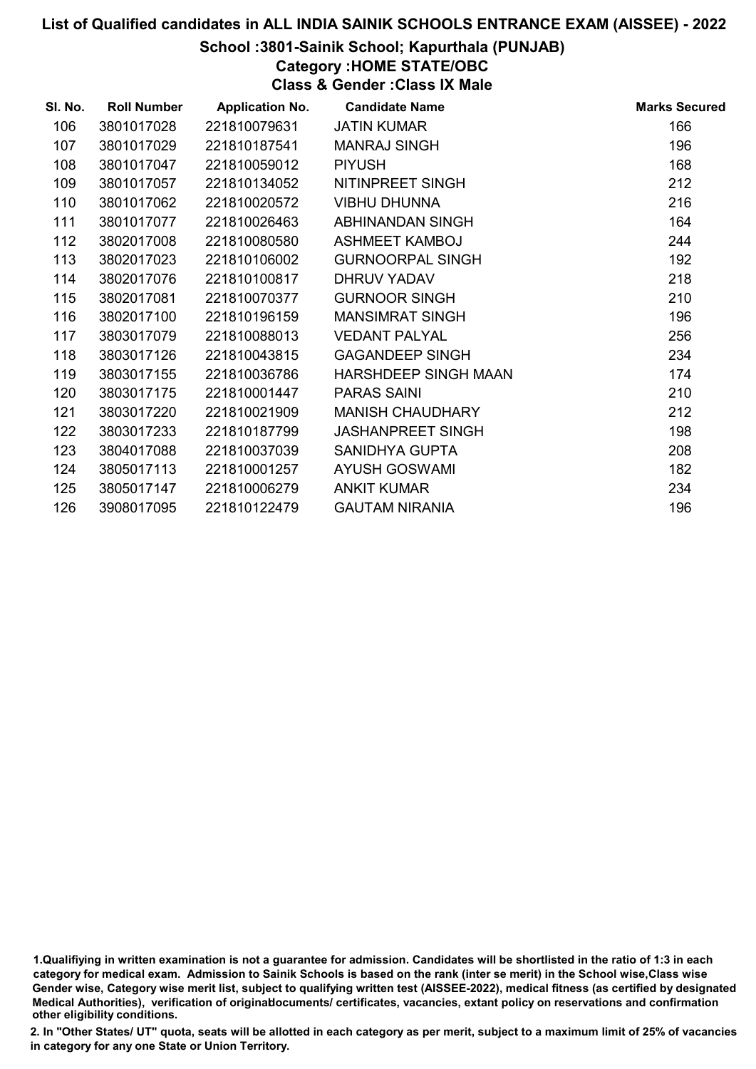#### School :3801-Sainik School; Kapurthala (PUNJAB)

Category :HOME STATE/OBC

Class & Gender :Class IX Male

| SI. No. | <b>Roll Number</b> | <b>Application No.</b> | <b>Candidate Name</b>    | <b>Marks Secured</b> |
|---------|--------------------|------------------------|--------------------------|----------------------|
| 106     | 3801017028         | 221810079631           | <b>JATIN KUMAR</b>       | 166                  |
| 107     | 3801017029         | 221810187541           | <b>MANRAJ SINGH</b>      | 196                  |
| 108     | 3801017047         | 221810059012           | <b>PIYUSH</b>            | 168                  |
| 109     | 3801017057         | 221810134052           | NITINPREET SINGH         | 212                  |
| 110     | 3801017062         | 221810020572           | <b>VIBHU DHUNNA</b>      | 216                  |
| 111     | 3801017077         | 221810026463           | ABHINANDAN SINGH         | 164                  |
| 112     | 3802017008         | 221810080580           | <b>ASHMEET KAMBOJ</b>    | 244                  |
| 113     | 3802017023         | 221810106002           | <b>GURNOORPAL SINGH</b>  | 192                  |
| 114     | 3802017076         | 221810100817           | <b>DHRUV YADAV</b>       | 218                  |
| 115     | 3802017081         | 221810070377           | <b>GURNOOR SINGH</b>     | 210                  |
| 116     | 3802017100         | 221810196159           | <b>MANSIMRAT SINGH</b>   | 196                  |
| 117     | 3803017079         | 221810088013           | <b>VEDANT PALYAL</b>     | 256                  |
| 118     | 3803017126         | 221810043815           | <b>GAGANDEEP SINGH</b>   | 234                  |
| 119     | 3803017155         | 221810036786           | HARSHDEEP SINGH MAAN     | 174                  |
| 120     | 3803017175         | 221810001447           | <b>PARAS SAINI</b>       | 210                  |
| 121     | 3803017220         | 221810021909           | <b>MANISH CHAUDHARY</b>  | 212                  |
| 122     | 3803017233         | 221810187799           | <b>JASHANPREET SINGH</b> | 198                  |
| 123     | 3804017088         | 221810037039           | SANIDHYA GUPTA           | 208                  |
| 124     | 3805017113         | 221810001257           | <b>AYUSH GOSWAMI</b>     | 182                  |
| 125     | 3805017147         | 221810006279           | <b>ANKIT KUMAR</b>       | 234                  |
| 126     | 3908017095         | 221810122479           | <b>GAUTAM NIRANIA</b>    | 196                  |

1.Qualifiying in written examination is not a guarantee for admission. Candidates will be shortlisted in the ratio of 1:3 in each category for medical exam. Admission to Sainik Schools is based on the rank (inter se merit) in the School wise,Class wise Gender wise, Category wise merit list, subject to qualifying written test (AISSEE-2022), medical fitness (as certified by designated Medical Authorities), verification of originablocuments/ certificates, vacancies, extant policy on reservations and confirmation other eligibility conditions.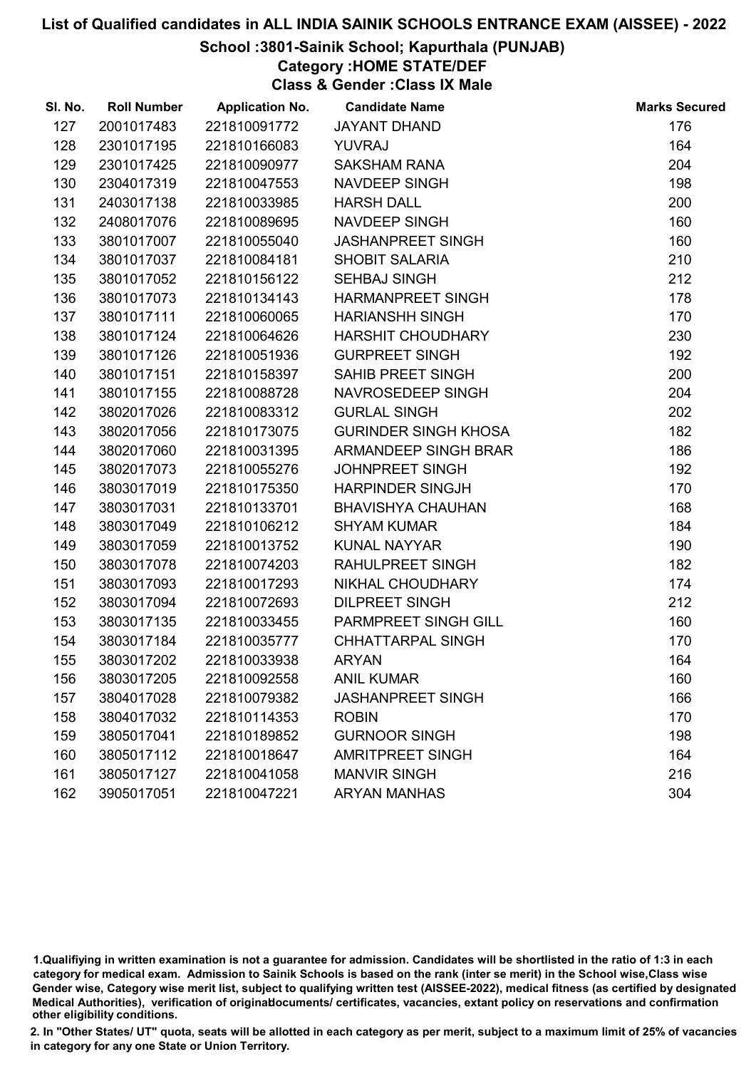## School :3801-Sainik School; Kapurthala (PUNJAB)

Category :HOME STATE/DEF

Class & Gender :Class IX Male

| SI. No. | <b>Roll Number</b> | <b>Application No.</b> | <b>Candidate Name</b>       | <b>Marks Secured</b> |
|---------|--------------------|------------------------|-----------------------------|----------------------|
| 127     | 2001017483         | 221810091772           | <b>JAYANT DHAND</b>         | 176                  |
| 128     | 2301017195         | 221810166083           | <b>YUVRAJ</b>               | 164                  |
| 129     | 2301017425         | 221810090977           | <b>SAKSHAM RANA</b>         | 204                  |
| 130     | 2304017319         | 221810047553           | NAVDEEP SINGH               | 198                  |
| 131     | 2403017138         | 221810033985           | <b>HARSH DALL</b>           | 200                  |
| 132     | 2408017076         | 221810089695           | <b>NAVDEEP SINGH</b>        | 160                  |
| 133     | 3801017007         | 221810055040           | <b>JASHANPREET SINGH</b>    | 160                  |
| 134     | 3801017037         | 221810084181           | <b>SHOBIT SALARIA</b>       | 210                  |
| 135     | 3801017052         | 221810156122           | <b>SEHBAJ SINGH</b>         | 212                  |
| 136     | 3801017073         | 221810134143           | <b>HARMANPREET SINGH</b>    | 178                  |
| 137     | 3801017111         | 221810060065           | <b>HARIANSHH SINGH</b>      | 170                  |
| 138     | 3801017124         | 221810064626           | <b>HARSHIT CHOUDHARY</b>    | 230                  |
| 139     | 3801017126         | 221810051936           | <b>GURPREET SINGH</b>       | 192                  |
| 140     | 3801017151         | 221810158397           | <b>SAHIB PREET SINGH</b>    | 200                  |
| 141     | 3801017155         | 221810088728           | NAVROSEDEEP SINGH           | 204                  |
| 142     | 3802017026         | 221810083312           | <b>GURLAL SINGH</b>         | 202                  |
| 143     | 3802017056         | 221810173075           | <b>GURINDER SINGH KHOSA</b> | 182                  |
| 144     | 3802017060         | 221810031395           | <b>ARMANDEEP SINGH BRAR</b> | 186                  |
| 145     | 3802017073         | 221810055276           | <b>JOHNPREET SINGH</b>      | 192                  |
| 146     | 3803017019         | 221810175350           | <b>HARPINDER SINGJH</b>     | 170                  |
| 147     | 3803017031         | 221810133701           | <b>BHAVISHYA CHAUHAN</b>    | 168                  |
| 148     | 3803017049         | 221810106212           | <b>SHYAM KUMAR</b>          | 184                  |
| 149     | 3803017059         | 221810013752           | <b>KUNAL NAYYAR</b>         | 190                  |
| 150     | 3803017078         | 221810074203           | RAHULPREET SINGH            | 182                  |
| 151     | 3803017093         | 221810017293           | NIKHAL CHOUDHARY            | 174                  |
| 152     | 3803017094         | 221810072693           | <b>DILPREET SINGH</b>       | 212                  |
| 153     | 3803017135         | 221810033455           | PARMPREET SINGH GILL        | 160                  |
| 154     | 3803017184         | 221810035777           | CHHATTARPAL SINGH           | 170                  |
| 155     | 3803017202         | 221810033938           | <b>ARYAN</b>                | 164                  |
| 156     | 3803017205         | 221810092558           | <b>ANIL KUMAR</b>           | 160                  |
| 157     | 3804017028         | 221810079382           | <b>JASHANPREET SINGH</b>    | 166                  |
| 158     | 3804017032         | 221810114353           | <b>ROBIN</b>                | 170                  |
| 159     | 3805017041         | 221810189852           | <b>GURNOOR SINGH</b>        | 198                  |
| 160     | 3805017112         | 221810018647           | <b>AMRITPREET SINGH</b>     | 164                  |
| 161     | 3805017127         | 221810041058           | <b>MANVIR SINGH</b>         | 216                  |
| 162     | 3905017051         | 221810047221           | <b>ARYAN MANHAS</b>         | 304                  |

1.Qualifiying in written examination is not a guarantee for admission. Candidates will be shortlisted in the ratio of 1:3 in each category for medical exam. Admission to Sainik Schools is based on the rank (inter se merit) in the School wise,Class wise Gender wise, Category wise merit list, subject to qualifying written test (AISSEE-2022), medical fitness (as certified by designated Medical Authorities), verification of originablocuments/ certificates, vacancies, extant policy on reservations and confirmation other eligibility conditions.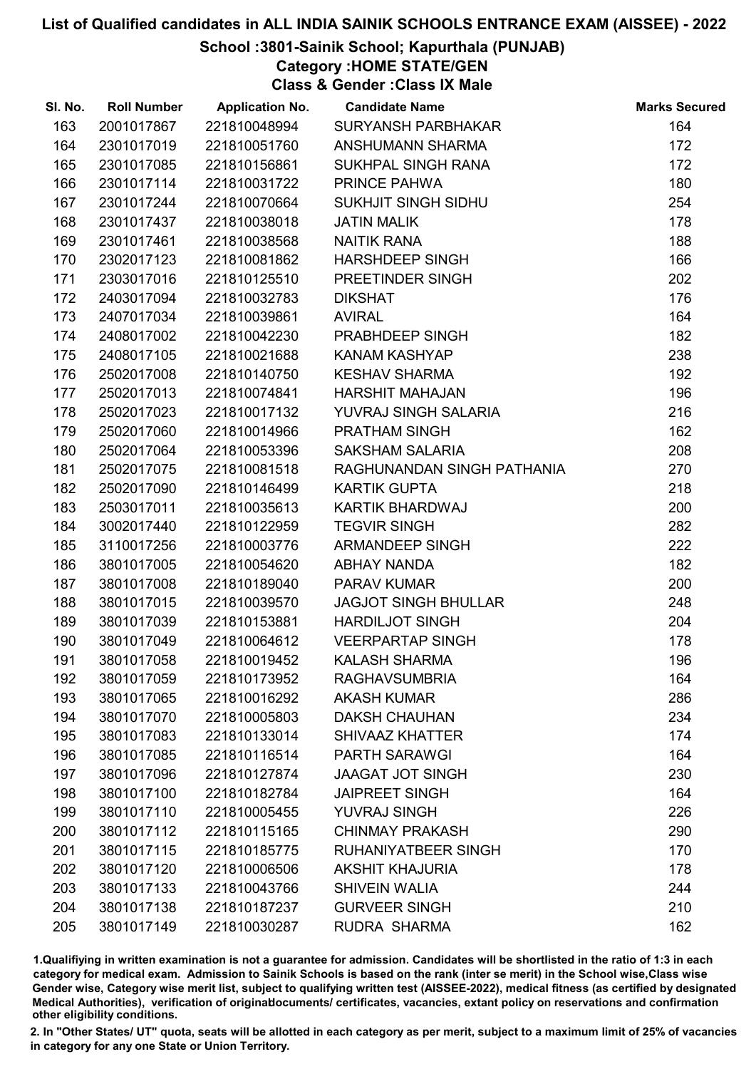## School :3801-Sainik School; Kapurthala (PUNJAB)

Category :HOME STATE/GEN

Class & Gender :Class IX Male

| SI. No. | <b>Roll Number</b> | <b>Application No.</b> | <b>Candidate Name</b>       | <b>Marks Secured</b> |
|---------|--------------------|------------------------|-----------------------------|----------------------|
| 163     | 2001017867         | 221810048994           | <b>SURYANSH PARBHAKAR</b>   | 164                  |
| 164     | 2301017019         | 221810051760           | <b>ANSHUMANN SHARMA</b>     | 172                  |
| 165     | 2301017085         | 221810156861           | SUKHPAL SINGH RANA          | 172                  |
| 166     | 2301017114         | 221810031722           | PRINCE PAHWA                | 180                  |
| 167     | 2301017244         | 221810070664           | SUKHJIT SINGH SIDHU         | 254                  |
| 168     | 2301017437         | 221810038018           | <b>JATIN MALIK</b>          | 178                  |
| 169     | 2301017461         | 221810038568           | <b>NAITIK RANA</b>          | 188                  |
| 170     | 2302017123         | 221810081862           | <b>HARSHDEEP SINGH</b>      | 166                  |
| 171     | 2303017016         | 221810125510           | PREETINDER SINGH            | 202                  |
| 172     | 2403017094         | 221810032783           | <b>DIKSHAT</b>              | 176                  |
| 173     | 2407017034         | 221810039861           | <b>AVIRAL</b>               | 164                  |
| 174     | 2408017002         | 221810042230           | PRABHDEEP SINGH             | 182                  |
| 175     | 2408017105         | 221810021688           | <b>KANAM KASHYAP</b>        | 238                  |
| 176     | 2502017008         | 221810140750           | <b>KESHAV SHARMA</b>        | 192                  |
| 177     | 2502017013         | 221810074841           | <b>HARSHIT MAHAJAN</b>      | 196                  |
| 178     | 2502017023         | 221810017132           | YUVRAJ SINGH SALARIA        | 216                  |
| 179     | 2502017060         | 221810014966           | PRATHAM SINGH               | 162                  |
| 180     | 2502017064         | 221810053396           | <b>SAKSHAM SALARIA</b>      | 208                  |
| 181     | 2502017075         | 221810081518           | RAGHUNANDAN SINGH PATHANIA  | 270                  |
| 182     | 2502017090         | 221810146499           | <b>KARTIK GUPTA</b>         | 218                  |
| 183     | 2503017011         | 221810035613           | KARTIK BHARDWAJ             | 200                  |
| 184     | 3002017440         | 221810122959           | <b>TEGVIR SINGH</b>         | 282                  |
| 185     | 3110017256         | 221810003776           | <b>ARMANDEEP SINGH</b>      | 222                  |
| 186     | 3801017005         | 221810054620           | <b>ABHAY NANDA</b>          | 182                  |
| 187     | 3801017008         | 221810189040           | PARAV KUMAR                 | 200                  |
| 188     | 3801017015         | 221810039570           | <b>JAGJOT SINGH BHULLAR</b> | 248                  |
| 189     | 3801017039         | 221810153881           | <b>HARDILJOT SINGH</b>      | 204                  |
| 190     | 3801017049         | 221810064612           | <b>VEERPARTAP SINGH</b>     | 178                  |
| 191     | 3801017058         | 221810019452           | <b>KALASH SHARMA</b>        | 196                  |
| 192     | 3801017059         | 221810173952           | <b>RAGHAVSUMBRIA</b>        | 164                  |
| 193     | 3801017065         | 221810016292           | <b>AKASH KUMAR</b>          | 286                  |
| 194     | 3801017070         | 221810005803           | <b>DAKSH CHAUHAN</b>        | 234                  |
| 195     | 3801017083         | 221810133014           | <b>SHIVAAZ KHATTER</b>      | 174                  |
| 196     | 3801017085         | 221810116514           | <b>PARTH SARAWGI</b>        | 164                  |
| 197     | 3801017096         | 221810127874           | <b>JAAGAT JOT SINGH</b>     | 230                  |
| 198     | 3801017100         | 221810182784           | <b>JAIPREET SINGH</b>       | 164                  |
| 199     | 3801017110         | 221810005455           | <b>YUVRAJ SINGH</b>         | 226                  |
| 200     | 3801017112         | 221810115165           | <b>CHINMAY PRAKASH</b>      | 290                  |
| 201     | 3801017115         | 221810185775           | RUHANIYATBEER SINGH         | 170                  |
| 202     | 3801017120         | 221810006506           | <b>AKSHIT KHAJURIA</b>      | 178                  |
| 203     | 3801017133         | 221810043766           | <b>SHIVEIN WALIA</b>        | 244                  |
| 204     | 3801017138         | 221810187237           | <b>GURVEER SINGH</b>        | 210                  |
| 205     | 3801017149         | 221810030287           | RUDRA SHARMA                | 162                  |

1.Qualifiying in written examination is not a guarantee for admission. Candidates will be shortlisted in the ratio of 1:3 in each category for medical exam. Admission to Sainik Schools is based on the rank (inter se merit) in the School wise,Class wise Gender wise, Category wise merit list, subject to qualifying written test (AISSEE-2022), medical fitness (as certified by designated Medical Authorities), verification of originablocuments/ certificates, vacancies, extant policy on reservations and confirmation other eligibility conditions.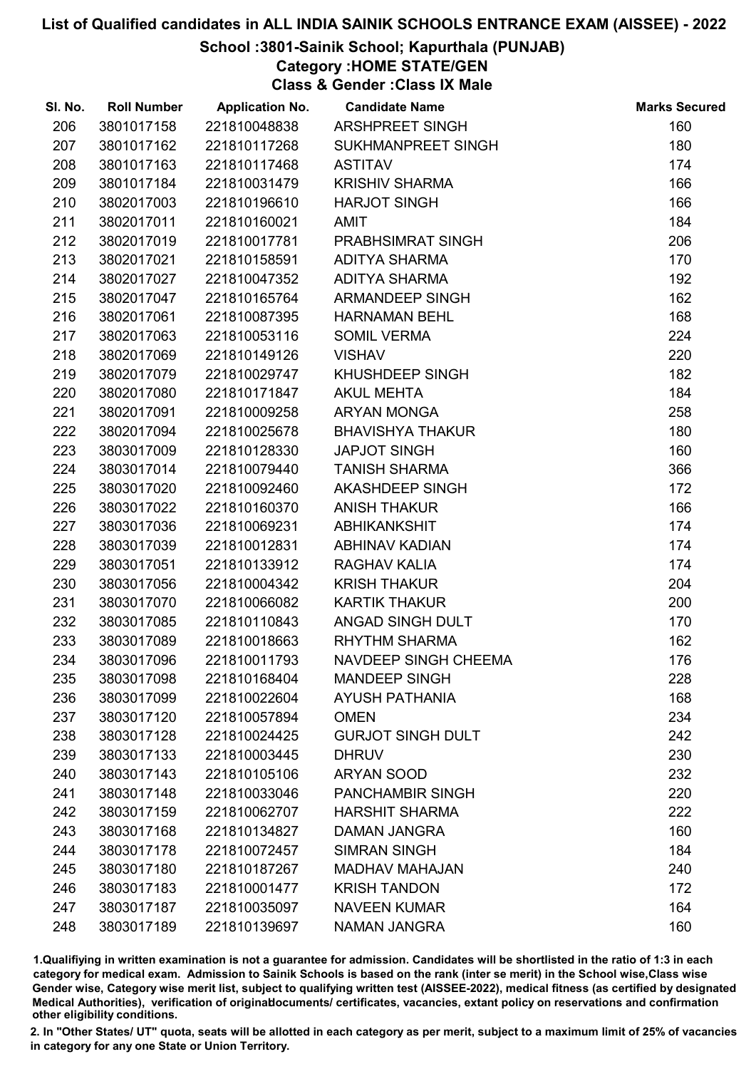## School :3801-Sainik School; Kapurthala (PUNJAB)

Category :HOME STATE/GEN

Class & Gender :Class IX Male

| SI. No. | <b>Roll Number</b> | <b>Application No.</b> | <b>Candidate Name</b>     | <b>Marks Secured</b> |
|---------|--------------------|------------------------|---------------------------|----------------------|
| 206     | 3801017158         | 221810048838           | ARSHPREET SINGH           | 160                  |
| 207     | 3801017162         | 221810117268           | <b>SUKHMANPREET SINGH</b> | 180                  |
| 208     | 3801017163         | 221810117468           | <b>ASTITAV</b>            | 174                  |
| 209     | 3801017184         | 221810031479           | <b>KRISHIV SHARMA</b>     | 166                  |
| 210     | 3802017003         | 221810196610           | <b>HARJOT SINGH</b>       | 166                  |
| 211     | 3802017011         | 221810160021           | <b>AMIT</b>               | 184                  |
| 212     | 3802017019         | 221810017781           | PRABHSIMRAT SINGH         | 206                  |
| 213     | 3802017021         | 221810158591           | <b>ADITYA SHARMA</b>      | 170                  |
| 214     | 3802017027         | 221810047352           | <b>ADITYA SHARMA</b>      | 192                  |
| 215     | 3802017047         | 221810165764           | <b>ARMANDEEP SINGH</b>    | 162                  |
| 216     | 3802017061         | 221810087395           | <b>HARNAMAN BEHL</b>      | 168                  |
| 217     | 3802017063         | 221810053116           | <b>SOMIL VERMA</b>        | 224                  |
| 218     | 3802017069         | 221810149126           | <b>VISHAV</b>             | 220                  |
| 219     | 3802017079         | 221810029747           | KHUSHDEEP SINGH           | 182                  |
| 220     | 3802017080         | 221810171847           | <b>AKUL MEHTA</b>         | 184                  |
| 221     | 3802017091         | 221810009258           | <b>ARYAN MONGA</b>        | 258                  |
| 222     | 3802017094         | 221810025678           | <b>BHAVISHYA THAKUR</b>   | 180                  |
| 223     | 3803017009         | 221810128330           | <b>JAPJOT SINGH</b>       | 160                  |
| 224     | 3803017014         | 221810079440           | <b>TANISH SHARMA</b>      | 366                  |
| 225     | 3803017020         | 221810092460           | AKASHDEEP SINGH           | 172                  |
| 226     | 3803017022         | 221810160370           | <b>ANISH THAKUR</b>       | 166                  |
| 227     | 3803017036         | 221810069231           | <b>ABHIKANKSHIT</b>       | 174                  |
| 228     | 3803017039         | 221810012831           | <b>ABHINAV KADIAN</b>     | 174                  |
| 229     | 3803017051         | 221810133912           | RAGHAV KALIA              | 174                  |
| 230     | 3803017056         | 221810004342           | <b>KRISH THAKUR</b>       | 204                  |
| 231     | 3803017070         | 221810066082           | <b>KARTIK THAKUR</b>      | 200                  |
| 232     | 3803017085         | 221810110843           | ANGAD SINGH DULT          | 170                  |
| 233     | 3803017089         | 221810018663           | <b>RHYTHM SHARMA</b>      | 162                  |
| 234     | 3803017096         | 221810011793           | NAVDEEP SINGH CHEEMA      | 176                  |
| 235     | 3803017098         | 221810168404           | <b>MANDEEP SINGH</b>      | 228                  |
| 236     | 3803017099         | 221810022604           | <b>AYUSH PATHANIA</b>     | 168                  |
| 237     | 3803017120         | 221810057894           | <b>OMEN</b>               | 234                  |
| 238     | 3803017128         | 221810024425           | <b>GURJOT SINGH DULT</b>  | 242                  |
| 239     | 3803017133         | 221810003445           | <b>DHRUV</b>              | 230                  |
| 240     | 3803017143         | 221810105106           | <b>ARYAN SOOD</b>         | 232                  |
| 241     | 3803017148         | 221810033046           | <b>PANCHAMBIR SINGH</b>   | 220                  |
| 242     | 3803017159         | 221810062707           | <b>HARSHIT SHARMA</b>     | 222                  |
| 243     | 3803017168         | 221810134827           | <b>DAMAN JANGRA</b>       | 160                  |
| 244     | 3803017178         | 221810072457           | <b>SIMRAN SINGH</b>       | 184                  |
| 245     | 3803017180         | 221810187267           | <b>MADHAV MAHAJAN</b>     | 240                  |
| 246     | 3803017183         | 221810001477           | <b>KRISH TANDON</b>       | 172                  |
| 247     | 3803017187         | 221810035097           | <b>NAVEEN KUMAR</b>       | 164                  |
| 248     | 3803017189         | 221810139697           | <b>NAMAN JANGRA</b>       | 160                  |

1.Qualifiying in written examination is not a guarantee for admission. Candidates will be shortlisted in the ratio of 1:3 in each category for medical exam. Admission to Sainik Schools is based on the rank (inter se merit) in the School wise,Class wise Gender wise, Category wise merit list, subject to qualifying written test (AISSEE-2022), medical fitness (as certified by designated Medical Authorities), verification of originablocuments/ certificates, vacancies, extant policy on reservations and confirmation other eligibility conditions.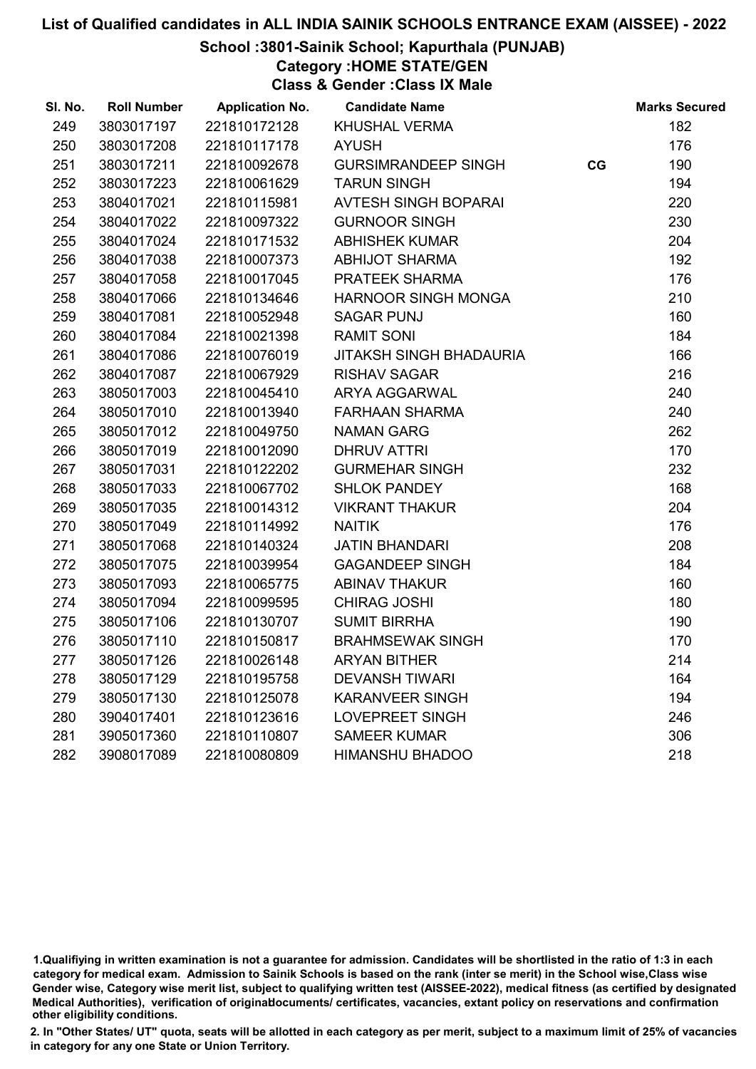#### School :3801-Sainik School; Kapurthala (PUNJAB)

Category :HOME STATE/GEN

Class & Gender :Class IX Male

| SI. No. | <b>Roll Number</b> | <b>Application No.</b> | <b>Candidate Name</b>          |    | <b>Marks Secured</b> |
|---------|--------------------|------------------------|--------------------------------|----|----------------------|
| 249     | 3803017197         | 221810172128           | <b>KHUSHAL VERMA</b>           |    | 182                  |
| 250     | 3803017208         | 221810117178           | <b>AYUSH</b>                   |    | 176                  |
| 251     | 3803017211         | 221810092678           | <b>GURSIMRANDEEP SINGH</b>     | CG | 190                  |
| 252     | 3803017223         | 221810061629           | <b>TARUN SINGH</b>             |    | 194                  |
| 253     | 3804017021         | 221810115981           | <b>AVTESH SINGH BOPARAI</b>    |    | 220                  |
| 254     | 3804017022         | 221810097322           | <b>GURNOOR SINGH</b>           |    | 230                  |
| 255     | 3804017024         | 221810171532           | <b>ABHISHEK KUMAR</b>          |    | 204                  |
| 256     | 3804017038         | 221810007373           | <b>ABHIJOT SHARMA</b>          |    | 192                  |
| 257     | 3804017058         | 221810017045           | PRATEEK SHARMA                 |    | 176                  |
| 258     | 3804017066         | 221810134646           | <b>HARNOOR SINGH MONGA</b>     |    | 210                  |
| 259     | 3804017081         | 221810052948           | <b>SAGAR PUNJ</b>              |    | 160                  |
| 260     | 3804017084         | 221810021398           | <b>RAMIT SONI</b>              |    | 184                  |
| 261     | 3804017086         | 221810076019           | <b>JITAKSH SINGH BHADAURIA</b> |    | 166                  |
| 262     | 3804017087         | 221810067929           | <b>RISHAV SAGAR</b>            |    | 216                  |
| 263     | 3805017003         | 221810045410           | <b>ARYA AGGARWAL</b>           |    | 240                  |
| 264     | 3805017010         | 221810013940           | <b>FARHAAN SHARMA</b>          |    | 240                  |
| 265     | 3805017012         | 221810049750           | <b>NAMAN GARG</b>              |    | 262                  |
| 266     | 3805017019         | 221810012090           | <b>DHRUV ATTRI</b>             |    | 170                  |
| 267     | 3805017031         | 221810122202           | <b>GURMEHAR SINGH</b>          |    | 232                  |
| 268     | 3805017033         | 221810067702           | <b>SHLOK PANDEY</b>            |    | 168                  |
| 269     | 3805017035         | 221810014312           | <b>VIKRANT THAKUR</b>          |    | 204                  |
| 270     | 3805017049         | 221810114992           | <b>NAITIK</b>                  |    | 176                  |
| 271     | 3805017068         | 221810140324           | <b>JATIN BHANDARI</b>          |    | 208                  |
| 272     | 3805017075         | 221810039954           | <b>GAGANDEEP SINGH</b>         |    | 184                  |
| 273     | 3805017093         | 221810065775           | <b>ABINAV THAKUR</b>           |    | 160                  |
| 274     | 3805017094         | 221810099595           | <b>CHIRAG JOSHI</b>            |    | 180                  |
| 275     | 3805017106         | 221810130707           | <b>SUMIT BIRRHA</b>            |    | 190                  |
| 276     | 3805017110         | 221810150817           | <b>BRAHMSEWAK SINGH</b>        |    | 170                  |
| 277     | 3805017126         | 221810026148           | <b>ARYAN BITHER</b>            |    | 214                  |
| 278     | 3805017129         | 221810195758           | <b>DEVANSH TIWARI</b>          |    | 164                  |
| 279     | 3805017130         | 221810125078           | <b>KARANVEER SINGH</b>         |    | 194                  |
| 280     | 3904017401         | 221810123616           | <b>LOVEPREET SINGH</b>         |    | 246                  |
| 281     | 3905017360         | 221810110807           | <b>SAMEER KUMAR</b>            |    | 306                  |
| 282     | 3908017089         | 221810080809           | <b>HIMANSHU BHADOO</b>         |    | 218                  |

<sup>1.</sup>Qualifiying in written examination is not a guarantee for admission. Candidates will be shortlisted in the ratio of 1:3 in each category for medical exam. Admission to Sainik Schools is based on the rank (inter se merit) in the School wise,Class wise Gender wise, Category wise merit list, subject to qualifying written test (AISSEE-2022), medical fitness (as certified by designated Medical Authorities), verification of originablocuments/ certificates, vacancies, extant policy on reservations and confirmation other eligibility conditions.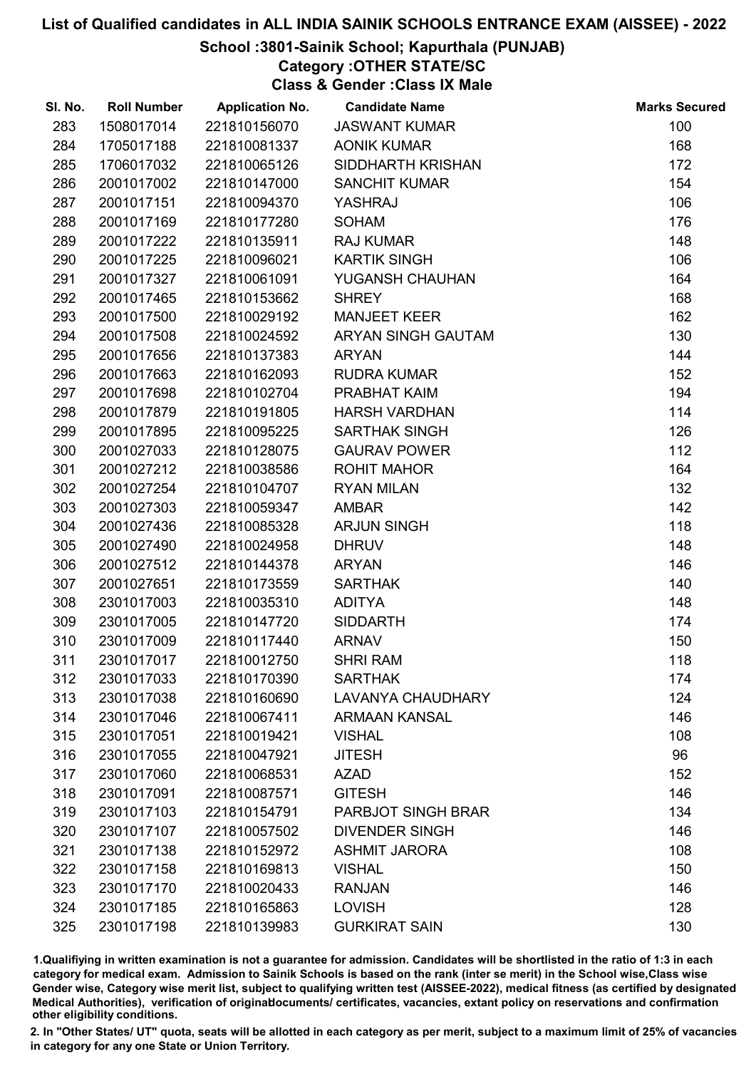## School :3801-Sainik School; Kapurthala (PUNJAB)

Category :OTHER STATE/SC

Class & Gender :Class IX Male

| SI. No. | <b>Roll Number</b> | <b>Application No.</b> | <b>Candidate Name</b>     | <b>Marks Secured</b> |
|---------|--------------------|------------------------|---------------------------|----------------------|
| 283     | 1508017014         | 221810156070           | <b>JASWANT KUMAR</b>      | 100                  |
| 284     | 1705017188         | 221810081337           | <b>AONIK KUMAR</b>        | 168                  |
| 285     | 1706017032         | 221810065126           | SIDDHARTH KRISHAN         | 172                  |
| 286     | 2001017002         | 221810147000           | <b>SANCHIT KUMAR</b>      | 154                  |
| 287     | 2001017151         | 221810094370           | YASHRAJ                   | 106                  |
| 288     | 2001017169         | 221810177280           | <b>SOHAM</b>              | 176                  |
| 289     | 2001017222         | 221810135911           | <b>RAJ KUMAR</b>          | 148                  |
| 290     | 2001017225         | 221810096021           | <b>KARTIK SINGH</b>       | 106                  |
| 291     | 2001017327         | 221810061091           | YUGANSH CHAUHAN           | 164                  |
| 292     | 2001017465         | 221810153662           | <b>SHREY</b>              | 168                  |
| 293     | 2001017500         | 221810029192           | <b>MANJEET KEER</b>       | 162                  |
| 294     | 2001017508         | 221810024592           | ARYAN SINGH GAUTAM        | 130                  |
| 295     | 2001017656         | 221810137383           | <b>ARYAN</b>              | 144                  |
| 296     | 2001017663         | 221810162093           | <b>RUDRA KUMAR</b>        | 152                  |
| 297     | 2001017698         | 221810102704           | PRABHAT KAIM              | 194                  |
| 298     | 2001017879         | 221810191805           | <b>HARSH VARDHAN</b>      | 114                  |
| 299     | 2001017895         | 221810095225           | <b>SARTHAK SINGH</b>      | 126                  |
| 300     | 2001027033         | 221810128075           | <b>GAURAV POWER</b>       | 112                  |
| 301     | 2001027212         | 221810038586           | <b>ROHIT MAHOR</b>        | 164                  |
| 302     | 2001027254         | 221810104707           | <b>RYAN MILAN</b>         | 132                  |
| 303     | 2001027303         | 221810059347           | <b>AMBAR</b>              | 142                  |
| 304     | 2001027436         | 221810085328           | <b>ARJUN SINGH</b>        | 118                  |
| 305     | 2001027490         | 221810024958           | <b>DHRUV</b>              | 148                  |
| 306     | 2001027512         | 221810144378           | <b>ARYAN</b>              | 146                  |
| 307     | 2001027651         | 221810173559           | <b>SARTHAK</b>            | 140                  |
| 308     | 2301017003         | 221810035310           | <b>ADITYA</b>             | 148                  |
| 309     | 2301017005         | 221810147720           | <b>SIDDARTH</b>           | 174                  |
| 310     | 2301017009         | 221810117440           | <b>ARNAV</b>              | 150                  |
| 311     | 2301017017         | 221810012750           | <b>SHRI RAM</b>           | 118                  |
| 312     | 2301017033         | 221810170390           | <b>SARTHAK</b>            | 174                  |
| 313     | 2301017038         | 221810160690           | <b>LAVANYA CHAUDHARY</b>  | 124                  |
| 314     | 2301017046         | 221810067411           | <b>ARMAAN KANSAL</b>      | 146                  |
| 315     | 2301017051         | 221810019421           | <b>VISHAL</b>             | 108                  |
| 316     | 2301017055         | 221810047921           | <b>JITESH</b>             | 96                   |
| 317     | 2301017060         | 221810068531           | <b>AZAD</b>               | 152                  |
| 318     | 2301017091         | 221810087571           | <b>GITESH</b>             | 146                  |
| 319     | 2301017103         | 221810154791           | <b>PARBJOT SINGH BRAR</b> | 134                  |
| 320     | 2301017107         | 221810057502           | <b>DIVENDER SINGH</b>     | 146                  |
| 321     | 2301017138         | 221810152972           | <b>ASHMIT JARORA</b>      | 108                  |
| 322     | 2301017158         | 221810169813           | <b>VISHAL</b>             | 150                  |
| 323     | 2301017170         | 221810020433           | <b>RANJAN</b>             | 146                  |
| 324     | 2301017185         | 221810165863           | <b>LOVISH</b>             | 128                  |
| 325     | 2301017198         | 221810139983           | <b>GURKIRAT SAIN</b>      | 130                  |

1.Qualifiying in written examination is not a guarantee for admission. Candidates will be shortlisted in the ratio of 1:3 in each category for medical exam. Admission to Sainik Schools is based on the rank (inter se merit) in the School wise,Class wise Gender wise, Category wise merit list, subject to qualifying written test (AISSEE-2022), medical fitness (as certified by designated Medical Authorities), verification of originablocuments/ certificates, vacancies, extant policy on reservations and confirmation other eligibility conditions.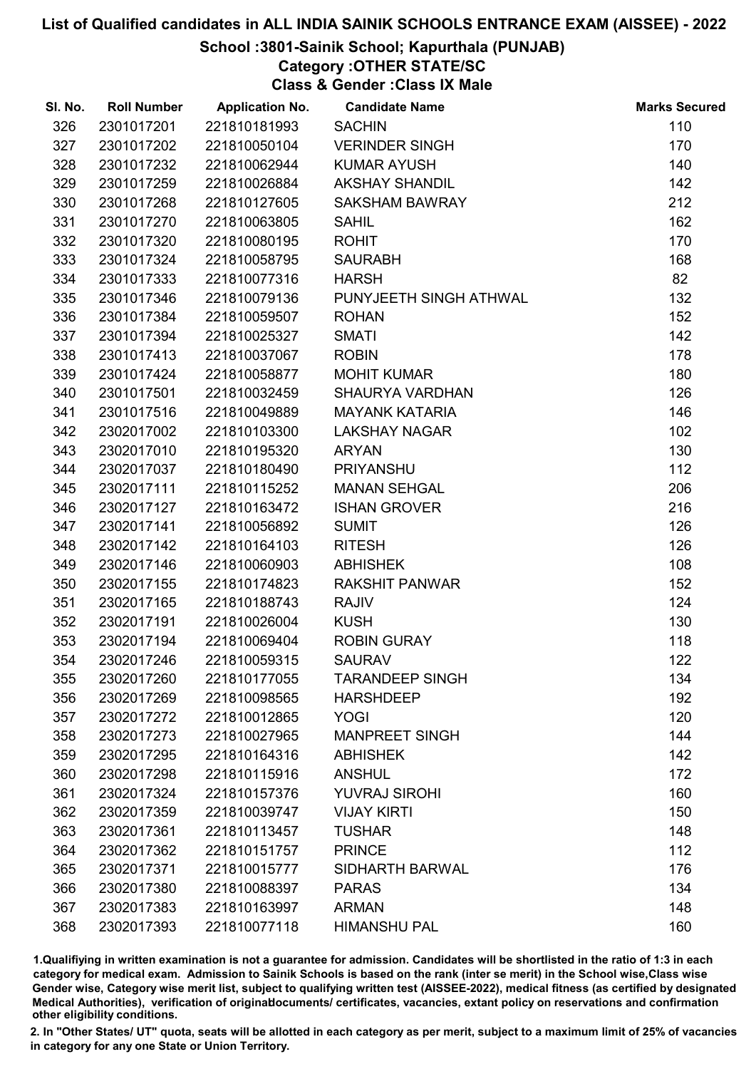School :3801-Sainik School; Kapurthala (PUNJAB)

Category :OTHER STATE/SC

Class & Gender :Class IX Male

| SI. No. | <b>Roll Number</b> | <b>Application No.</b> | <b>Candidate Name</b>  | <b>Marks Secured</b> |
|---------|--------------------|------------------------|------------------------|----------------------|
| 326     | 2301017201         | 221810181993           | <b>SACHIN</b>          | 110                  |
| 327     | 2301017202         | 221810050104           | <b>VERINDER SINGH</b>  | 170                  |
| 328     | 2301017232         | 221810062944           | <b>KUMAR AYUSH</b>     | 140                  |
| 329     | 2301017259         | 221810026884           | <b>AKSHAY SHANDIL</b>  | 142                  |
| 330     | 2301017268         | 221810127605           | <b>SAKSHAM BAWRAY</b>  | 212                  |
| 331     | 2301017270         | 221810063805           | <b>SAHIL</b>           | 162                  |
| 332     | 2301017320         | 221810080195           | <b>ROHIT</b>           | 170                  |
| 333     | 2301017324         | 221810058795           | <b>SAURABH</b>         | 168                  |
| 334     | 2301017333         | 221810077316           | <b>HARSH</b>           | 82                   |
| 335     | 2301017346         | 221810079136           | PUNYJEETH SINGH ATHWAL | 132                  |
| 336     | 2301017384         | 221810059507           | <b>ROHAN</b>           | 152                  |
| 337     | 2301017394         | 221810025327           | <b>SMATI</b>           | 142                  |
| 338     | 2301017413         | 221810037067           | <b>ROBIN</b>           | 178                  |
| 339     | 2301017424         | 221810058877           | <b>MOHIT KUMAR</b>     | 180                  |
| 340     | 2301017501         | 221810032459           | <b>SHAURYA VARDHAN</b> | 126                  |
| 341     | 2301017516         | 221810049889           | <b>MAYANK KATARIA</b>  | 146                  |
| 342     | 2302017002         | 221810103300           | <b>LAKSHAY NAGAR</b>   | 102                  |
| 343     | 2302017010         | 221810195320           | <b>ARYAN</b>           | 130                  |
| 344     | 2302017037         | 221810180490           | <b>PRIYANSHU</b>       | 112                  |
| 345     | 2302017111         | 221810115252           | <b>MANAN SEHGAL</b>    | 206                  |
| 346     | 2302017127         | 221810163472           | <b>ISHAN GROVER</b>    | 216                  |
| 347     | 2302017141         | 221810056892           | <b>SUMIT</b>           | 126                  |
| 348     | 2302017142         | 221810164103           | <b>RITESH</b>          | 126                  |
| 349     | 2302017146         | 221810060903           | <b>ABHISHEK</b>        | 108                  |
| 350     | 2302017155         | 221810174823           | <b>RAKSHIT PANWAR</b>  | 152                  |
| 351     | 2302017165         | 221810188743           | <b>RAJIV</b>           | 124                  |
| 352     | 2302017191         | 221810026004           | <b>KUSH</b>            | 130                  |
| 353     | 2302017194         | 221810069404           | <b>ROBIN GURAY</b>     | 118                  |
| 354     | 2302017246         | 221810059315           | <b>SAURAV</b>          | 122                  |
| 355     | 2302017260         | 221810177055           | <b>TARANDEEP SINGH</b> | 134                  |
| 356     | 2302017269         | 221810098565           | <b>HARSHDEEP</b>       | 192                  |
| 357     | 2302017272         | 221810012865           | <b>YOGI</b>            | 120                  |
| 358     | 2302017273         | 221810027965           | <b>MANPREET SINGH</b>  | 144                  |
| 359     | 2302017295         | 221810164316           | <b>ABHISHEK</b>        | 142                  |
| 360     | 2302017298         | 221810115916           | <b>ANSHUL</b>          | 172                  |
| 361     | 2302017324         | 221810157376           | <b>YUVRAJ SIROHI</b>   | 160                  |
| 362     | 2302017359         | 221810039747           | <b>VIJAY KIRTI</b>     | 150                  |
| 363     | 2302017361         | 221810113457           | <b>TUSHAR</b>          | 148                  |
| 364     | 2302017362         | 221810151757           | <b>PRINCE</b>          | 112                  |
| 365     | 2302017371         | 221810015777           | SIDHARTH BARWAL        | 176                  |
| 366     | 2302017380         | 221810088397           | <b>PARAS</b>           | 134                  |
| 367     | 2302017383         | 221810163997           | <b>ARMAN</b>           | 148                  |
| 368     | 2302017393         | 221810077118           | <b>HIMANSHU PAL</b>    | 160                  |

1.Qualifiying in written examination is not a guarantee for admission. Candidates will be shortlisted in the ratio of 1:3 in each category for medical exam. Admission to Sainik Schools is based on the rank (inter se merit) in the School wise,Class wise Gender wise, Category wise merit list, subject to qualifying written test (AISSEE-2022), medical fitness (as certified by designated Medical Authorities), verification of originablocuments/ certificates, vacancies, extant policy on reservations and confirmation other eligibility conditions.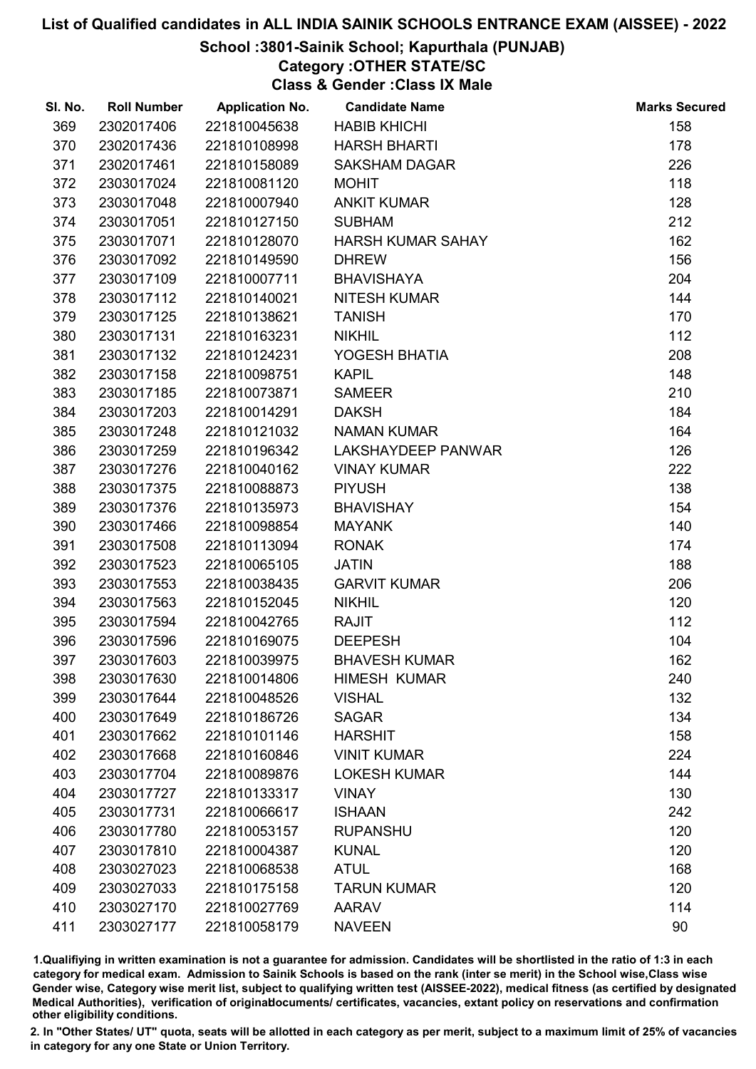## School :3801-Sainik School; Kapurthala (PUNJAB)

# Category :OTHER STATE/SC

Class & Gender :Class IX Male

| SI. No. | <b>Roll Number</b> | <b>Application No.</b> | <b>Candidate Name</b>     | <b>Marks Secured</b> |
|---------|--------------------|------------------------|---------------------------|----------------------|
| 369     | 2302017406         | 221810045638           | <b>HABIB KHICHI</b>       | 158                  |
| 370     | 2302017436         | 221810108998           | <b>HARSH BHARTI</b>       | 178                  |
| 371     | 2302017461         | 221810158089           | <b>SAKSHAM DAGAR</b>      | 226                  |
| 372     | 2303017024         | 221810081120           | <b>MOHIT</b>              | 118                  |
| 373     | 2303017048         | 221810007940           | <b>ANKIT KUMAR</b>        | 128                  |
| 374     | 2303017051         | 221810127150           | <b>SUBHAM</b>             | 212                  |
| 375     | 2303017071         | 221810128070           | <b>HARSH KUMAR SAHAY</b>  | 162                  |
| 376     | 2303017092         | 221810149590           | <b>DHREW</b>              | 156                  |
| 377     | 2303017109         | 221810007711           | <b>BHAVISHAYA</b>         | 204                  |
| 378     | 2303017112         | 221810140021           | <b>NITESH KUMAR</b>       | 144                  |
| 379     | 2303017125         | 221810138621           | <b>TANISH</b>             | 170                  |
| 380     | 2303017131         | 221810163231           | <b>NIKHIL</b>             | 112                  |
| 381     | 2303017132         | 221810124231           | YOGESH BHATIA             | 208                  |
| 382     | 2303017158         | 221810098751           | <b>KAPIL</b>              | 148                  |
| 383     | 2303017185         | 221810073871           | <b>SAMEER</b>             | 210                  |
| 384     | 2303017203         | 221810014291           | <b>DAKSH</b>              | 184                  |
| 385     | 2303017248         | 221810121032           | <b>NAMAN KUMAR</b>        | 164                  |
| 386     | 2303017259         | 221810196342           | <b>LAKSHAYDEEP PANWAR</b> | 126                  |
| 387     | 2303017276         | 221810040162           | <b>VINAY KUMAR</b>        | 222                  |
| 388     | 2303017375         | 221810088873           | <b>PIYUSH</b>             | 138                  |
| 389     | 2303017376         | 221810135973           | <b>BHAVISHAY</b>          | 154                  |
| 390     | 2303017466         | 221810098854           | <b>MAYANK</b>             | 140                  |
| 391     | 2303017508         | 221810113094           | <b>RONAK</b>              | 174                  |
| 392     | 2303017523         | 221810065105           | <b>JATIN</b>              | 188                  |
| 393     | 2303017553         | 221810038435           | <b>GARVIT KUMAR</b>       | 206                  |
| 394     | 2303017563         | 221810152045           | <b>NIKHIL</b>             | 120                  |
| 395     | 2303017594         | 221810042765           | <b>RAJIT</b>              | 112                  |
| 396     | 2303017596         | 221810169075           | <b>DEEPESH</b>            | 104                  |
| 397     | 2303017603         | 221810039975           | <b>BHAVESH KUMAR</b>      | 162                  |
| 398     | 2303017630         | 221810014806           | <b>HIMESH KUMAR</b>       | 240                  |
| 399     | 2303017644         | 221810048526           | <b>VISHAL</b>             | 132                  |
| 400     | 2303017649         | 221810186726           | <b>SAGAR</b>              | 134                  |
| 401     | 2303017662         | 221810101146           | <b>HARSHIT</b>            | 158                  |
| 402     | 2303017668         | 221810160846           | <b>VINIT KUMAR</b>        | 224                  |
| 403     | 2303017704         | 221810089876           | <b>LOKESH KUMAR</b>       | 144                  |
| 404     | 2303017727         | 221810133317           | <b>VINAY</b>              | 130                  |
| 405     | 2303017731         | 221810066617           | <b>ISHAAN</b>             | 242                  |
| 406     | 2303017780         | 221810053157           | <b>RUPANSHU</b>           | 120                  |
| 407     | 2303017810         | 221810004387           | <b>KUNAL</b>              | 120                  |
| 408     | 2303027023         | 221810068538           | <b>ATUL</b>               | 168                  |
| 409     | 2303027033         | 221810175158           | <b>TARUN KUMAR</b>        | 120                  |
| 410     | 2303027170         | 221810027769           | <b>AARAV</b>              | 114                  |
| 411     | 2303027177         | 221810058179           | <b>NAVEEN</b>             | 90                   |

1.Qualifiying in written examination is not a guarantee for admission. Candidates will be shortlisted in the ratio of 1:3 in each category for medical exam. Admission to Sainik Schools is based on the rank (inter se merit) in the School wise,Class wise Gender wise, Category wise merit list, subject to qualifying written test (AISSEE-2022), medical fitness (as certified by designated Medical Authorities), verification of originablocuments/ certificates, vacancies, extant policy on reservations and confirmation other eligibility conditions.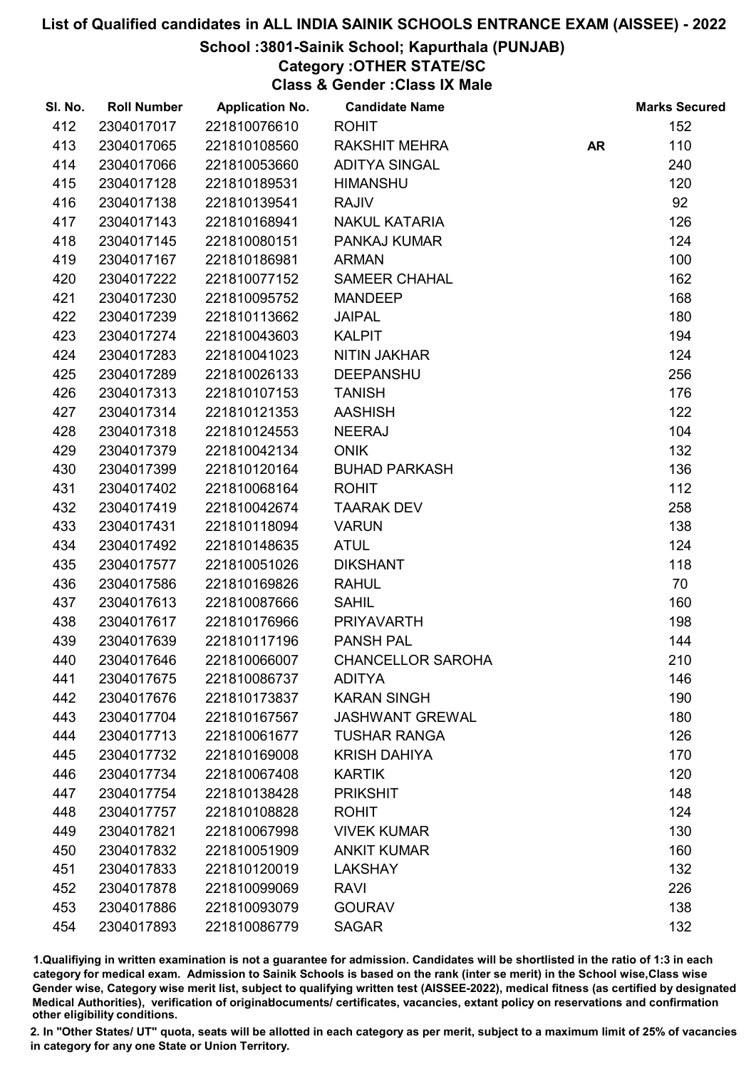## School :3801-Sainik School; Kapurthala (PUNJAB)

Category :OTHER STATE/SC

Class & Gender :Class IX Male

| SI. No. | <b>Roll Number</b> | <b>Application No.</b> | <b>Candidate Name</b>    |           | <b>Marks Secured</b> |
|---------|--------------------|------------------------|--------------------------|-----------|----------------------|
| 412     | 2304017017         | 221810076610           | <b>ROHIT</b>             |           | 152                  |
| 413     | 2304017065         | 221810108560           | <b>RAKSHIT MEHRA</b>     | <b>AR</b> | 110                  |
| 414     | 2304017066         | 221810053660           | <b>ADITYA SINGAL</b>     |           | 240                  |
| 415     | 2304017128         | 221810189531           | <b>HIMANSHU</b>          |           | 120                  |
| 416     | 2304017138         | 221810139541           | <b>RAJIV</b>             |           | 92                   |
| 417     | 2304017143         | 221810168941           | <b>NAKUL KATARIA</b>     |           | 126                  |
| 418     | 2304017145         | 221810080151           | <b>PANKAJ KUMAR</b>      |           | 124                  |
| 419     | 2304017167         | 221810186981           | <b>ARMAN</b>             |           | 100                  |
| 420     | 2304017222         | 221810077152           | <b>SAMEER CHAHAL</b>     |           | 162                  |
| 421     | 2304017230         | 221810095752           | <b>MANDEEP</b>           |           | 168                  |
| 422     | 2304017239         | 221810113662           | <b>JAIPAL</b>            |           | 180                  |
| 423     | 2304017274         | 221810043603           | <b>KALPIT</b>            |           | 194                  |
| 424     | 2304017283         | 221810041023           | NITIN JAKHAR             |           | 124                  |
| 425     | 2304017289         | 221810026133           | <b>DEEPANSHU</b>         |           | 256                  |
| 426     | 2304017313         | 221810107153           | <b>TANISH</b>            |           | 176                  |
| 427     | 2304017314         | 221810121353           | <b>AASHISH</b>           |           | 122                  |
| 428     | 2304017318         | 221810124553           | <b>NEERAJ</b>            |           | 104                  |
| 429     | 2304017379         | 221810042134           | <b>ONIK</b>              |           | 132                  |
| 430     | 2304017399         | 221810120164           | <b>BUHAD PARKASH</b>     |           | 136                  |
| 431     | 2304017402         | 221810068164           | <b>ROHIT</b>             |           | 112                  |
| 432     | 2304017419         | 221810042674           | <b>TAARAK DEV</b>        |           | 258                  |
| 433     | 2304017431         | 221810118094           | <b>VARUN</b>             |           | 138                  |
| 434     | 2304017492         | 221810148635           | <b>ATUL</b>              |           | 124                  |
| 435     | 2304017577         | 221810051026           | <b>DIKSHANT</b>          |           | 118                  |
| 436     | 2304017586         | 221810169826           | <b>RAHUL</b>             |           | 70                   |
| 437     | 2304017613         | 221810087666           | <b>SAHIL</b>             |           | 160                  |
| 438     | 2304017617         | 221810176966           | <b>PRIYAVARTH</b>        |           | 198                  |
| 439     | 2304017639         | 221810117196           | <b>PANSH PAL</b>         |           | 144                  |
| 440     | 2304017646         | 221810066007           | <b>CHANCELLOR SAROHA</b> |           | 210                  |
| 441     | 2304017675         | 221810086737           | <b>ADITYA</b>            |           | 146                  |
| 442     | 2304017676         | 221810173837           | <b>KARAN SINGH</b>       |           | 190                  |
| 443     | 2304017704         | 221810167567           | <b>JASHWANT GREWAL</b>   |           | 180                  |
| 444     | 2304017713         | 221810061677           | <b>TUSHAR RANGA</b>      |           | 126                  |
| 445     | 2304017732         | 221810169008           | <b>KRISH DAHIYA</b>      |           | 170                  |
| 446     | 2304017734         | 221810067408           | <b>KARTIK</b>            |           | 120                  |
| 447     | 2304017754         | 221810138428           | <b>PRIKSHIT</b>          |           | 148                  |
| 448     | 2304017757         | 221810108828           | <b>ROHIT</b>             |           | 124                  |
| 449     | 2304017821         | 221810067998           | <b>VIVEK KUMAR</b>       |           | 130                  |
| 450     | 2304017832         | 221810051909           | <b>ANKIT KUMAR</b>       |           | 160                  |
| 451     | 2304017833         | 221810120019           | <b>LAKSHAY</b>           |           | 132                  |
| 452     | 2304017878         | 221810099069           | <b>RAVI</b>              |           | 226                  |
| 453     | 2304017886         | 221810093079           | <b>GOURAV</b>            |           | 138                  |
| 454     | 2304017893         | 221810086779           | <b>SAGAR</b>             |           | 132                  |

1.Qualifiying in written examination is not a guarantee for admission. Candidates will be shortlisted in the ratio of 1:3 in each category for medical exam. Admission to Sainik Schools is based on the rank (inter se merit) in the School wise,Class wise Gender wise, Category wise merit list, subject to qualifying written test (AISSEE-2022), medical fitness (as certified by designated Medical Authorities), verification of originablocuments/ certificates, vacancies, extant policy on reservations and confirmation other eligibility conditions.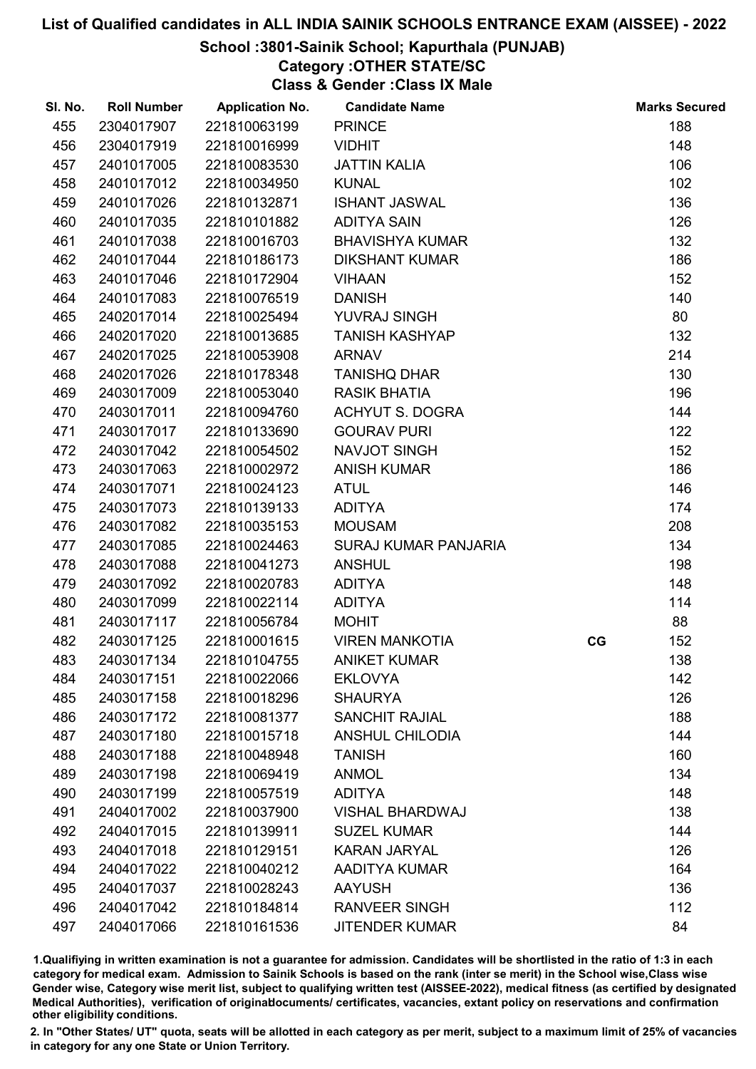## School :3801-Sainik School; Kapurthala (PUNJAB)

## Category :OTHER STATE/SC

Class & Gender :Class IX Male

| SI. No. | <b>Roll Number</b> | <b>Application No.</b> | <b>Candidate Name</b>       |    | <b>Marks Secured</b> |
|---------|--------------------|------------------------|-----------------------------|----|----------------------|
| 455     | 2304017907         | 221810063199           | <b>PRINCE</b>               |    | 188                  |
| 456     | 2304017919         | 221810016999           | <b>VIDHIT</b>               |    | 148                  |
| 457     | 2401017005         | 221810083530           | <b>JATTIN KALIA</b>         |    | 106                  |
| 458     | 2401017012         | 221810034950           | <b>KUNAL</b>                |    | 102                  |
| 459     | 2401017026         | 221810132871           | <b>ISHANT JASWAL</b>        |    | 136                  |
| 460     | 2401017035         | 221810101882           | <b>ADITYA SAIN</b>          |    | 126                  |
| 461     | 2401017038         | 221810016703           | <b>BHAVISHYA KUMAR</b>      |    | 132                  |
| 462     | 2401017044         | 221810186173           | <b>DIKSHANT KUMAR</b>       |    | 186                  |
| 463     | 2401017046         | 221810172904           | <b>VIHAAN</b>               |    | 152                  |
| 464     | 2401017083         | 221810076519           | <b>DANISH</b>               |    | 140                  |
| 465     | 2402017014         | 221810025494           | YUVRAJ SINGH                |    | 80                   |
| 466     | 2402017020         | 221810013685           | <b>TANISH KASHYAP</b>       |    | 132                  |
| 467     | 2402017025         | 221810053908           | <b>ARNAV</b>                |    | 214                  |
| 468     | 2402017026         | 221810178348           | <b>TANISHQ DHAR</b>         |    | 130                  |
| 469     | 2403017009         | 221810053040           | <b>RASIK BHATIA</b>         |    | 196                  |
| 470     | 2403017011         | 221810094760           | <b>ACHYUT S. DOGRA</b>      |    | 144                  |
| 471     | 2403017017         | 221810133690           | <b>GOURAV PURI</b>          |    | 122                  |
| 472     | 2403017042         | 221810054502           | NAVJOT SINGH                |    | 152                  |
| 473     | 2403017063         | 221810002972           | <b>ANISH KUMAR</b>          |    | 186                  |
| 474     | 2403017071         | 221810024123           | <b>ATUL</b>                 |    | 146                  |
| 475     | 2403017073         | 221810139133           | <b>ADITYA</b>               |    | 174                  |
| 476     | 2403017082         | 221810035153           | <b>MOUSAM</b>               |    | 208                  |
| 477     | 2403017085         | 221810024463           | <b>SURAJ KUMAR PANJARIA</b> |    | 134                  |
| 478     | 2403017088         | 221810041273           | <b>ANSHUL</b>               |    | 198                  |
| 479     | 2403017092         | 221810020783           | <b>ADITYA</b>               |    | 148                  |
| 480     | 2403017099         | 221810022114           | <b>ADITYA</b>               |    | 114                  |
| 481     | 2403017117         | 221810056784           | <b>MOHIT</b>                |    | 88                   |
| 482     | 2403017125         | 221810001615           | <b>VIREN MANKOTIA</b>       | CG | 152                  |
| 483     | 2403017134         | 221810104755           | <b>ANIKET KUMAR</b>         |    | 138                  |
| 484     | 2403017151         | 221810022066           | <b>EKLOVYA</b>              |    | 142                  |
| 485     | 2403017158         | 221810018296           | <b>SHAURYA</b>              |    | 126                  |
| 486     | 2403017172         | 221810081377           | <b>SANCHIT RAJIAL</b>       |    | 188                  |
| 487     | 2403017180         | 221810015718           | <b>ANSHUL CHILODIA</b>      |    | 144                  |
| 488     | 2403017188         | 221810048948           | <b>TANISH</b>               |    | 160                  |
| 489     | 2403017198         | 221810069419           | <b>ANMOL</b>                |    | 134                  |
| 490     | 2403017199         | 221810057519           | <b>ADITYA</b>               |    | 148                  |
| 491     | 2404017002         | 221810037900           | <b>VISHAL BHARDWAJ</b>      |    | 138                  |
| 492     | 2404017015         | 221810139911           | <b>SUZEL KUMAR</b>          |    | 144                  |
| 493     | 2404017018         | 221810129151           | <b>KARAN JARYAL</b>         |    | 126                  |
| 494     | 2404017022         | 221810040212           | AADITYA KUMAR               |    | 164                  |
| 495     | 2404017037         | 221810028243           | <b>AAYUSH</b>               |    | 136                  |
| 496     | 2404017042         | 221810184814           | <b>RANVEER SINGH</b>        |    | 112                  |
| 497     | 2404017066         | 221810161536           | <b>JITENDER KUMAR</b>       |    | 84                   |

1.Qualifiying in written examination is not a guarantee for admission. Candidates will be shortlisted in the ratio of 1:3 in each category for medical exam. Admission to Sainik Schools is based on the rank (inter se merit) in the School wise,Class wise Gender wise, Category wise merit list, subject to qualifying written test (AISSEE-2022), medical fitness (as certified by designated Medical Authorities), verification of originablocuments/ certificates, vacancies, extant policy on reservations and confirmation other eligibility conditions.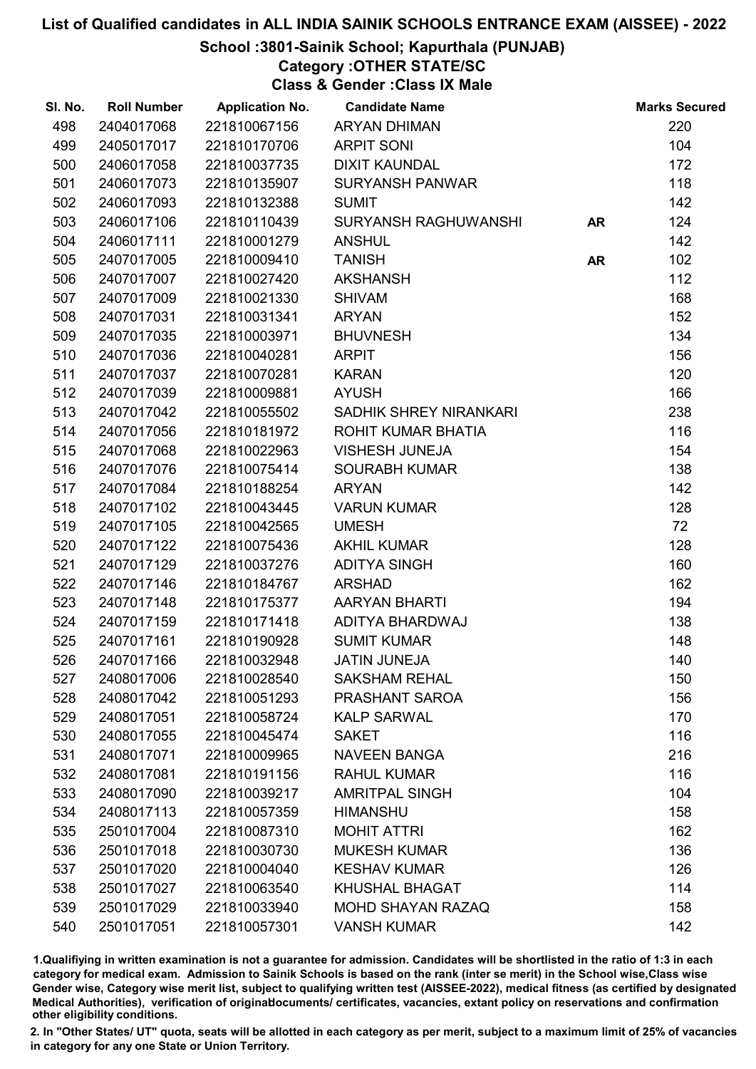School :3801-Sainik School; Kapurthala (PUNJAB)

Category :OTHER STATE/SC

Class & Gender :Class IX Male

| SI. No. | <b>Roll Number</b> | <b>Application No.</b> | <b>Candidate Name</b>       |           | <b>Marks Secured</b> |
|---------|--------------------|------------------------|-----------------------------|-----------|----------------------|
| 498     | 2404017068         | 221810067156           | <b>ARYAN DHIMAN</b>         |           | 220                  |
| 499     | 2405017017         | 221810170706           | <b>ARPIT SONI</b>           |           | 104                  |
| 500     | 2406017058         | 221810037735           | <b>DIXIT KAUNDAL</b>        |           | 172                  |
| 501     | 2406017073         | 221810135907           | <b>SURYANSH PANWAR</b>      |           | 118                  |
| 502     | 2406017093         | 221810132388           | <b>SUMIT</b>                |           | 142                  |
| 503     | 2406017106         | 221810110439           | <b>SURYANSH RAGHUWANSHI</b> | <b>AR</b> | 124                  |
| 504     | 2406017111         | 221810001279           | <b>ANSHUL</b>               |           | 142                  |
| 505     | 2407017005         | 221810009410           | <b>TANISH</b>               | <b>AR</b> | 102                  |
| 506     | 2407017007         | 221810027420           | <b>AKSHANSH</b>             |           | 112                  |
| 507     | 2407017009         | 221810021330           | <b>SHIVAM</b>               |           | 168                  |
| 508     | 2407017031         | 221810031341           | <b>ARYAN</b>                |           | 152                  |
| 509     | 2407017035         | 221810003971           | <b>BHUVNESH</b>             |           | 134                  |
| 510     | 2407017036         | 221810040281           | <b>ARPIT</b>                |           | 156                  |
| 511     | 2407017037         | 221810070281           | <b>KARAN</b>                |           | 120                  |
| 512     | 2407017039         | 221810009881           | <b>AYUSH</b>                |           | 166                  |
| 513     | 2407017042         | 221810055502           | SADHIK SHREY NIRANKARI      |           | 238                  |
| 514     | 2407017056         | 221810181972           | ROHIT KUMAR BHATIA          |           | 116                  |
| 515     | 2407017068         | 221810022963           | <b>VISHESH JUNEJA</b>       |           | 154                  |
| 516     | 2407017076         | 221810075414           | <b>SOURABH KUMAR</b>        |           | 138                  |
| 517     | 2407017084         | 221810188254           | <b>ARYAN</b>                |           | 142                  |
| 518     | 2407017102         | 221810043445           | <b>VARUN KUMAR</b>          |           | 128                  |
| 519     | 2407017105         | 221810042565           | <b>UMESH</b>                |           | 72                   |
| 520     | 2407017122         | 221810075436           | <b>AKHIL KUMAR</b>          |           | 128                  |
| 521     | 2407017129         | 221810037276           | <b>ADITYA SINGH</b>         |           | 160                  |
| 522     | 2407017146         | 221810184767           | <b>ARSHAD</b>               |           | 162                  |
| 523     | 2407017148         | 221810175377           | <b>AARYAN BHARTI</b>        |           | 194                  |
| 524     | 2407017159         | 221810171418           | ADITYA BHARDWAJ             |           | 138                  |
| 525     | 2407017161         | 221810190928           | <b>SUMIT KUMAR</b>          |           | 148                  |
| 526     | 2407017166         | 221810032948           | <b>JATIN JUNEJA</b>         |           | 140                  |
| 527     | 2408017006         | 221810028540           | <b>SAKSHAM REHAL</b>        |           | 150                  |
| 528     | 2408017042         | 221810051293           | PRASHANT SAROA              |           | 156                  |
| 529     | 2408017051         | 221810058724           | <b>KALP SARWAL</b>          |           | 170                  |
| 530     | 2408017055         | 221810045474           | <b>SAKET</b>                |           | 116                  |
| 531     | 2408017071         | 221810009965           | <b>NAVEEN BANGA</b>         |           | 216                  |
| 532     | 2408017081         | 221810191156           | <b>RAHUL KUMAR</b>          |           | 116                  |
| 533     | 2408017090         | 221810039217           | <b>AMRITPAL SINGH</b>       |           | 104                  |
| 534     | 2408017113         | 221810057359           | <b>HIMANSHU</b>             |           | 158                  |
| 535     | 2501017004         | 221810087310           | <b>MOHIT ATTRI</b>          |           | 162                  |
| 536     | 2501017018         | 221810030730           | <b>MUKESH KUMAR</b>         |           | 136                  |
| 537     | 2501017020         | 221810004040           | <b>KESHAV KUMAR</b>         |           | 126                  |
| 538     | 2501017027         | 221810063540           | <b>KHUSHAL BHAGAT</b>       |           | 114                  |
| 539     | 2501017029         | 221810033940           | <b>MOHD SHAYAN RAZAQ</b>    |           | 158                  |
| 540     | 2501017051         | 221810057301           | <b>VANSH KUMAR</b>          |           | 142                  |

1.Qualifiying in written examination is not a guarantee for admission. Candidates will be shortlisted in the ratio of 1:3 in each category for medical exam. Admission to Sainik Schools is based on the rank (inter se merit) in the School wise,Class wise Gender wise, Category wise merit list, subject to qualifying written test (AISSEE-2022), medical fitness (as certified by designated Medical Authorities), verification of originablocuments/ certificates, vacancies, extant policy on reservations and confirmation other eligibility conditions.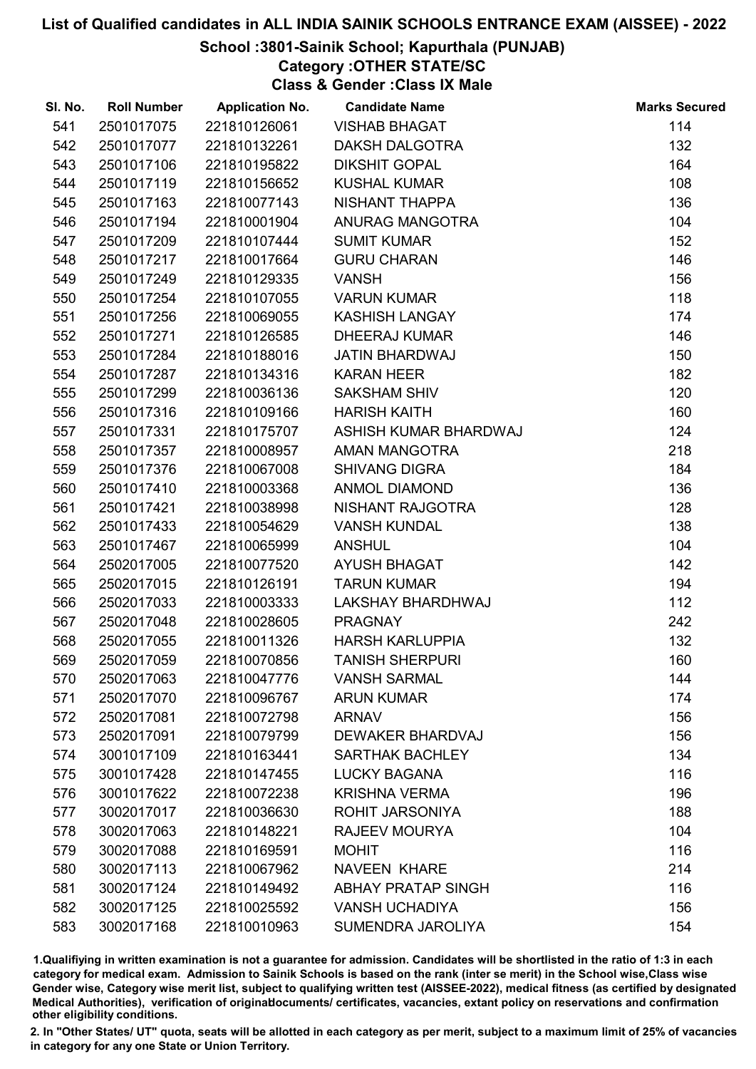## School :3801-Sainik School; Kapurthala (PUNJAB)

Category :OTHER STATE/SC

Class & Gender :Class IX Male

| SI. No. | <b>Roll Number</b> | <b>Application No.</b> | <b>Candidate Name</b>     | <b>Marks Secured</b> |
|---------|--------------------|------------------------|---------------------------|----------------------|
| 541     | 2501017075         | 221810126061           | <b>VISHAB BHAGAT</b>      | 114                  |
| 542     | 2501017077         | 221810132261           | <b>DAKSH DALGOTRA</b>     | 132                  |
| 543     | 2501017106         | 221810195822           | <b>DIKSHIT GOPAL</b>      | 164                  |
| 544     | 2501017119         | 221810156652           | <b>KUSHAL KUMAR</b>       | 108                  |
| 545     | 2501017163         | 221810077143           | NISHANT THAPPA            | 136                  |
| 546     | 2501017194         | 221810001904           | ANURAG MANGOTRA           | 104                  |
| 547     | 2501017209         | 221810107444           | <b>SUMIT KUMAR</b>        | 152                  |
| 548     | 2501017217         | 221810017664           | <b>GURU CHARAN</b>        | 146                  |
| 549     | 2501017249         | 221810129335           | <b>VANSH</b>              | 156                  |
| 550     | 2501017254         | 221810107055           | <b>VARUN KUMAR</b>        | 118                  |
| 551     | 2501017256         | 221810069055           | <b>KASHISH LANGAY</b>     | 174                  |
| 552     | 2501017271         | 221810126585           | <b>DHEERAJ KUMAR</b>      | 146                  |
| 553     | 2501017284         | 221810188016           | <b>JATIN BHARDWAJ</b>     | 150                  |
| 554     | 2501017287         | 221810134316           | <b>KARAN HEER</b>         | 182                  |
| 555     | 2501017299         | 221810036136           | <b>SAKSHAM SHIV</b>       | 120                  |
| 556     | 2501017316         | 221810109166           | <b>HARISH KAITH</b>       | 160                  |
| 557     | 2501017331         | 221810175707           | ASHISH KUMAR BHARDWAJ     | 124                  |
| 558     | 2501017357         | 221810008957           | AMAN MANGOTRA             | 218                  |
| 559     | 2501017376         | 221810067008           | <b>SHIVANG DIGRA</b>      | 184                  |
| 560     | 2501017410         | 221810003368           | <b>ANMOL DIAMOND</b>      | 136                  |
| 561     | 2501017421         | 221810038998           | NISHANT RAJGOTRA          | 128                  |
| 562     | 2501017433         | 221810054629           | <b>VANSH KUNDAL</b>       | 138                  |
| 563     | 2501017467         | 221810065999           | <b>ANSHUL</b>             | 104                  |
| 564     | 2502017005         | 221810077520           | <b>AYUSH BHAGAT</b>       | 142                  |
| 565     | 2502017015         | 221810126191           | <b>TARUN KUMAR</b>        | 194                  |
| 566     | 2502017033         | 221810003333           | LAKSHAY BHARDHWAJ         | 112                  |
| 567     | 2502017048         | 221810028605           | <b>PRAGNAY</b>            | 242                  |
| 568     | 2502017055         | 221810011326           | <b>HARSH KARLUPPIA</b>    | 132                  |
| 569     | 2502017059         | 221810070856           | <b>TANISH SHERPURI</b>    | 160                  |
| 570     | 2502017063         | 221810047776           | <b>VANSH SARMAL</b>       | 144                  |
| 571     | 2502017070         | 221810096767           | <b>ARUN KUMAR</b>         | 174                  |
| 572     | 2502017081         | 221810072798           | <b>ARNAV</b>              | 156                  |
| 573     | 2502017091         | 221810079799           | <b>DEWAKER BHARDVAJ</b>   | 156                  |
| 574     | 3001017109         | 221810163441           | <b>SARTHAK BACHLEY</b>    | 134                  |
| 575     | 3001017428         | 221810147455           | <b>LUCKY BAGANA</b>       | 116                  |
| 576     | 3001017622         | 221810072238           | <b>KRISHNA VERMA</b>      | 196                  |
| 577     | 3002017017         | 221810036630           | ROHIT JARSONIYA           | 188                  |
| 578     | 3002017063         | 221810148221           | <b>RAJEEV MOURYA</b>      | 104                  |
| 579     | 3002017088         | 221810169591           | <b>MOHIT</b>              | 116                  |
| 580     | 3002017113         | 221810067962           | <b>NAVEEN KHARE</b>       | 214                  |
| 581     | 3002017124         | 221810149492           | <b>ABHAY PRATAP SINGH</b> | 116                  |
| 582     | 3002017125         | 221810025592           | <b>VANSH UCHADIYA</b>     | 156                  |
| 583     | 3002017168         | 221810010963           | SUMENDRA JAROLIYA         | 154                  |

1.Qualifiying in written examination is not a guarantee for admission. Candidates will be shortlisted in the ratio of 1:3 in each category for medical exam. Admission to Sainik Schools is based on the rank (inter se merit) in the School wise,Class wise Gender wise, Category wise merit list, subject to qualifying written test (AISSEE-2022), medical fitness (as certified by designated Medical Authorities), verification of originablocuments/ certificates, vacancies, extant policy on reservations and confirmation other eligibility conditions.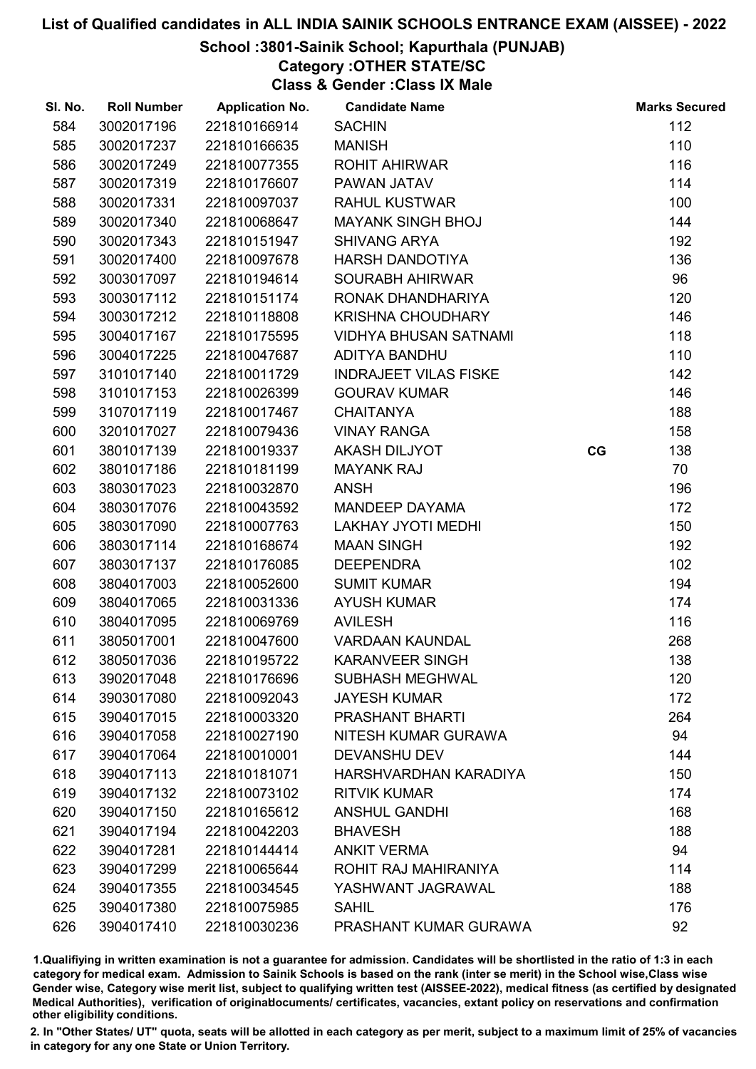## School :3801-Sainik School; Kapurthala (PUNJAB)

Category :OTHER STATE/SC

Class & Gender :Class IX Male

| SI. No. | <b>Roll Number</b> | <b>Application No.</b> | <b>Candidate Name</b>        |    | <b>Marks Secured</b> |
|---------|--------------------|------------------------|------------------------------|----|----------------------|
| 584     | 3002017196         | 221810166914           | <b>SACHIN</b>                |    | 112                  |
| 585     | 3002017237         | 221810166635           | <b>MANISH</b>                |    | 110                  |
| 586     | 3002017249         | 221810077355           | <b>ROHIT AHIRWAR</b>         |    | 116                  |
| 587     | 3002017319         | 221810176607           | PAWAN JATAV                  |    | 114                  |
| 588     | 3002017331         | 221810097037           | <b>RAHUL KUSTWAR</b>         |    | 100                  |
| 589     | 3002017340         | 221810068647           | <b>MAYANK SINGH BHOJ</b>     |    | 144                  |
| 590     | 3002017343         | 221810151947           | <b>SHIVANG ARYA</b>          |    | 192                  |
| 591     | 3002017400         | 221810097678           | <b>HARSH DANDOTIYA</b>       |    | 136                  |
| 592     | 3003017097         | 221810194614           | <b>SOURABH AHIRWAR</b>       |    | 96                   |
| 593     | 3003017112         | 221810151174           | RONAK DHANDHARIYA            |    | 120                  |
| 594     | 3003017212         | 221810118808           | <b>KRISHNA CHOUDHARY</b>     |    | 146                  |
| 595     | 3004017167         | 221810175595           | <b>VIDHYA BHUSAN SATNAMI</b> |    | 118                  |
| 596     | 3004017225         | 221810047687           | ADITYA BANDHU                |    | 110                  |
| 597     | 3101017140         | 221810011729           | <b>INDRAJEET VILAS FISKE</b> |    | 142                  |
| 598     | 3101017153         | 221810026399           | <b>GOURAV KUMAR</b>          |    | 146                  |
| 599     | 3107017119         | 221810017467           | <b>CHAITANYA</b>             |    | 188                  |
| 600     | 3201017027         | 221810079436           | <b>VINAY RANGA</b>           |    | 158                  |
| 601     | 3801017139         | 221810019337           | <b>AKASH DILJYOT</b>         | CG | 138                  |
| 602     | 3801017186         | 221810181199           | <b>MAYANK RAJ</b>            |    | 70                   |
| 603     | 3803017023         | 221810032870           | <b>ANSH</b>                  |    | 196                  |
| 604     | 3803017076         | 221810043592           | <b>MANDEEP DAYAMA</b>        |    | 172                  |
| 605     | 3803017090         | 221810007763           | <b>LAKHAY JYOTI MEDHI</b>    |    | 150                  |
| 606     | 3803017114         | 221810168674           | <b>MAAN SINGH</b>            |    | 192                  |
| 607     | 3803017137         | 221810176085           | <b>DEEPENDRA</b>             |    | 102                  |
| 608     | 3804017003         | 221810052600           | <b>SUMIT KUMAR</b>           |    | 194                  |
| 609     | 3804017065         | 221810031336           | <b>AYUSH KUMAR</b>           |    | 174                  |
| 610     | 3804017095         | 221810069769           | <b>AVILESH</b>               |    | 116                  |
| 611     | 3805017001         | 221810047600           | <b>VARDAAN KAUNDAL</b>       |    | 268                  |
| 612     | 3805017036         | 221810195722           | <b>KARANVEER SINGH</b>       |    | 138                  |
| 613     | 3902017048         | 221810176696           | <b>SUBHASH MEGHWAL</b>       |    | 120                  |
| 614     | 3903017080         | 221810092043           | <b>JAYESH KUMAR</b>          |    | 172                  |
| 615     | 3904017015         | 221810003320           | <b>PRASHANT BHARTI</b>       |    | 264                  |
| 616     | 3904017058         | 221810027190           | NITESH KUMAR GURAWA          |    | 94                   |
| 617     | 3904017064         | 221810010001           | <b>DEVANSHU DEV</b>          |    | 144                  |
| 618     | 3904017113         | 221810181071           | HARSHVARDHAN KARADIYA        |    | 150                  |
| 619     | 3904017132         | 221810073102           | <b>RITVIK KUMAR</b>          |    | 174                  |
| 620     | 3904017150         | 221810165612           | <b>ANSHUL GANDHI</b>         |    | 168                  |
| 621     | 3904017194         | 221810042203           | <b>BHAVESH</b>               |    | 188                  |
| 622     | 3904017281         | 221810144414           | <b>ANKIT VERMA</b>           |    | 94                   |
| 623     | 3904017299         | 221810065644           | ROHIT RAJ MAHIRANIYA         |    | 114                  |
| 624     | 3904017355         | 221810034545           | YASHWANT JAGRAWAL            |    | 188                  |
| 625     | 3904017380         | 221810075985           | <b>SAHIL</b>                 |    | 176                  |
| 626     | 3904017410         | 221810030236           | PRASHANT KUMAR GURAWA        |    | 92                   |

1.Qualifiying in written examination is not a guarantee for admission. Candidates will be shortlisted in the ratio of 1:3 in each category for medical exam. Admission to Sainik Schools is based on the rank (inter se merit) in the School wise,Class wise Gender wise, Category wise merit list, subject to qualifying written test (AISSEE-2022), medical fitness (as certified by designated Medical Authorities), verification of originablocuments/ certificates, vacancies, extant policy on reservations and confirmation other eligibility conditions.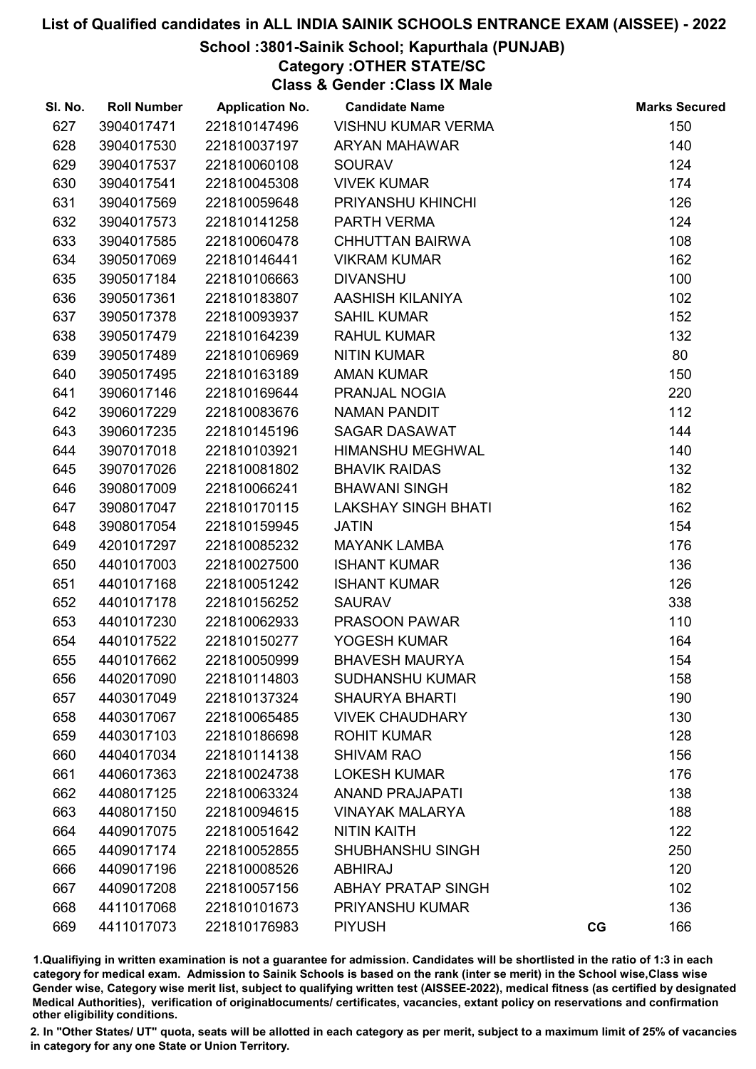## School :3801-Sainik School; Kapurthala (PUNJAB)

## Category :OTHER STATE/SC

Class & Gender :Class IX Male

| SI. No. | <b>Roll Number</b> | <b>Application No.</b> | <b>Candidate Name</b>      |    | <b>Marks Secured</b> |
|---------|--------------------|------------------------|----------------------------|----|----------------------|
| 627     | 3904017471         | 221810147496           | <b>VISHNU KUMAR VERMA</b>  |    | 150                  |
| 628     | 3904017530         | 221810037197           | <b>ARYAN MAHAWAR</b>       |    | 140                  |
| 629     | 3904017537         | 221810060108           | SOURAV                     |    | 124                  |
| 630     | 3904017541         | 221810045308           | <b>VIVEK KUMAR</b>         |    | 174                  |
| 631     | 3904017569         | 221810059648           | PRIYANSHU KHINCHI          |    | 126                  |
| 632     | 3904017573         | 221810141258           | PARTH VERMA                |    | 124                  |
| 633     | 3904017585         | 221810060478           | <b>CHHUTTAN BAIRWA</b>     |    | 108                  |
| 634     | 3905017069         | 221810146441           | <b>VIKRAM KUMAR</b>        |    | 162                  |
| 635     | 3905017184         | 221810106663           | <b>DIVANSHU</b>            |    | 100                  |
| 636     | 3905017361         | 221810183807           | AASHISH KILANIYA           |    | 102                  |
| 637     | 3905017378         | 221810093937           | <b>SAHIL KUMAR</b>         |    | 152                  |
| 638     | 3905017479         | 221810164239           | <b>RAHUL KUMAR</b>         |    | 132                  |
| 639     | 3905017489         | 221810106969           | <b>NITIN KUMAR</b>         |    | 80                   |
| 640     | 3905017495         | 221810163189           | <b>AMAN KUMAR</b>          |    | 150                  |
| 641     | 3906017146         | 221810169644           | PRANJAL NOGIA              |    | 220                  |
| 642     | 3906017229         | 221810083676           | <b>NAMAN PANDIT</b>        |    | 112                  |
| 643     | 3906017235         | 221810145196           | <b>SAGAR DASAWAT</b>       |    | 144                  |
| 644     | 3907017018         | 221810103921           | HIMANSHU MEGHWAL           |    | 140                  |
| 645     | 3907017026         | 221810081802           | <b>BHAVIK RAIDAS</b>       |    | 132                  |
| 646     | 3908017009         | 221810066241           | <b>BHAWANI SINGH</b>       |    | 182                  |
| 647     | 3908017047         | 221810170115           | <b>LAKSHAY SINGH BHATI</b> |    | 162                  |
| 648     | 3908017054         | 221810159945           | <b>JATIN</b>               |    | 154                  |
| 649     | 4201017297         | 221810085232           | <b>MAYANK LAMBA</b>        |    | 176                  |
| 650     | 4401017003         | 221810027500           | <b>ISHANT KUMAR</b>        |    | 136                  |
| 651     | 4401017168         | 221810051242           | <b>ISHANT KUMAR</b>        |    | 126                  |
| 652     | 4401017178         | 221810156252           | <b>SAURAV</b>              |    | 338                  |
| 653     | 4401017230         | 221810062933           | PRASOON PAWAR              |    | 110                  |
| 654     | 4401017522         | 221810150277           | YOGESH KUMAR               |    | 164                  |
| 655     | 4401017662         | 221810050999           | <b>BHAVESH MAURYA</b>      |    | 154                  |
| 656     | 4402017090         | 221810114803           | <b>SUDHANSHU KUMAR</b>     |    | 158                  |
| 657     | 4403017049         | 221810137324           | <b>SHAURYA BHARTI</b>      |    | 190                  |
| 658     | 4403017067         | 221810065485           | <b>VIVEK CHAUDHARY</b>     |    | 130                  |
| 659     | 4403017103         | 221810186698           | <b>ROHIT KUMAR</b>         |    | 128                  |
| 660     | 4404017034         | 221810114138           | <b>SHIVAM RAO</b>          |    | 156                  |
| 661     | 4406017363         | 221810024738           | <b>LOKESH KUMAR</b>        |    | 176                  |
| 662     | 4408017125         | 221810063324           | <b>ANAND PRAJAPATI</b>     |    | 138                  |
| 663     | 4408017150         | 221810094615           | <b>VINAYAK MALARYA</b>     |    | 188                  |
| 664     | 4409017075         | 221810051642           | <b>NITIN KAITH</b>         |    | 122                  |
| 665     | 4409017174         | 221810052855           | <b>SHUBHANSHU SINGH</b>    |    | 250                  |
| 666     | 4409017196         | 221810008526           | <b>ABHIRAJ</b>             |    | 120                  |
| 667     | 4409017208         | 221810057156           | <b>ABHAY PRATAP SINGH</b>  |    | 102                  |
| 668     | 4411017068         | 221810101673           | PRIYANSHU KUMAR            |    | 136                  |
| 669     | 4411017073         | 221810176983           | <b>PIYUSH</b>              | CG | 166                  |

1.Qualifiying in written examination is not a guarantee for admission. Candidates will be shortlisted in the ratio of 1:3 in each category for medical exam. Admission to Sainik Schools is based on the rank (inter se merit) in the School wise,Class wise Gender wise, Category wise merit list, subject to qualifying written test (AISSEE-2022), medical fitness (as certified by designated Medical Authorities), verification of originablocuments/ certificates, vacancies, extant policy on reservations and confirmation other eligibility conditions.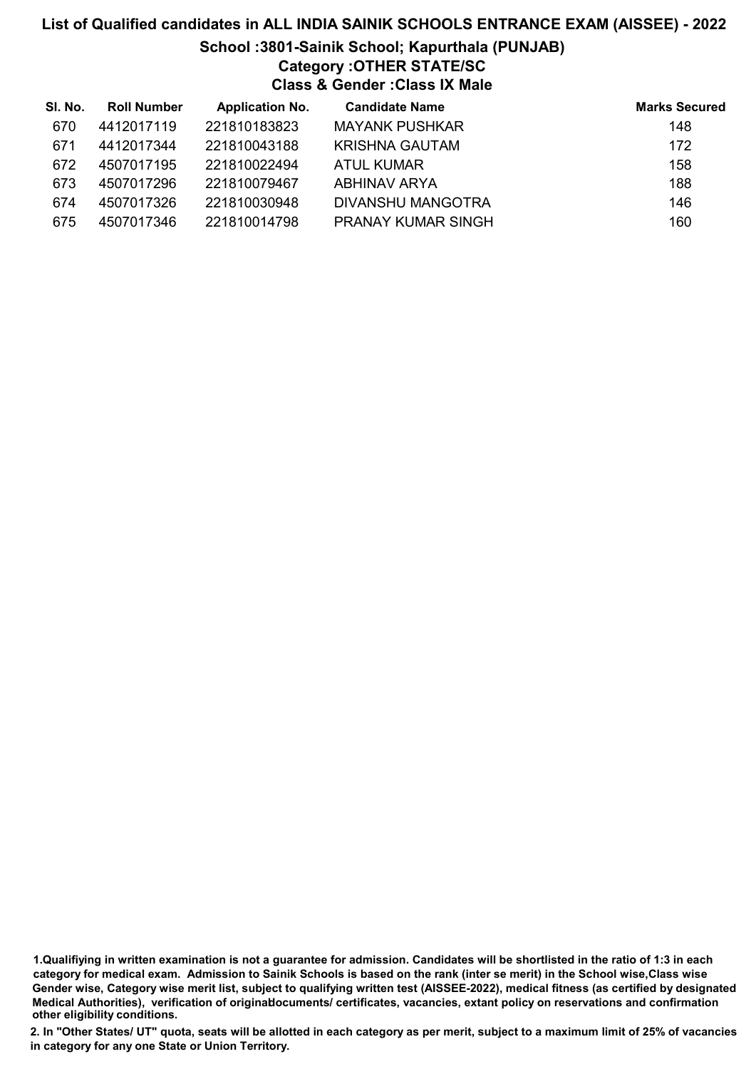# List of Qualified candidates in ALL INDIA SAINIK SCHOOLS ENTRANCE EXAM (AISSEE) - 2022 School :3801-Sainik School; Kapurthala (PUNJAB) Category :OTHER STATE/SC Class & Gender :Class IX Male

| SI. No. | <b>Roll Number</b> | <b>Application No.</b> | <b>Candidate Name</b>     | <b>Marks Secured</b> |
|---------|--------------------|------------------------|---------------------------|----------------------|
| 670     | 4412017119         | 221810183823           | <b>MAYANK PUSHKAR</b>     | 148                  |
| 671     | 4412017344         | 221810043188           | KRISHNA GAUTAM            | 172                  |
| 672     | 4507017195         | 221810022494           | ATUL KUMAR                | 158                  |
| 673     | 4507017296         | 221810079467           | ABHINAV ARYA              | 188                  |
| 674     | 4507017326         | 221810030948           | DIVANSHU MANGOTRA         | 146                  |
| 675     | 4507017346         | 221810014798           | <b>PRANAY KUMAR SINGH</b> | 160                  |

<sup>1.</sup>Qualifiying in written examination is not a guarantee for admission. Candidates will be shortlisted in the ratio of 1:3 in each category for medical exam. Admission to Sainik Schools is based on the rank (inter se merit) in the School wise,Class wise Gender wise, Category wise merit list, subject to qualifying written test (AISSEE-2022), medical fitness (as certified by designated Medical Authorities), verification of originablocuments/ certificates, vacancies, extant policy on reservations and confirmation other eligibility conditions.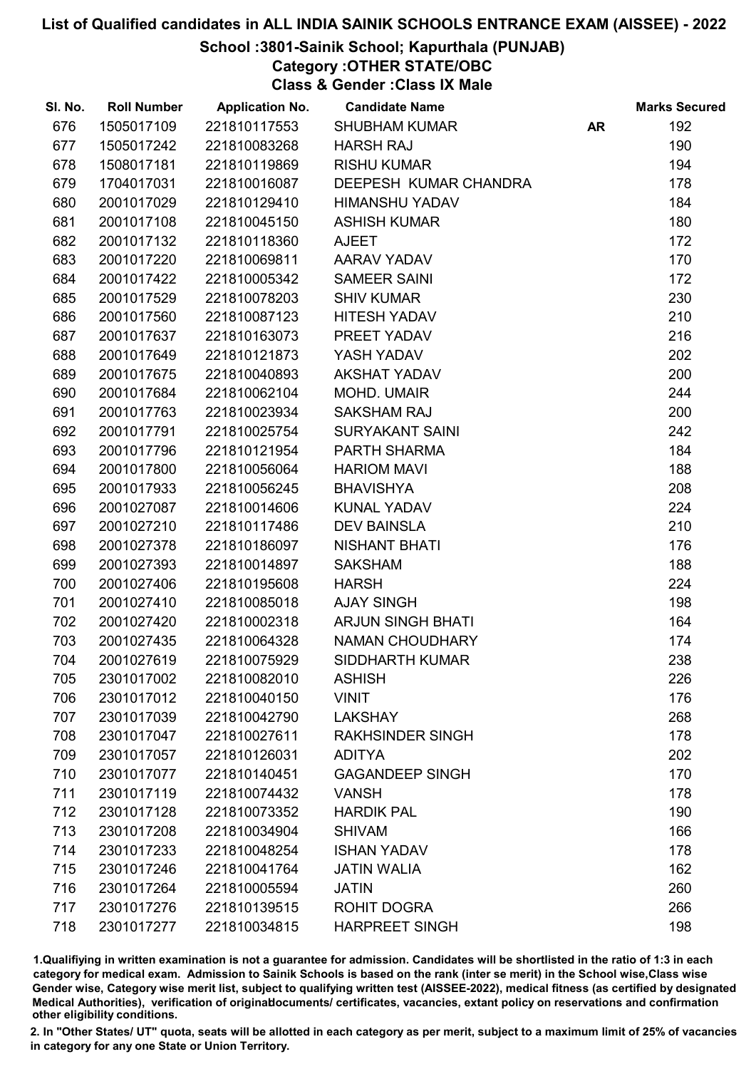## School :3801-Sainik School; Kapurthala (PUNJAB)

Category :OTHER STATE/OBC

Class & Gender :Class IX Male

| SI. No. | <b>Roll Number</b> | <b>Application No.</b> | <b>Candidate Name</b>    |           | <b>Marks Secured</b> |
|---------|--------------------|------------------------|--------------------------|-----------|----------------------|
| 676     | 1505017109         | 221810117553           | <b>SHUBHAM KUMAR</b>     | <b>AR</b> | 192                  |
| 677     | 1505017242         | 221810083268           | <b>HARSH RAJ</b>         |           | 190                  |
| 678     | 1508017181         | 221810119869           | <b>RISHU KUMAR</b>       |           | 194                  |
| 679     | 1704017031         | 221810016087           | DEEPESH KUMAR CHANDRA    |           | 178                  |
| 680     | 2001017029         | 221810129410           | <b>HIMANSHU YADAV</b>    |           | 184                  |
| 681     | 2001017108         | 221810045150           | <b>ASHISH KUMAR</b>      |           | 180                  |
| 682     | 2001017132         | 221810118360           | <b>AJEET</b>             |           | 172                  |
| 683     | 2001017220         | 221810069811           | AARAV YADAV              |           | 170                  |
| 684     | 2001017422         | 221810005342           | <b>SAMEER SAINI</b>      |           | 172                  |
| 685     | 2001017529         | 221810078203           | <b>SHIV KUMAR</b>        |           | 230                  |
| 686     | 2001017560         | 221810087123           | <b>HITESH YADAV</b>      |           | 210                  |
| 687     | 2001017637         | 221810163073           | PREET YADAV              |           | 216                  |
| 688     | 2001017649         | 221810121873           | YASH YADAV               |           | 202                  |
| 689     | 2001017675         | 221810040893           | <b>AKSHAT YADAV</b>      |           | 200                  |
| 690     | 2001017684         | 221810062104           | MOHD. UMAIR              |           | 244                  |
| 691     | 2001017763         | 221810023934           | <b>SAKSHAM RAJ</b>       |           | 200                  |
| 692     | 2001017791         | 221810025754           | <b>SURYAKANT SAINI</b>   |           | 242                  |
| 693     | 2001017796         | 221810121954           | PARTH SHARMA             |           | 184                  |
| 694     | 2001017800         | 221810056064           | <b>HARIOM MAVI</b>       |           | 188                  |
| 695     | 2001017933         | 221810056245           | <b>BHAVISHYA</b>         |           | 208                  |
| 696     | 2001027087         | 221810014606           | <b>KUNAL YADAV</b>       |           | 224                  |
| 697     | 2001027210         | 221810117486           | <b>DEV BAINSLA</b>       |           | 210                  |
| 698     | 2001027378         | 221810186097           | <b>NISHANT BHATI</b>     |           | 176                  |
| 699     | 2001027393         | 221810014897           | <b>SAKSHAM</b>           |           | 188                  |
| 700     | 2001027406         | 221810195608           | <b>HARSH</b>             |           | 224                  |
| 701     | 2001027410         | 221810085018           | <b>AJAY SINGH</b>        |           | 198                  |
| 702     | 2001027420         | 221810002318           | <b>ARJUN SINGH BHATI</b> |           | 164                  |
| 703     | 2001027435         | 221810064328           | <b>NAMAN CHOUDHARY</b>   |           | 174                  |
| 704     | 2001027619         | 221810075929           | <b>SIDDHARTH KUMAR</b>   |           | 238                  |
| 705     | 2301017002         | 221810082010           | <b>ASHISH</b>            |           | 226                  |
| 706     | 2301017012         | 221810040150           | <b>VINIT</b>             |           | 176                  |
| 707     | 2301017039         | 221810042790           | <b>LAKSHAY</b>           |           | 268                  |
| 708     | 2301017047         | 221810027611           | <b>RAKHSINDER SINGH</b>  |           | 178                  |
| 709     | 2301017057         | 221810126031           | <b>ADITYA</b>            |           | 202                  |
| 710     | 2301017077         | 221810140451           | <b>GAGANDEEP SINGH</b>   |           | 170                  |
| 711     | 2301017119         | 221810074432           | <b>VANSH</b>             |           | 178                  |
| 712     | 2301017128         | 221810073352           | <b>HARDIK PAL</b>        |           | 190                  |
| 713     | 2301017208         | 221810034904           | <b>SHIVAM</b>            |           | 166                  |
| 714     | 2301017233         | 221810048254           | <b>ISHAN YADAV</b>       |           | 178                  |
| 715     | 2301017246         | 221810041764           | <b>JATIN WALIA</b>       |           | 162                  |
| 716     | 2301017264         | 221810005594           | <b>JATIN</b>             |           | 260                  |
| 717     | 2301017276         | 221810139515           | <b>ROHIT DOGRA</b>       |           | 266                  |
| 718     | 2301017277         | 221810034815           | <b>HARPREET SINGH</b>    |           | 198                  |

1.Qualifiying in written examination is not a guarantee for admission. Candidates will be shortlisted in the ratio of 1:3 in each category for medical exam. Admission to Sainik Schools is based on the rank (inter se merit) in the School wise,Class wise Gender wise, Category wise merit list, subject to qualifying written test (AISSEE-2022), medical fitness (as certified by designated Medical Authorities), verification of originablocuments/ certificates, vacancies, extant policy on reservations and confirmation other eligibility conditions.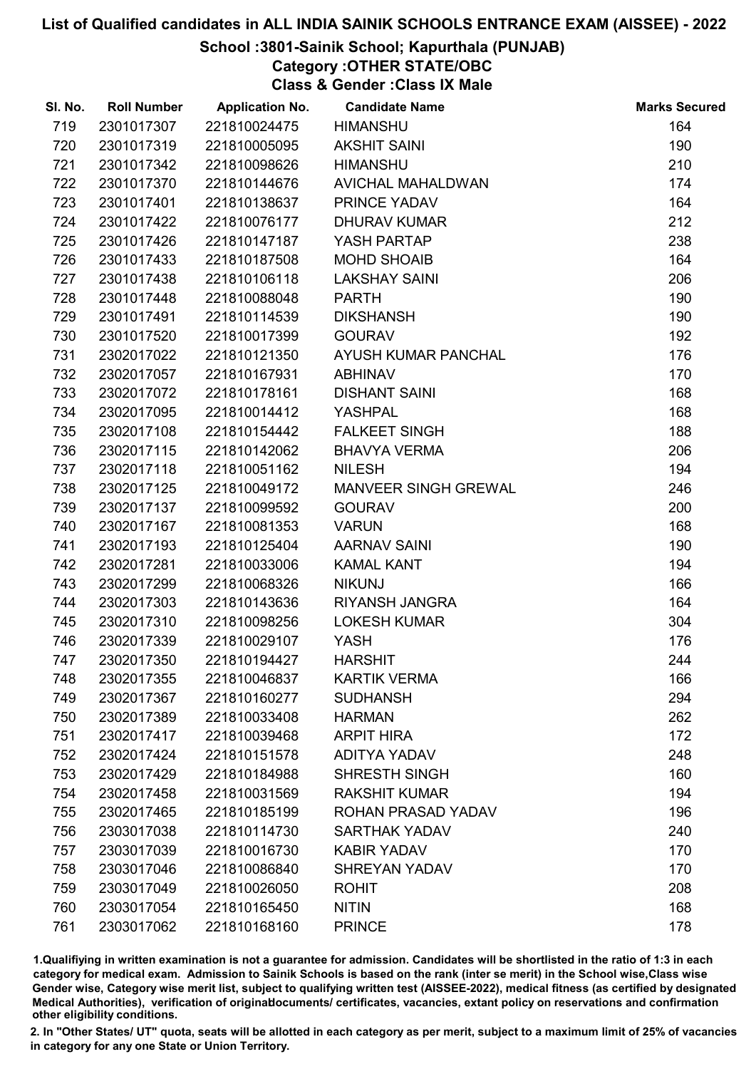## School :3801-Sainik School; Kapurthala (PUNJAB)

Category :OTHER STATE/OBC

Class & Gender :Class IX Male

| SI. No. | <b>Roll Number</b> | <b>Application No.</b> | <b>Candidate Name</b>       | <b>Marks Secured</b> |
|---------|--------------------|------------------------|-----------------------------|----------------------|
| 719     | 2301017307         | 221810024475           | <b>HIMANSHU</b>             | 164                  |
| 720     | 2301017319         | 221810005095           | <b>AKSHIT SAINI</b>         | 190                  |
| 721     | 2301017342         | 221810098626           | <b>HIMANSHU</b>             | 210                  |
| 722     | 2301017370         | 221810144676           | AVICHAL MAHALDWAN           | 174                  |
| 723     | 2301017401         | 221810138637           | PRINCE YADAV                | 164                  |
| 724     | 2301017422         | 221810076177           | <b>DHURAV KUMAR</b>         | 212                  |
| 725     | 2301017426         | 221810147187           | YASH PARTAP                 | 238                  |
| 726     | 2301017433         | 221810187508           | <b>MOHD SHOAIB</b>          | 164                  |
| 727     | 2301017438         | 221810106118           | <b>LAKSHAY SAINI</b>        | 206                  |
| 728     | 2301017448         | 221810088048           | <b>PARTH</b>                | 190                  |
| 729     | 2301017491         | 221810114539           | <b>DIKSHANSH</b>            | 190                  |
| 730     | 2301017520         | 221810017399           | <b>GOURAV</b>               | 192                  |
| 731     | 2302017022         | 221810121350           | AYUSH KUMAR PANCHAL         | 176                  |
| 732     | 2302017057         | 221810167931           | <b>ABHINAV</b>              | 170                  |
| 733     | 2302017072         | 221810178161           | <b>DISHANT SAINI</b>        | 168                  |
| 734     | 2302017095         | 221810014412           | <b>YASHPAL</b>              | 168                  |
| 735     | 2302017108         | 221810154442           | <b>FALKEET SINGH</b>        | 188                  |
| 736     | 2302017115         | 221810142062           | <b>BHAVYA VERMA</b>         | 206                  |
| 737     | 2302017118         | 221810051162           | <b>NILESH</b>               | 194                  |
| 738     | 2302017125         | 221810049172           | <b>MANVEER SINGH GREWAL</b> | 246                  |
| 739     | 2302017137         | 221810099592           | <b>GOURAV</b>               | 200                  |
| 740     | 2302017167         | 221810081353           | <b>VARUN</b>                | 168                  |
| 741     | 2302017193         | 221810125404           | <b>AARNAV SAINI</b>         | 190                  |
| 742     | 2302017281         | 221810033006           | <b>KAMAL KANT</b>           | 194                  |
| 743     | 2302017299         | 221810068326           | <b>NIKUNJ</b>               | 166                  |
| 744     | 2302017303         | 221810143636           | RIYANSH JANGRA              | 164                  |
| 745     | 2302017310         | 221810098256           | <b>LOKESH KUMAR</b>         | 304                  |
| 746     | 2302017339         | 221810029107           | YASH                        | 176                  |
| 747     | 2302017350         | 221810194427           | <b>HARSHIT</b>              | 244                  |
| 748     | 2302017355         | 221810046837           | <b>KARTIK VERMA</b>         | 166                  |
| 749     | 2302017367         | 221810160277           | <b>SUDHANSH</b>             | 294                  |
| 750     | 2302017389         | 221810033408           | <b>HARMAN</b>               | 262                  |
| 751     | 2302017417         | 221810039468           | <b>ARPIT HIRA</b>           | 172                  |
| 752     | 2302017424         | 221810151578           | <b>ADITYA YADAV</b>         | 248                  |
| 753     | 2302017429         | 221810184988           | SHRESTH SINGH               | 160                  |
| 754     | 2302017458         | 221810031569           | <b>RAKSHIT KUMAR</b>        | 194                  |
| 755     | 2302017465         | 221810185199           | ROHAN PRASAD YADAV          | 196                  |
| 756     | 2303017038         | 221810114730           | <b>SARTHAK YADAV</b>        | 240                  |
| 757     | 2303017039         | 221810016730           | <b>KABIR YADAV</b>          | 170                  |
| 758     | 2303017046         | 221810086840           | <b>SHREYAN YADAV</b>        | 170                  |
| 759     | 2303017049         | 221810026050           | <b>ROHIT</b>                | 208                  |
| 760     | 2303017054         | 221810165450           | <b>NITIN</b>                | 168                  |
| 761     | 2303017062         | 221810168160           | <b>PRINCE</b>               | 178                  |

1.Qualifiying in written examination is not a guarantee for admission. Candidates will be shortlisted in the ratio of 1:3 in each category for medical exam. Admission to Sainik Schools is based on the rank (inter se merit) in the School wise,Class wise Gender wise, Category wise merit list, subject to qualifying written test (AISSEE-2022), medical fitness (as certified by designated Medical Authorities), verification of originablocuments/ certificates, vacancies, extant policy on reservations and confirmation other eligibility conditions.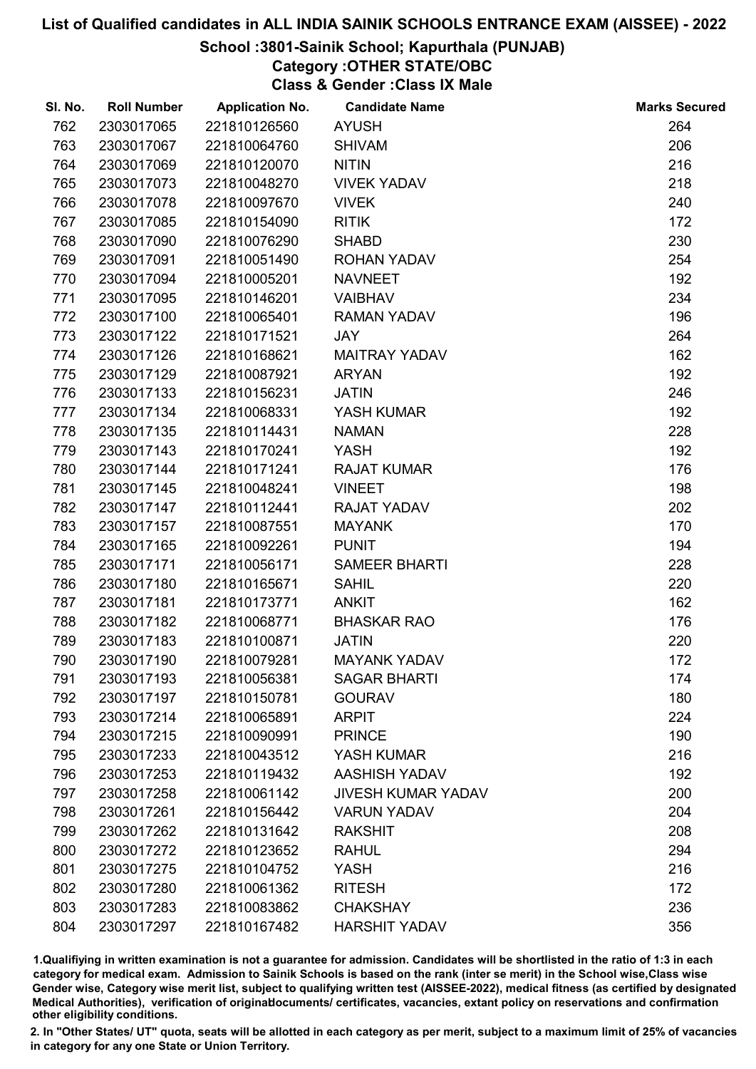#### School :3801-Sainik School; Kapurthala (PUNJAB)

Category :OTHER STATE/OBC

Class & Gender :Class IX Male

| SI. No. | <b>Roll Number</b> | <b>Application No.</b> | <b>Candidate Name</b>     | <b>Marks Secured</b> |
|---------|--------------------|------------------------|---------------------------|----------------------|
| 762     | 2303017065         | 221810126560           | <b>AYUSH</b>              | 264                  |
| 763     | 2303017067         | 221810064760           | <b>SHIVAM</b>             | 206                  |
| 764     | 2303017069         | 221810120070           | <b>NITIN</b>              | 216                  |
| 765     | 2303017073         | 221810048270           | <b>VIVEK YADAV</b>        | 218                  |
| 766     | 2303017078         | 221810097670           | <b>VIVEK</b>              | 240                  |
| 767     | 2303017085         | 221810154090           | <b>RITIK</b>              | 172                  |
| 768     | 2303017090         | 221810076290           | <b>SHABD</b>              | 230                  |
| 769     | 2303017091         | 221810051490           | <b>ROHAN YADAV</b>        | 254                  |
| 770     | 2303017094         | 221810005201           | <b>NAVNEET</b>            | 192                  |
| 771     | 2303017095         | 221810146201           | <b>VAIBHAV</b>            | 234                  |
| 772     | 2303017100         | 221810065401           | <b>RAMAN YADAV</b>        | 196                  |
| 773     | 2303017122         | 221810171521           | <b>JAY</b>                | 264                  |
| 774     | 2303017126         | 221810168621           | <b>MAITRAY YADAV</b>      | 162                  |
| 775     | 2303017129         | 221810087921           | <b>ARYAN</b>              | 192                  |
| 776     | 2303017133         | 221810156231           | <b>JATIN</b>              | 246                  |
| 777     | 2303017134         | 221810068331           | YASH KUMAR                | 192                  |
| 778     | 2303017135         | 221810114431           | <b>NAMAN</b>              | 228                  |
| 779     | 2303017143         | 221810170241           | <b>YASH</b>               | 192                  |
| 780     | 2303017144         | 221810171241           | <b>RAJAT KUMAR</b>        | 176                  |
| 781     | 2303017145         | 221810048241           | <b>VINEET</b>             | 198                  |
| 782     | 2303017147         | 221810112441           | <b>RAJAT YADAV</b>        | 202                  |
| 783     | 2303017157         | 221810087551           | <b>MAYANK</b>             | 170                  |
| 784     | 2303017165         | 221810092261           | <b>PUNIT</b>              | 194                  |
| 785     | 2303017171         | 221810056171           | <b>SAMEER BHARTI</b>      | 228                  |
| 786     | 2303017180         | 221810165671           | <b>SAHIL</b>              | 220                  |
| 787     | 2303017181         | 221810173771           | <b>ANKIT</b>              | 162                  |
| 788     | 2303017182         | 221810068771           | <b>BHASKAR RAO</b>        | 176                  |
| 789     | 2303017183         | 221810100871           | <b>JATIN</b>              | 220                  |
| 790     | 2303017190         | 221810079281           | <b>MAYANK YADAV</b>       | 172                  |
| 791     | 2303017193         | 221810056381           | <b>SAGAR BHARTI</b>       | 174                  |
| 792     | 2303017197         | 221810150781           | <b>GOURAV</b>             | 180                  |
| 793     | 2303017214         | 221810065891           | <b>ARPIT</b>              | 224                  |
| 794     | 2303017215         | 221810090991           | <b>PRINCE</b>             | 190                  |
| 795     | 2303017233         | 221810043512           | YASH KUMAR                | 216                  |
| 796     | 2303017253         | 221810119432           | AASHISH YADAV             | 192                  |
| 797     | 2303017258         | 221810061142           | <b>JIVESH KUMAR YADAV</b> | 200                  |
| 798     | 2303017261         | 221810156442           | <b>VARUN YADAV</b>        | 204                  |
| 799     | 2303017262         | 221810131642           | <b>RAKSHIT</b>            | 208                  |
| 800     | 2303017272         | 221810123652           | <b>RAHUL</b>              | 294                  |
| 801     | 2303017275         | 221810104752           | <b>YASH</b>               | 216                  |
| 802     | 2303017280         | 221810061362           | <b>RITESH</b>             | 172                  |
| 803     | 2303017283         | 221810083862           | <b>CHAKSHAY</b>           | 236                  |
| 804     | 2303017297         | 221810167482           | <b>HARSHIT YADAV</b>      | 356                  |

1.Qualifiying in written examination is not a guarantee for admission. Candidates will be shortlisted in the ratio of 1:3 in each category for medical exam. Admission to Sainik Schools is based on the rank (inter se merit) in the School wise,Class wise Gender wise, Category wise merit list, subject to qualifying written test (AISSEE-2022), medical fitness (as certified by designated Medical Authorities), verification of originablocuments/ certificates, vacancies, extant policy on reservations and confirmation other eligibility conditions.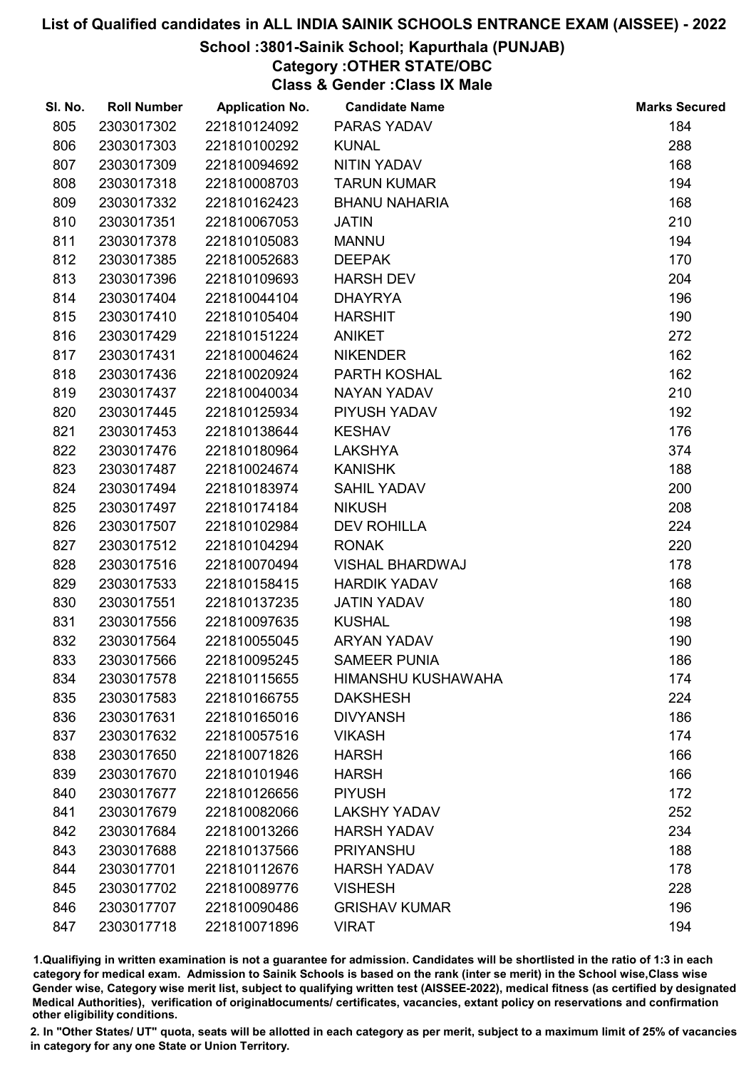## School :3801-Sainik School; Kapurthala (PUNJAB)

Category :OTHER STATE/OBC

Class & Gender :Class IX Male

| SI. No. | <b>Roll Number</b> | <b>Application No.</b> | <b>Candidate Name</b>     | <b>Marks Secured</b> |
|---------|--------------------|------------------------|---------------------------|----------------------|
| 805     | 2303017302         | 221810124092           | PARAS YADAV               | 184                  |
| 806     | 2303017303         | 221810100292           | <b>KUNAL</b>              | 288                  |
| 807     | 2303017309         | 221810094692           | NITIN YADAV               | 168                  |
| 808     | 2303017318         | 221810008703           | <b>TARUN KUMAR</b>        | 194                  |
| 809     | 2303017332         | 221810162423           | <b>BHANU NAHARIA</b>      | 168                  |
| 810     | 2303017351         | 221810067053           | <b>JATIN</b>              | 210                  |
| 811     | 2303017378         | 221810105083           | <b>MANNU</b>              | 194                  |
| 812     | 2303017385         | 221810052683           | <b>DEEPAK</b>             | 170                  |
| 813     | 2303017396         | 221810109693           | <b>HARSH DEV</b>          | 204                  |
| 814     | 2303017404         | 221810044104           | <b>DHAYRYA</b>            | 196                  |
| 815     | 2303017410         | 221810105404           | <b>HARSHIT</b>            | 190                  |
| 816     | 2303017429         | 221810151224           | <b>ANIKET</b>             | 272                  |
| 817     | 2303017431         | 221810004624           | <b>NIKENDER</b>           | 162                  |
| 818     | 2303017436         | 221810020924           | PARTH KOSHAL              | 162                  |
| 819     | 2303017437         | 221810040034           | <b>NAYAN YADAV</b>        | 210                  |
| 820     | 2303017445         | 221810125934           | PIYUSH YADAV              | 192                  |
| 821     | 2303017453         | 221810138644           | <b>KESHAV</b>             | 176                  |
| 822     | 2303017476         | 221810180964           | <b>LAKSHYA</b>            | 374                  |
| 823     | 2303017487         | 221810024674           | <b>KANISHK</b>            | 188                  |
| 824     | 2303017494         | 221810183974           | <b>SAHIL YADAV</b>        | 200                  |
| 825     | 2303017497         | 221810174184           | <b>NIKUSH</b>             | 208                  |
| 826     | 2303017507         | 221810102984           | <b>DEV ROHILLA</b>        | 224                  |
| 827     | 2303017512         | 221810104294           | <b>RONAK</b>              | 220                  |
| 828     | 2303017516         | 221810070494           | <b>VISHAL BHARDWAJ</b>    | 178                  |
| 829     | 2303017533         | 221810158415           | <b>HARDIK YADAV</b>       | 168                  |
| 830     | 2303017551         | 221810137235           | <b>JATIN YADAV</b>        | 180                  |
| 831     | 2303017556         | 221810097635           | <b>KUSHAL</b>             | 198                  |
| 832     | 2303017564         | 221810055045           | <b>ARYAN YADAV</b>        | 190                  |
| 833     | 2303017566         | 221810095245           | <b>SAMEER PUNIA</b>       | 186                  |
| 834     | 2303017578         | 221810115655           | <b>HIMANSHU KUSHAWAHA</b> | 174                  |
| 835     | 2303017583         | 221810166755           | <b>DAKSHESH</b>           | 224                  |
| 836     | 2303017631         | 221810165016           | <b>DIVYANSH</b>           | 186                  |
| 837     | 2303017632         | 221810057516           | <b>VIKASH</b>             | 174                  |
| 838     | 2303017650         | 221810071826           | <b>HARSH</b>              | 166                  |
| 839     | 2303017670         | 221810101946           | <b>HARSH</b>              | 166                  |
| 840     | 2303017677         | 221810126656           | <b>PIYUSH</b>             | 172                  |
| 841     | 2303017679         | 221810082066           | <b>LAKSHY YADAV</b>       | 252                  |
| 842     | 2303017684         | 221810013266           | <b>HARSH YADAV</b>        | 234                  |
| 843     | 2303017688         | 221810137566           | <b>PRIYANSHU</b>          | 188                  |
| 844     | 2303017701         | 221810112676           | <b>HARSH YADAV</b>        | 178                  |
| 845     | 2303017702         | 221810089776           | <b>VISHESH</b>            | 228                  |
| 846     | 2303017707         | 221810090486           | <b>GRISHAV KUMAR</b>      | 196                  |
| 847     | 2303017718         | 221810071896           | <b>VIRAT</b>              | 194                  |

1.Qualifiying in written examination is not a guarantee for admission. Candidates will be shortlisted in the ratio of 1:3 in each category for medical exam. Admission to Sainik Schools is based on the rank (inter se merit) in the School wise,Class wise Gender wise, Category wise merit list, subject to qualifying written test (AISSEE-2022), medical fitness (as certified by designated Medical Authorities), verification of originablocuments/ certificates, vacancies, extant policy on reservations and confirmation other eligibility conditions.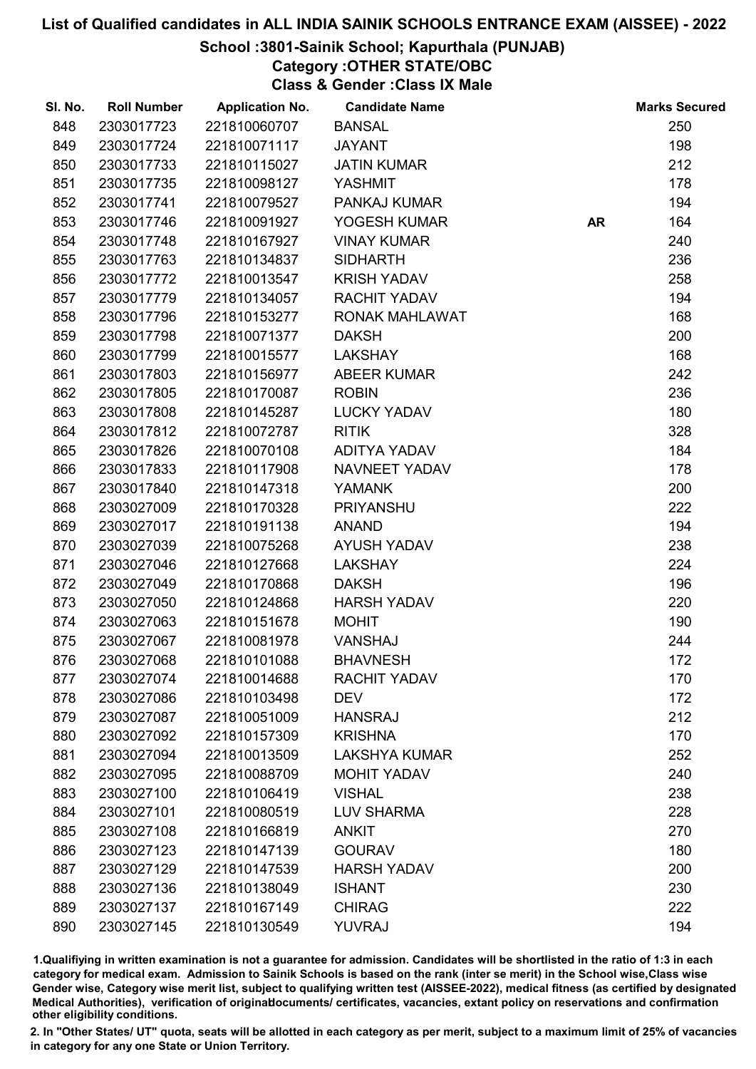## School :3801-Sainik School; Kapurthala (PUNJAB)

Category :OTHER STATE/OBC

Class & Gender :Class IX Male

| SI. No. | <b>Roll Number</b> | <b>Application No.</b> | <b>Candidate Name</b> |           | <b>Marks Secured</b> |
|---------|--------------------|------------------------|-----------------------|-----------|----------------------|
| 848     | 2303017723         | 221810060707           | <b>BANSAL</b>         |           | 250                  |
| 849     | 2303017724         | 221810071117           | <b>JAYANT</b>         |           | 198                  |
| 850     | 2303017733         | 221810115027           | <b>JATIN KUMAR</b>    |           | 212                  |
| 851     | 2303017735         | 221810098127           | <b>YASHMIT</b>        |           | 178                  |
| 852     | 2303017741         | 221810079527           | PANKAJ KUMAR          |           | 194                  |
| 853     | 2303017746         | 221810091927           | YOGESH KUMAR          | <b>AR</b> | 164                  |
| 854     | 2303017748         | 221810167927           | <b>VINAY KUMAR</b>    |           | 240                  |
| 855     | 2303017763         | 221810134837           | <b>SIDHARTH</b>       |           | 236                  |
| 856     | 2303017772         | 221810013547           | <b>KRISH YADAV</b>    |           | 258                  |
| 857     | 2303017779         | 221810134057           | <b>RACHIT YADAV</b>   |           | 194                  |
| 858     | 2303017796         | 221810153277           | RONAK MAHLAWAT        |           | 168                  |
| 859     | 2303017798         | 221810071377           | <b>DAKSH</b>          |           | 200                  |
| 860     | 2303017799         | 221810015577           | <b>LAKSHAY</b>        |           | 168                  |
| 861     | 2303017803         | 221810156977           | <b>ABEER KUMAR</b>    |           | 242                  |
| 862     | 2303017805         | 221810170087           | <b>ROBIN</b>          |           | 236                  |
| 863     | 2303017808         | 221810145287           | <b>LUCKY YADAV</b>    |           | 180                  |
| 864     | 2303017812         | 221810072787           | <b>RITIK</b>          |           | 328                  |
| 865     | 2303017826         | 221810070108           | <b>ADITYA YADAV</b>   |           | 184                  |
| 866     | 2303017833         | 221810117908           | NAVNEET YADAV         |           | 178                  |
| 867     | 2303017840         | 221810147318           | <b>YAMANK</b>         |           | 200                  |
| 868     | 2303027009         | 221810170328           | <b>PRIYANSHU</b>      |           | 222                  |
| 869     | 2303027017         | 221810191138           | <b>ANAND</b>          |           | 194                  |
| 870     | 2303027039         | 221810075268           | <b>AYUSH YADAV</b>    |           | 238                  |
| 871     | 2303027046         | 221810127668           | <b>LAKSHAY</b>        |           | 224                  |
| 872     | 2303027049         | 221810170868           | <b>DAKSH</b>          |           | 196                  |
| 873     | 2303027050         | 221810124868           | <b>HARSH YADAV</b>    |           | 220                  |
| 874     | 2303027063         | 221810151678           | <b>MOHIT</b>          |           | 190                  |
| 875     | 2303027067         | 221810081978           | VANSHAJ               |           | 244                  |
| 876     | 2303027068         | 221810101088           | <b>BHAVNESH</b>       |           | 172                  |
| 877     | 2303027074         | 221810014688           | <b>RACHIT YADAV</b>   |           | 170                  |
| 878     | 2303027086         | 221810103498           | <b>DEV</b>            |           | 172                  |
| 879     | 2303027087         | 221810051009           | <b>HANSRAJ</b>        |           | 212                  |
| 880     | 2303027092         | 221810157309           | <b>KRISHNA</b>        |           | 170                  |
| 881     | 2303027094         | 221810013509           | <b>LAKSHYA KUMAR</b>  |           | 252                  |
| 882     | 2303027095         | 221810088709           | <b>MOHIT YADAV</b>    |           | 240                  |
| 883     | 2303027100         | 221810106419           | <b>VISHAL</b>         |           | 238                  |
| 884     | 2303027101         | 221810080519           | <b>LUV SHARMA</b>     |           | 228                  |
| 885     | 2303027108         | 221810166819           | <b>ANKIT</b>          |           | 270                  |
| 886     | 2303027123         | 221810147139           | <b>GOURAV</b>         |           | 180                  |
| 887     | 2303027129         | 221810147539           | <b>HARSH YADAV</b>    |           | 200                  |
| 888     | 2303027136         | 221810138049           | <b>ISHANT</b>         |           | 230                  |
| 889     | 2303027137         | 221810167149           | <b>CHIRAG</b>         |           | 222                  |
| 890     | 2303027145         | 221810130549           | YUVRAJ                |           | 194                  |

1.Qualifiying in written examination is not a guarantee for admission. Candidates will be shortlisted in the ratio of 1:3 in each category for medical exam. Admission to Sainik Schools is based on the rank (inter se merit) in the School wise,Class wise Gender wise, Category wise merit list, subject to qualifying written test (AISSEE-2022), medical fitness (as certified by designated Medical Authorities), verification of originablocuments/ certificates, vacancies, extant policy on reservations and confirmation other eligibility conditions.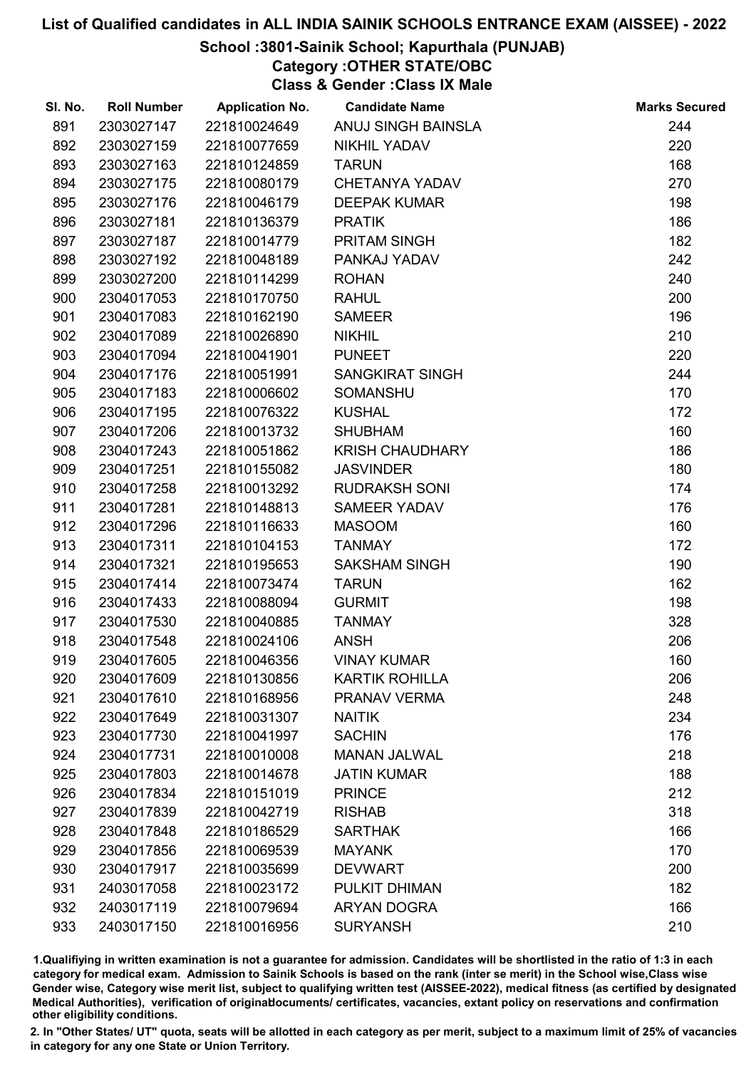## School :3801-Sainik School; Kapurthala (PUNJAB)

Category :OTHER STATE/OBC

Class & Gender :Class IX Male

| SI. No. | <b>Roll Number</b> | <b>Application No.</b> | <b>Candidate Name</b>  | <b>Marks Secured</b> |
|---------|--------------------|------------------------|------------------------|----------------------|
| 891     | 2303027147         | 221810024649           | ANUJ SINGH BAINSLA     | 244                  |
| 892     | 2303027159         | 221810077659           | <b>NIKHIL YADAV</b>    | 220                  |
| 893     | 2303027163         | 221810124859           | <b>TARUN</b>           | 168                  |
| 894     | 2303027175         | 221810080179           | <b>CHETANYA YADAV</b>  | 270                  |
| 895     | 2303027176         | 221810046179           | <b>DEEPAK KUMAR</b>    | 198                  |
| 896     | 2303027181         | 221810136379           | <b>PRATIK</b>          | 186                  |
| 897     | 2303027187         | 221810014779           | PRITAM SINGH           | 182                  |
| 898     | 2303027192         | 221810048189           | PANKAJ YADAV           | 242                  |
| 899     | 2303027200         | 221810114299           | <b>ROHAN</b>           | 240                  |
| 900     | 2304017053         | 221810170750           | <b>RAHUL</b>           | 200                  |
| 901     | 2304017083         | 221810162190           | <b>SAMEER</b>          | 196                  |
| 902     | 2304017089         | 221810026890           | <b>NIKHIL</b>          | 210                  |
| 903     | 2304017094         | 221810041901           | <b>PUNEET</b>          | 220                  |
| 904     | 2304017176         | 221810051991           | <b>SANGKIRAT SINGH</b> | 244                  |
| 905     | 2304017183         | 221810006602           | <b>SOMANSHU</b>        | 170                  |
| 906     | 2304017195         | 221810076322           | <b>KUSHAL</b>          | 172                  |
| 907     | 2304017206         | 221810013732           | <b>SHUBHAM</b>         | 160                  |
| 908     | 2304017243         | 221810051862           | <b>KRISH CHAUDHARY</b> | 186                  |
| 909     | 2304017251         | 221810155082           | <b>JASVINDER</b>       | 180                  |
| 910     | 2304017258         | 221810013292           | <b>RUDRAKSH SONI</b>   | 174                  |
| 911     | 2304017281         | 221810148813           | <b>SAMEER YADAV</b>    | 176                  |
| 912     | 2304017296         | 221810116633           | <b>MASOOM</b>          | 160                  |
| 913     | 2304017311         | 221810104153           | <b>TANMAY</b>          | 172                  |
| 914     | 2304017321         | 221810195653           | <b>SAKSHAM SINGH</b>   | 190                  |
| 915     | 2304017414         | 221810073474           | <b>TARUN</b>           | 162                  |
| 916     | 2304017433         | 221810088094           | <b>GURMIT</b>          | 198                  |
| 917     | 2304017530         | 221810040885           | <b>TANMAY</b>          | 328                  |
| 918     | 2304017548         | 221810024106           | <b>ANSH</b>            | 206                  |
| 919     | 2304017605         | 221810046356           | <b>VINAY KUMAR</b>     | 160                  |
| 920     | 2304017609         | 221810130856           | <b>KARTIK ROHILLA</b>  | 206                  |
| 921     | 2304017610         | 221810168956           | PRANAV VERMA           | 248                  |
| 922     | 2304017649         | 221810031307           | <b>NAITIK</b>          | 234                  |
| 923     | 2304017730         | 221810041997           | <b>SACHIN</b>          | 176                  |
| 924     | 2304017731         | 221810010008           | <b>MANAN JALWAL</b>    | 218                  |
| 925     | 2304017803         | 221810014678           | <b>JATIN KUMAR</b>     | 188                  |
| 926     | 2304017834         | 221810151019           | <b>PRINCE</b>          | 212                  |
| 927     | 2304017839         | 221810042719           | <b>RISHAB</b>          | 318                  |
| 928     | 2304017848         | 221810186529           | <b>SARTHAK</b>         | 166                  |
| 929     | 2304017856         | 221810069539           | <b>MAYANK</b>          | 170                  |
| 930     | 2304017917         | 221810035699           | <b>DEVWART</b>         | 200                  |
| 931     | 2403017058         | 221810023172           | PULKIT DHIMAN          | 182                  |
| 932     | 2403017119         | 221810079694           | <b>ARYAN DOGRA</b>     | 166                  |
| 933     | 2403017150         | 221810016956           | <b>SURYANSH</b>        | 210                  |

1.Qualifiying in written examination is not a guarantee for admission. Candidates will be shortlisted in the ratio of 1:3 in each category for medical exam. Admission to Sainik Schools is based on the rank (inter se merit) in the School wise,Class wise Gender wise, Category wise merit list, subject to qualifying written test (AISSEE-2022), medical fitness (as certified by designated Medical Authorities), verification of originablocuments/ certificates, vacancies, extant policy on reservations and confirmation other eligibility conditions.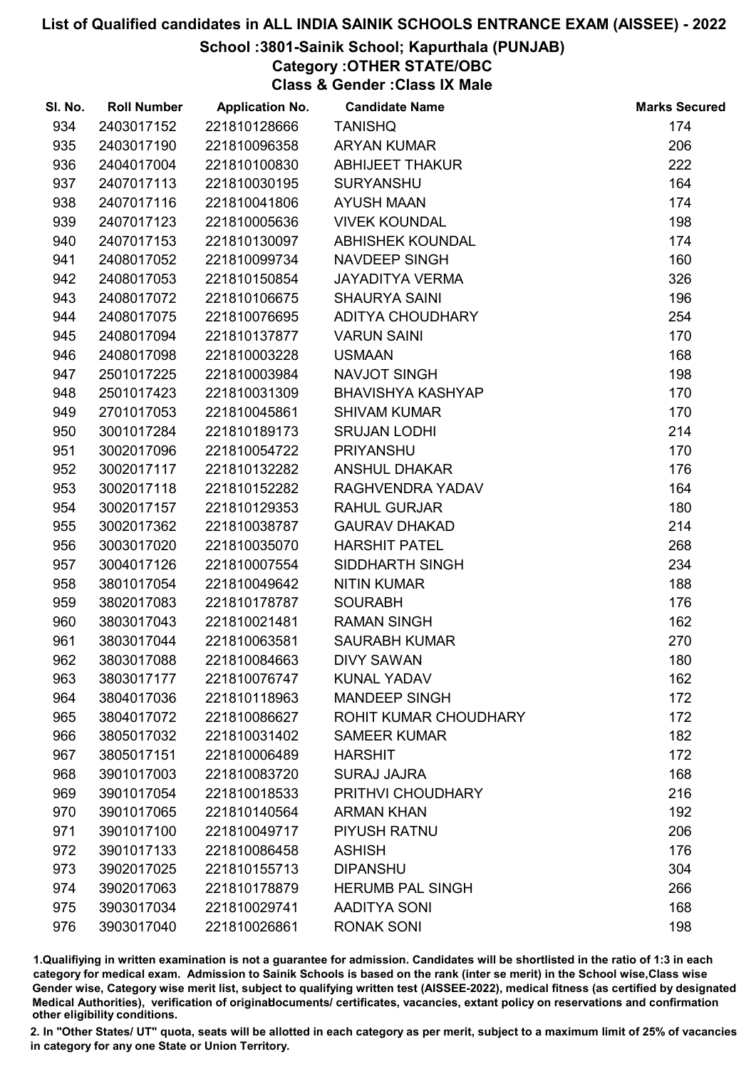## School :3801-Sainik School; Kapurthala (PUNJAB)

Category :OTHER STATE/OBC

Class & Gender :Class IX Male

| SI. No. | <b>Roll Number</b> | <b>Application No.</b> | <b>Candidate Name</b>    | <b>Marks Secured</b> |
|---------|--------------------|------------------------|--------------------------|----------------------|
| 934     | 2403017152         | 221810128666           | <b>TANISHQ</b>           | 174                  |
| 935     | 2403017190         | 221810096358           | <b>ARYAN KUMAR</b>       | 206                  |
| 936     | 2404017004         | 221810100830           | <b>ABHIJEET THAKUR</b>   | 222                  |
| 937     | 2407017113         | 221810030195           | <b>SURYANSHU</b>         | 164                  |
| 938     | 2407017116         | 221810041806           | <b>AYUSH MAAN</b>        | 174                  |
| 939     | 2407017123         | 221810005636           | <b>VIVEK KOUNDAL</b>     | 198                  |
| 940     | 2407017153         | 221810130097           | <b>ABHISHEK KOUNDAL</b>  | 174                  |
| 941     | 2408017052         | 221810099734           | <b>NAVDEEP SINGH</b>     | 160                  |
| 942     | 2408017053         | 221810150854           | <b>JAYADITYA VERMA</b>   | 326                  |
| 943     | 2408017072         | 221810106675           | <b>SHAURYA SAINI</b>     | 196                  |
| 944     | 2408017075         | 221810076695           | <b>ADITYA CHOUDHARY</b>  | 254                  |
| 945     | 2408017094         | 221810137877           | <b>VARUN SAINI</b>       | 170                  |
| 946     | 2408017098         | 221810003228           | <b>USMAAN</b>            | 168                  |
| 947     | 2501017225         | 221810003984           | <b>NAVJOT SINGH</b>      | 198                  |
| 948     | 2501017423         | 221810031309           | <b>BHAVISHYA KASHYAP</b> | 170                  |
| 949     | 2701017053         | 221810045861           | <b>SHIVAM KUMAR</b>      | 170                  |
| 950     | 3001017284         | 221810189173           | <b>SRUJAN LODHI</b>      | 214                  |
| 951     | 3002017096         | 221810054722           | <b>PRIYANSHU</b>         | 170                  |
| 952     | 3002017117         | 221810132282           | <b>ANSHUL DHAKAR</b>     | 176                  |
| 953     | 3002017118         | 221810152282           | RAGHVENDRA YADAV         | 164                  |
| 954     | 3002017157         | 221810129353           | <b>RAHUL GURJAR</b>      | 180                  |
| 955     | 3002017362         | 221810038787           | <b>GAURAV DHAKAD</b>     | 214                  |
| 956     | 3003017020         | 221810035070           | <b>HARSHIT PATEL</b>     | 268                  |
| 957     | 3004017126         | 221810007554           | SIDDHARTH SINGH          | 234                  |
| 958     | 3801017054         | 221810049642           | <b>NITIN KUMAR</b>       | 188                  |
| 959     | 3802017083         | 221810178787           | <b>SOURABH</b>           | 176                  |
| 960     | 3803017043         | 221810021481           | <b>RAMAN SINGH</b>       | 162                  |
| 961     | 3803017044         | 221810063581           | <b>SAURABH KUMAR</b>     | 270                  |
| 962     | 3803017088         | 221810084663           | <b>DIVY SAWAN</b>        | 180                  |
| 963     | 3803017177         | 221810076747           | <b>KUNAL YADAV</b>       | 162                  |
| 964     | 3804017036         | 221810118963           | <b>MANDEEP SINGH</b>     | 172                  |
| 965     | 3804017072         | 221810086627           | ROHIT KUMAR CHOUDHARY    | 172                  |
| 966     | 3805017032         | 221810031402           | <b>SAMEER KUMAR</b>      | 182                  |
| 967     | 3805017151         | 221810006489           | <b>HARSHIT</b>           | 172                  |
| 968     | 3901017003         | 221810083720           | <b>SURAJ JAJRA</b>       | 168                  |
| 969     | 3901017054         | 221810018533           | PRITHVI CHOUDHARY        | 216                  |
| 970     | 3901017065         | 221810140564           | <b>ARMAN KHAN</b>        | 192                  |
| 971     | 3901017100         | 221810049717           | <b>PIYUSH RATNU</b>      | 206                  |
| 972     | 3901017133         | 221810086458           | <b>ASHISH</b>            | 176                  |
| 973     | 3902017025         | 221810155713           | <b>DIPANSHU</b>          | 304                  |
| 974     | 3902017063         | 221810178879           | <b>HERUMB PAL SINGH</b>  | 266                  |
| 975     | 3903017034         | 221810029741           | <b>AADITYA SONI</b>      | 168                  |
| 976     | 3903017040         | 221810026861           | <b>RONAK SONI</b>        | 198                  |

1.Qualifiying in written examination is not a guarantee for admission. Candidates will be shortlisted in the ratio of 1:3 in each category for medical exam. Admission to Sainik Schools is based on the rank (inter se merit) in the School wise,Class wise Gender wise, Category wise merit list, subject to qualifying written test (AISSEE-2022), medical fitness (as certified by designated Medical Authorities), verification of originablocuments/ certificates, vacancies, extant policy on reservations and confirmation other eligibility conditions.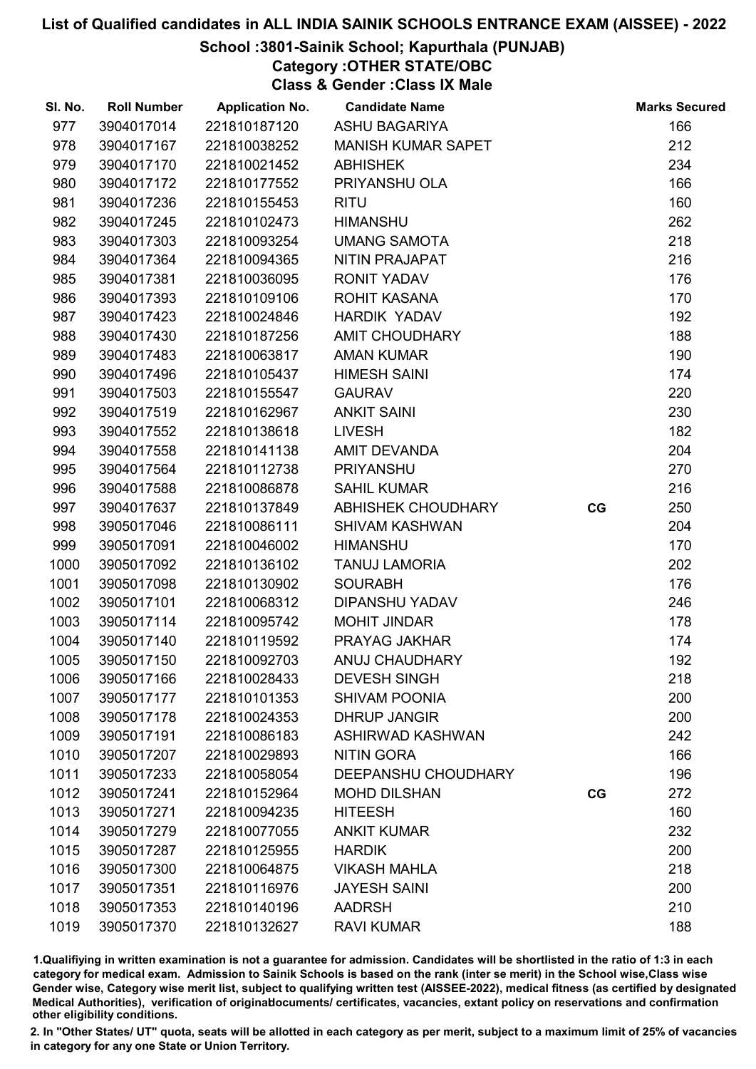## School :3801-Sainik School; Kapurthala (PUNJAB)

Category :OTHER STATE/OBC

Class & Gender :Class IX Male

| SI. No. | <b>Roll Number</b> | <b>Application No.</b> | <b>Candidate Name</b>     |    | <b>Marks Secured</b> |
|---------|--------------------|------------------------|---------------------------|----|----------------------|
| 977     | 3904017014         | 221810187120           | <b>ASHU BAGARIYA</b>      |    | 166                  |
| 978     | 3904017167         | 221810038252           | <b>MANISH KUMAR SAPET</b> |    | 212                  |
| 979     | 3904017170         | 221810021452           | <b>ABHISHEK</b>           |    | 234                  |
| 980     | 3904017172         | 221810177552           | PRIYANSHU OLA             |    | 166                  |
| 981     | 3904017236         | 221810155453           | <b>RITU</b>               |    | 160                  |
| 982     | 3904017245         | 221810102473           | <b>HIMANSHU</b>           |    | 262                  |
| 983     | 3904017303         | 221810093254           | <b>UMANG SAMOTA</b>       |    | 218                  |
| 984     | 3904017364         | 221810094365           | NITIN PRAJAPAT            |    | 216                  |
| 985     | 3904017381         | 221810036095           | <b>RONIT YADAV</b>        |    | 176                  |
| 986     | 3904017393         | 221810109106           | ROHIT KASANA              |    | 170                  |
| 987     | 3904017423         | 221810024846           | <b>HARDIK YADAV</b>       |    | 192                  |
| 988     | 3904017430         | 221810187256           | AMIT CHOUDHARY            |    | 188                  |
| 989     | 3904017483         | 221810063817           | <b>AMAN KUMAR</b>         |    | 190                  |
| 990     | 3904017496         | 221810105437           | <b>HIMESH SAINI</b>       |    | 174                  |
| 991     | 3904017503         | 221810155547           | <b>GAURAV</b>             |    | 220                  |
| 992     | 3904017519         | 221810162967           | <b>ANKIT SAINI</b>        |    | 230                  |
| 993     | 3904017552         | 221810138618           | <b>LIVESH</b>             |    | 182                  |
| 994     | 3904017558         | 221810141138           | <b>AMIT DEVANDA</b>       |    | 204                  |
| 995     | 3904017564         | 221810112738           | <b>PRIYANSHU</b>          |    | 270                  |
| 996     | 3904017588         | 221810086878           | <b>SAHIL KUMAR</b>        |    | 216                  |
| 997     | 3904017637         | 221810137849           | ABHISHEK CHOUDHARY        | CG | 250                  |
| 998     | 3905017046         | 221810086111           | <b>SHIVAM KASHWAN</b>     |    | 204                  |
| 999     | 3905017091         | 221810046002           | <b>HIMANSHU</b>           |    | 170                  |
| 1000    | 3905017092         | 221810136102           | <b>TANUJ LAMORIA</b>      |    | 202                  |
| 1001    | 3905017098         | 221810130902           | <b>SOURABH</b>            |    | 176                  |
| 1002    | 3905017101         | 221810068312           | <b>DIPANSHU YADAV</b>     |    | 246                  |
| 1003    | 3905017114         | 221810095742           | <b>MOHIT JINDAR</b>       |    | 178                  |
| 1004    | 3905017140         | 221810119592           | PRAYAG JAKHAR             |    | 174                  |
| 1005    | 3905017150         | 221810092703           | <b>ANUJ CHAUDHARY</b>     |    | 192                  |
| 1006    | 3905017166         | 221810028433           | <b>DEVESH SINGH</b>       |    | 218                  |
| 1007    | 3905017177         | 221810101353           | <b>SHIVAM POONIA</b>      |    | 200                  |
| 1008    | 3905017178         | 221810024353           | <b>DHRUP JANGIR</b>       |    | 200                  |
| 1009    | 3905017191         | 221810086183           | ASHIRWAD KASHWAN          |    | 242                  |
| 1010    | 3905017207         | 221810029893           | <b>NITIN GORA</b>         |    | 166                  |
| 1011    | 3905017233         | 221810058054           | DEEPANSHU CHOUDHARY       |    | 196                  |
| 1012    | 3905017241         | 221810152964           | <b>MOHD DILSHAN</b>       | CG | 272                  |
| 1013    | 3905017271         | 221810094235           | <b>HITEESH</b>            |    | 160                  |
| 1014    | 3905017279         | 221810077055           | <b>ANKIT KUMAR</b>        |    | 232                  |
| 1015    | 3905017287         | 221810125955           | <b>HARDIK</b>             |    | 200                  |
| 1016    | 3905017300         | 221810064875           | <b>VIKASH MAHLA</b>       |    | 218                  |
| 1017    | 3905017351         | 221810116976           | <b>JAYESH SAINI</b>       |    | 200                  |
| 1018    | 3905017353         | 221810140196           | <b>AADRSH</b>             |    | 210                  |
| 1019    | 3905017370         | 221810132627           | <b>RAVI KUMAR</b>         |    | 188                  |

1.Qualifiying in written examination is not a guarantee for admission. Candidates will be shortlisted in the ratio of 1:3 in each category for medical exam. Admission to Sainik Schools is based on the rank (inter se merit) in the School wise,Class wise Gender wise, Category wise merit list, subject to qualifying written test (AISSEE-2022), medical fitness (as certified by designated Medical Authorities), verification of originablocuments/ certificates, vacancies, extant policy on reservations and confirmation other eligibility conditions.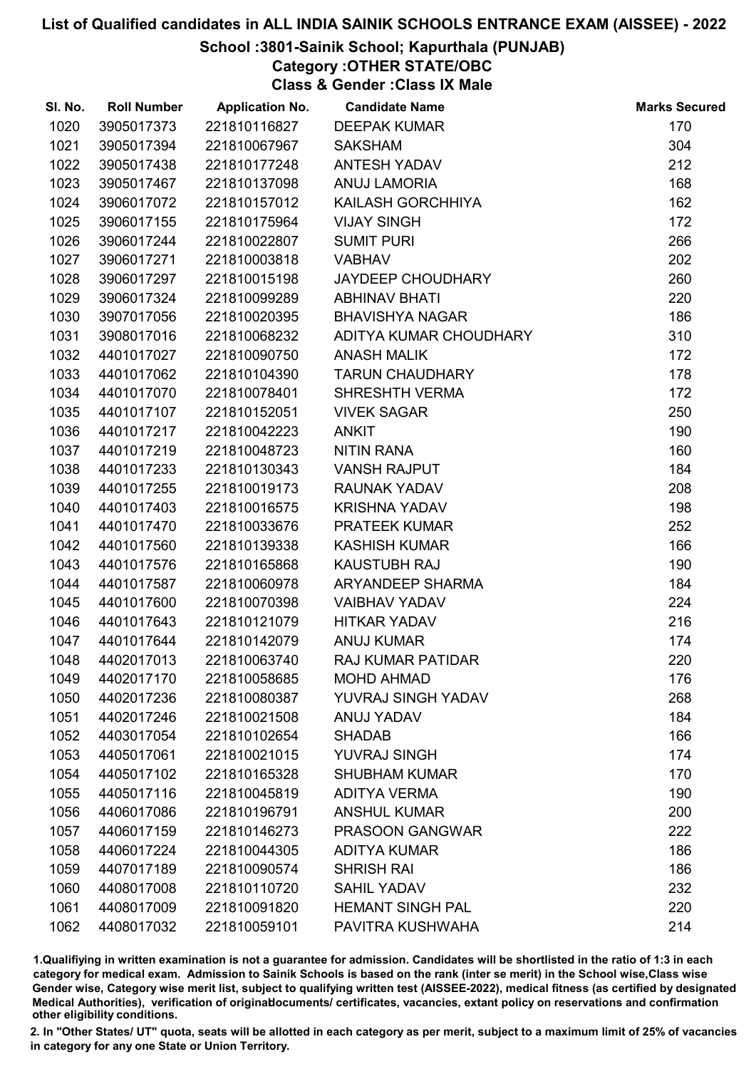## School :3801-Sainik School; Kapurthala (PUNJAB)

Category :OTHER STATE/OBC

Class & Gender :Class IX Male

| SI. No. | <b>Roll Number</b> | <b>Application No.</b> | <b>Candidate Name</b>    | <b>Marks Secured</b> |
|---------|--------------------|------------------------|--------------------------|----------------------|
| 1020    | 3905017373         | 221810116827           | <b>DEEPAK KUMAR</b>      | 170                  |
| 1021    | 3905017394         | 221810067967           | <b>SAKSHAM</b>           | 304                  |
| 1022    | 3905017438         | 221810177248           | <b>ANTESH YADAV</b>      | 212                  |
| 1023    | 3905017467         | 221810137098           | <b>ANUJ LAMORIA</b>      | 168                  |
| 1024    | 3906017072         | 221810157012           | KAILASH GORCHHIYA        | 162                  |
| 1025    | 3906017155         | 221810175964           | <b>VIJAY SINGH</b>       | 172                  |
| 1026    | 3906017244         | 221810022807           | <b>SUMIT PURI</b>        | 266                  |
| 1027    | 3906017271         | 221810003818           | <b>VABHAV</b>            | 202                  |
| 1028    | 3906017297         | 221810015198           | <b>JAYDEEP CHOUDHARY</b> | 260                  |
| 1029    | 3906017324         | 221810099289           | <b>ABHINAV BHATI</b>     | 220                  |
| 1030    | 3907017056         | 221810020395           | <b>BHAVISHYA NAGAR</b>   | 186                  |
| 1031    | 3908017016         | 221810068232           | ADITYA KUMAR CHOUDHARY   | 310                  |
| 1032    | 4401017027         | 221810090750           | <b>ANASH MALIK</b>       | 172                  |
| 1033    | 4401017062         | 221810104390           | <b>TARUN CHAUDHARY</b>   | 178                  |
| 1034    | 4401017070         | 221810078401           | <b>SHRESHTH VERMA</b>    | 172                  |
| 1035    | 4401017107         | 221810152051           | <b>VIVEK SAGAR</b>       | 250                  |
| 1036    | 4401017217         | 221810042223           | <b>ANKIT</b>             | 190                  |
| 1037    | 4401017219         | 221810048723           | <b>NITIN RANA</b>        | 160                  |
| 1038    | 4401017233         | 221810130343           | <b>VANSH RAJPUT</b>      | 184                  |
| 1039    | 4401017255         | 221810019173           | RAUNAK YADAV             | 208                  |
| 1040    | 4401017403         | 221810016575           | <b>KRISHNA YADAV</b>     | 198                  |
| 1041    | 4401017470         | 221810033676           | <b>PRATEEK KUMAR</b>     | 252                  |
| 1042    | 4401017560         | 221810139338           | <b>KASHISH KUMAR</b>     | 166                  |
| 1043    | 4401017576         | 221810165868           | <b>KAUSTUBH RAJ</b>      | 190                  |
| 1044    | 4401017587         | 221810060978           | ARYANDEEP SHARMA         | 184                  |
| 1045    | 4401017600         | 221810070398           | <b>VAIBHAV YADAV</b>     | 224                  |
| 1046    | 4401017643         | 221810121079           | <b>HITKAR YADAV</b>      | 216                  |
| 1047    | 4401017644         | 221810142079           | <b>ANUJ KUMAR</b>        | 174                  |
| 1048    | 4402017013         | 221810063740           | <b>RAJ KUMAR PATIDAR</b> | 220                  |
| 1049    | 4402017170         | 221810058685           | <b>MOHD AHMAD</b>        | 176                  |
| 1050    | 4402017236         | 221810080387           | YUVRAJ SINGH YADAV       | 268                  |
| 1051    | 4402017246         | 221810021508           | ANUJ YADAV               | 184                  |
| 1052    | 4403017054         | 221810102654           | <b>SHADAB</b>            | 166                  |
| 1053    | 4405017061         | 221810021015           | <b>YUVRAJ SINGH</b>      | 174                  |
| 1054    | 4405017102         | 221810165328           | <b>SHUBHAM KUMAR</b>     | 170                  |
| 1055    | 4405017116         | 221810045819           | <b>ADITYA VERMA</b>      | 190                  |
| 1056    | 4406017086         | 221810196791           | <b>ANSHUL KUMAR</b>      | 200                  |
| 1057    | 4406017159         | 221810146273           | <b>PRASOON GANGWAR</b>   | 222                  |
| 1058    | 4406017224         | 221810044305           | <b>ADITYA KUMAR</b>      | 186                  |
| 1059    | 4407017189         | 221810090574           | <b>SHRISH RAI</b>        | 186                  |
| 1060    | 4408017008         | 221810110720           | <b>SAHIL YADAV</b>       | 232                  |
| 1061    | 4408017009         | 221810091820           | <b>HEMANT SINGH PAL</b>  | 220                  |
| 1062    | 4408017032         | 221810059101           | PAVITRA KUSHWAHA         | 214                  |

1.Qualifiying in written examination is not a guarantee for admission. Candidates will be shortlisted in the ratio of 1:3 in each category for medical exam. Admission to Sainik Schools is based on the rank (inter se merit) in the School wise,Class wise Gender wise, Category wise merit list, subject to qualifying written test (AISSEE-2022), medical fitness (as certified by designated Medical Authorities), verification of originablocuments/ certificates, vacancies, extant policy on reservations and confirmation other eligibility conditions.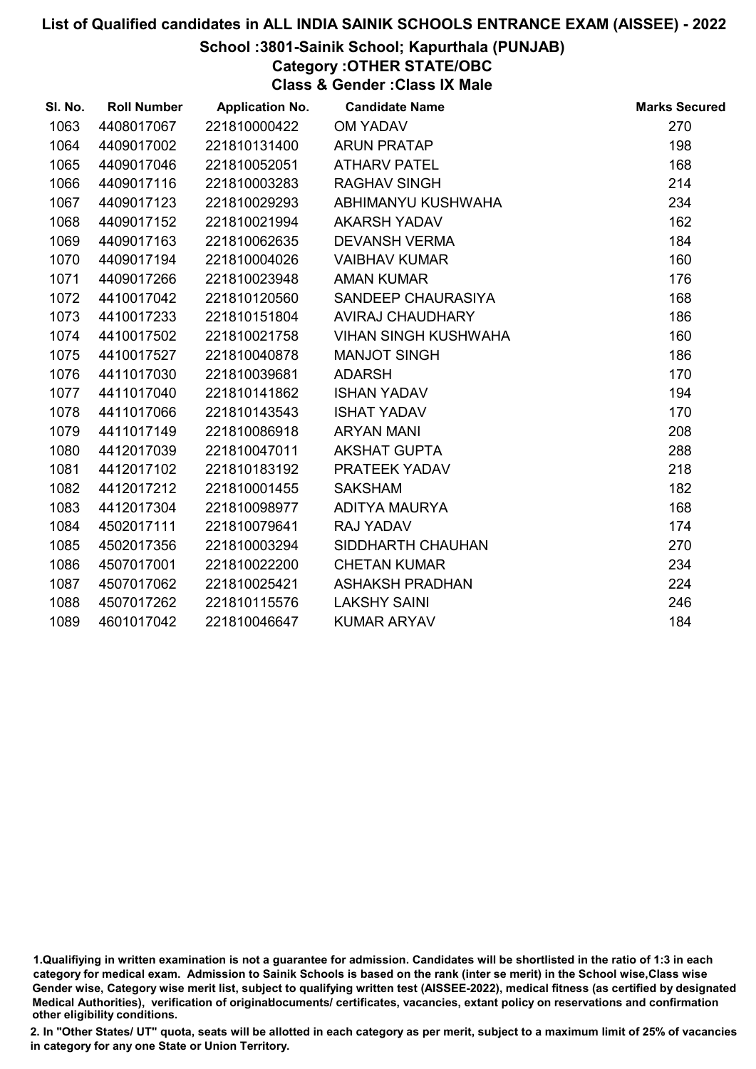## School :3801-Sainik School; Kapurthala (PUNJAB)

Category :OTHER STATE/OBC

Class & Gender :Class IX Male

| SI. No. | <b>Roll Number</b> | <b>Application No.</b> | <b>Candidate Name</b>       | <b>Marks Secured</b> |
|---------|--------------------|------------------------|-----------------------------|----------------------|
| 1063    | 4408017067         | 221810000422           | <b>OM YADAV</b>             | 270                  |
| 1064    | 4409017002         | 221810131400           | <b>ARUN PRATAP</b>          | 198                  |
| 1065    | 4409017046         | 221810052051           | <b>ATHARV PATEL</b>         | 168                  |
| 1066    | 4409017116         | 221810003283           | <b>RAGHAV SINGH</b>         | 214                  |
| 1067    | 4409017123         | 221810029293           | ABHIMANYU KUSHWAHA          | 234                  |
| 1068    | 4409017152         | 221810021994           | <b>AKARSH YADAV</b>         | 162                  |
| 1069    | 4409017163         | 221810062635           | <b>DEVANSH VERMA</b>        | 184                  |
| 1070    | 4409017194         | 221810004026           | <b>VAIBHAV KUMAR</b>        | 160                  |
| 1071    | 4409017266         | 221810023948           | <b>AMAN KUMAR</b>           | 176                  |
| 1072    | 4410017042         | 221810120560           | SANDEEP CHAURASIYA          | 168                  |
| 1073    | 4410017233         | 221810151804           | <b>AVIRAJ CHAUDHARY</b>     | 186                  |
| 1074    | 4410017502         | 221810021758           | <b>VIHAN SINGH KUSHWAHA</b> | 160                  |
| 1075    | 4410017527         | 221810040878           | <b>MANJOT SINGH</b>         | 186                  |
| 1076    | 4411017030         | 221810039681           | <b>ADARSH</b>               | 170                  |
| 1077    | 4411017040         | 221810141862           | <b>ISHAN YADAV</b>          | 194                  |
| 1078    | 4411017066         | 221810143543           | <b>ISHAT YADAV</b>          | 170                  |
| 1079    | 4411017149         | 221810086918           | <b>ARYAN MANI</b>           | 208                  |
| 1080    | 4412017039         | 221810047011           | <b>AKSHAT GUPTA</b>         | 288                  |
| 1081    | 4412017102         | 221810183192           | PRATEEK YADAV               | 218                  |
| 1082    | 4412017212         | 221810001455           | <b>SAKSHAM</b>              | 182                  |
| 1083    | 4412017304         | 221810098977           | ADITYA MAURYA               | 168                  |
| 1084    | 4502017111         | 221810079641           | <b>RAJ YADAV</b>            | 174                  |
| 1085    | 4502017356         | 221810003294           | SIDDHARTH CHAUHAN           | 270                  |
| 1086    | 4507017001         | 221810022200           | <b>CHETAN KUMAR</b>         | 234                  |
| 1087    | 4507017062         | 221810025421           | <b>ASHAKSH PRADHAN</b>      | 224                  |
| 1088    | 4507017262         | 221810115576           | <b>LAKSHY SAINI</b>         | 246                  |
| 1089    | 4601017042         | 221810046647           | <b>KUMAR ARYAV</b>          | 184                  |

<sup>1.</sup>Qualifiying in written examination is not a guarantee for admission. Candidates will be shortlisted in the ratio of 1:3 in each category for medical exam. Admission to Sainik Schools is based on the rank (inter se merit) in the School wise,Class wise Gender wise, Category wise merit list, subject to qualifying written test (AISSEE-2022), medical fitness (as certified by designated Medical Authorities), verification of originablocuments/ certificates, vacancies, extant policy on reservations and confirmation other eligibility conditions.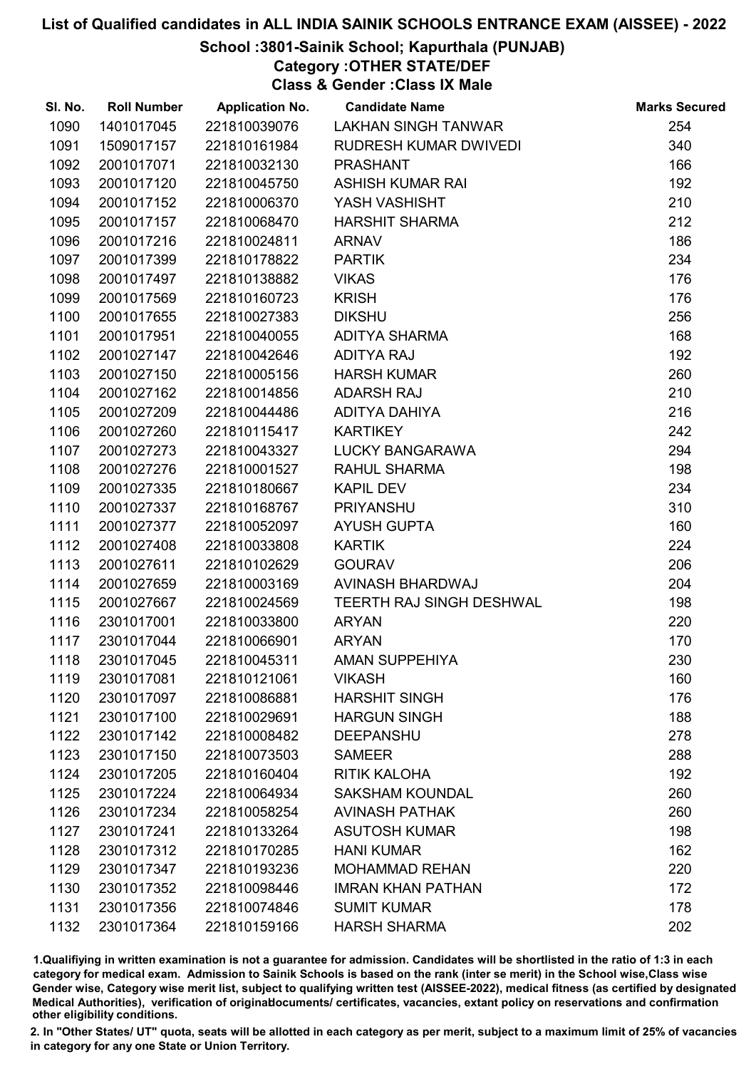## School :3801-Sainik School; Kapurthala (PUNJAB)

Category :OTHER STATE/DEF

Class & Gender :Class IX Male

| SI. No. | <b>Roll Number</b> | <b>Application No.</b> | <b>Candidate Name</b>           | <b>Marks Secured</b> |
|---------|--------------------|------------------------|---------------------------------|----------------------|
| 1090    | 1401017045         | 221810039076           | <b>LAKHAN SINGH TANWAR</b>      | 254                  |
| 1091    | 1509017157         | 221810161984           | RUDRESH KUMAR DWIVEDI           | 340                  |
| 1092    | 2001017071         | 221810032130           | <b>PRASHANT</b>                 | 166                  |
| 1093    | 2001017120         | 221810045750           | <b>ASHISH KUMAR RAI</b>         | 192                  |
| 1094    | 2001017152         | 221810006370           | YASH VASHISHT                   | 210                  |
| 1095    | 2001017157         | 221810068470           | <b>HARSHIT SHARMA</b>           | 212                  |
| 1096    | 2001017216         | 221810024811           | <b>ARNAV</b>                    | 186                  |
| 1097    | 2001017399         | 221810178822           | <b>PARTIK</b>                   | 234                  |
| 1098    | 2001017497         | 221810138882           | <b>VIKAS</b>                    | 176                  |
| 1099    | 2001017569         | 221810160723           | <b>KRISH</b>                    | 176                  |
| 1100    | 2001017655         | 221810027383           | <b>DIKSHU</b>                   | 256                  |
| 1101    | 2001017951         | 221810040055           | <b>ADITYA SHARMA</b>            | 168                  |
| 1102    | 2001027147         | 221810042646           | <b>ADITYA RAJ</b>               | 192                  |
| 1103    | 2001027150         | 221810005156           | <b>HARSH KUMAR</b>              | 260                  |
| 1104    | 2001027162         | 221810014856           | <b>ADARSH RAJ</b>               | 210                  |
| 1105    | 2001027209         | 221810044486           | ADITYA DAHIYA                   | 216                  |
| 1106    | 2001027260         | 221810115417           | <b>KARTIKEY</b>                 | 242                  |
| 1107    | 2001027273         | 221810043327           | <b>LUCKY BANGARAWA</b>          | 294                  |
| 1108    | 2001027276         | 221810001527           | <b>RAHUL SHARMA</b>             | 198                  |
| 1109    | 2001027335         | 221810180667           | <b>KAPIL DEV</b>                | 234                  |
| 1110    | 2001027337         | 221810168767           | <b>PRIYANSHU</b>                | 310                  |
| 1111    | 2001027377         | 221810052097           | <b>AYUSH GUPTA</b>              | 160                  |
| 1112    | 2001027408         | 221810033808           | <b>KARTIK</b>                   | 224                  |
| 1113    | 2001027611         | 221810102629           | <b>GOURAV</b>                   | 206                  |
| 1114    | 2001027659         | 221810003169           | AVINASH BHARDWAJ                | 204                  |
| 1115    | 2001027667         | 221810024569           | <b>TEERTH RAJ SINGH DESHWAL</b> | 198                  |
| 1116    | 2301017001         | 221810033800           | <b>ARYAN</b>                    | 220                  |
| 1117    | 2301017044         | 221810066901           | <b>ARYAN</b>                    | 170                  |
| 1118    | 2301017045         | 221810045311           | <b>AMAN SUPPEHIYA</b>           | 230                  |
| 1119    | 2301017081         | 221810121061           | <b>VIKASH</b>                   | 160                  |
| 1120    | 2301017097         | 221810086881           | <b>HARSHIT SINGH</b>            | 176                  |
| 1121    | 2301017100         | 221810029691           | <b>HARGUN SINGH</b>             | 188                  |
| 1122    | 2301017142         | 221810008482           | <b>DEEPANSHU</b>                | 278                  |
| 1123    | 2301017150         | 221810073503           | <b>SAMEER</b>                   | 288                  |
| 1124    | 2301017205         | 221810160404           | <b>RITIK KALOHA</b>             | 192                  |
| 1125    | 2301017224         | 221810064934           | <b>SAKSHAM KOUNDAL</b>          | 260                  |
| 1126    | 2301017234         | 221810058254           | <b>AVINASH PATHAK</b>           | 260                  |
| 1127    | 2301017241         | 221810133264           | <b>ASUTOSH KUMAR</b>            | 198                  |
| 1128    | 2301017312         | 221810170285           | <b>HANI KUMAR</b>               | 162                  |
| 1129    | 2301017347         | 221810193236           | <b>MOHAMMAD REHAN</b>           | 220                  |
| 1130    | 2301017352         | 221810098446           | <b>IMRAN KHAN PATHAN</b>        | 172                  |
| 1131    | 2301017356         | 221810074846           | <b>SUMIT KUMAR</b>              | 178                  |
| 1132    | 2301017364         | 221810159166           | <b>HARSH SHARMA</b>             | 202                  |

1.Qualifiying in written examination is not a guarantee for admission. Candidates will be shortlisted in the ratio of 1:3 in each category for medical exam. Admission to Sainik Schools is based on the rank (inter se merit) in the School wise,Class wise Gender wise, Category wise merit list, subject to qualifying written test (AISSEE-2022), medical fitness (as certified by designated Medical Authorities), verification of originablocuments/ certificates, vacancies, extant policy on reservations and confirmation other eligibility conditions.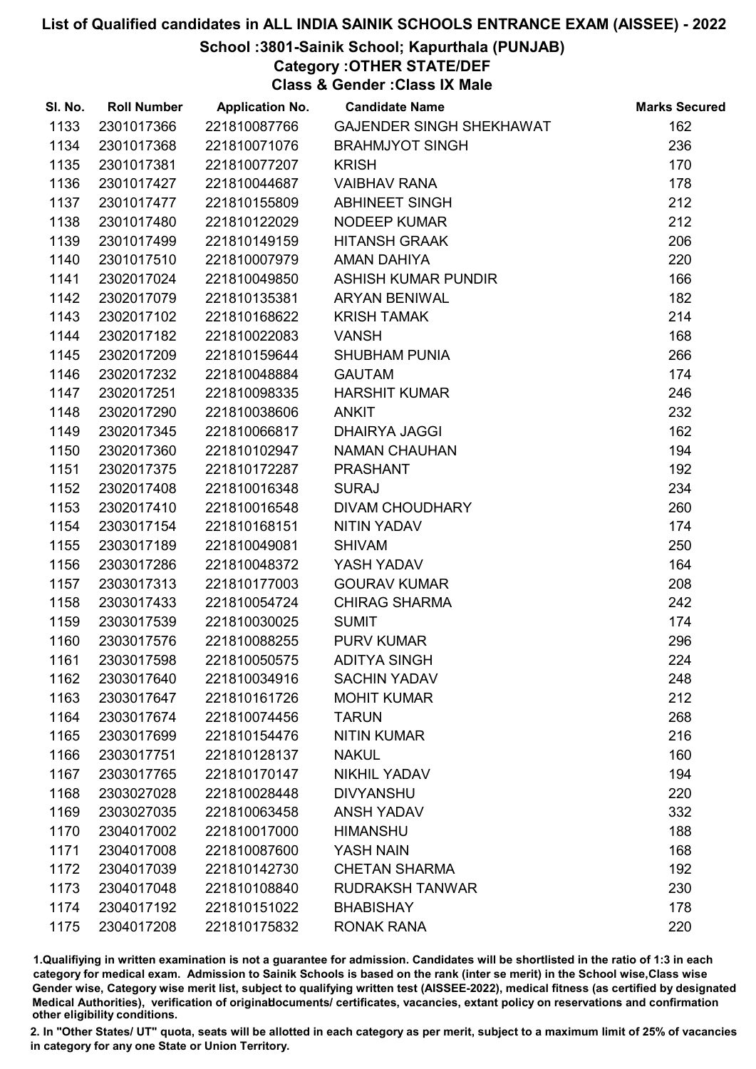## School :3801-Sainik School; Kapurthala (PUNJAB)

Category :OTHER STATE/DEF

Class & Gender :Class IX Male

| SI. No. | <b>Roll Number</b> | <b>Application No.</b> | <b>Candidate Name</b>           | <b>Marks Secured</b> |
|---------|--------------------|------------------------|---------------------------------|----------------------|
| 1133    | 2301017366         | 221810087766           | <b>GAJENDER SINGH SHEKHAWAT</b> | 162                  |
| 1134    | 2301017368         | 221810071076           | <b>BRAHMJYOT SINGH</b>          | 236                  |
| 1135    | 2301017381         | 221810077207           | <b>KRISH</b>                    | 170                  |
| 1136    | 2301017427         | 221810044687           | <b>VAIBHAV RANA</b>             | 178                  |
| 1137    | 2301017477         | 221810155809           | ABHINEET SINGH                  | 212                  |
| 1138    | 2301017480         | 221810122029           | NODEEP KUMAR                    | 212                  |
| 1139    | 2301017499         | 221810149159           | <b>HITANSH GRAAK</b>            | 206                  |
| 1140    | 2301017510         | 221810007979           | <b>AMAN DAHIYA</b>              | 220                  |
| 1141    | 2302017024         | 221810049850           | ASHISH KUMAR PUNDIR             | 166                  |
| 1142    | 2302017079         | 221810135381           | <b>ARYAN BENIWAL</b>            | 182                  |
| 1143    | 2302017102         | 221810168622           | <b>KRISH TAMAK</b>              | 214                  |
| 1144    | 2302017182         | 221810022083           | <b>VANSH</b>                    | 168                  |
| 1145    | 2302017209         | 221810159644           | <b>SHUBHAM PUNIA</b>            | 266                  |
| 1146    | 2302017232         | 221810048884           | <b>GAUTAM</b>                   | 174                  |
| 1147    | 2302017251         | 221810098335           | <b>HARSHIT KUMAR</b>            | 246                  |
| 1148    | 2302017290         | 221810038606           | <b>ANKIT</b>                    | 232                  |
| 1149    | 2302017345         | 221810066817           | <b>DHAIRYA JAGGI</b>            | 162                  |
| 1150    | 2302017360         | 221810102947           | <b>NAMAN CHAUHAN</b>            | 194                  |
| 1151    | 2302017375         | 221810172287           | <b>PRASHANT</b>                 | 192                  |
| 1152    | 2302017408         | 221810016348           | <b>SURAJ</b>                    | 234                  |
| 1153    | 2302017410         | 221810016548           | <b>DIVAM CHOUDHARY</b>          | 260                  |
| 1154    | 2303017154         | 221810168151           | <b>NITIN YADAV</b>              | 174                  |
| 1155    | 2303017189         | 221810049081           | <b>SHIVAM</b>                   | 250                  |
| 1156    | 2303017286         | 221810048372           | YASH YADAV                      | 164                  |
| 1157    | 2303017313         | 221810177003           | <b>GOURAV KUMAR</b>             | 208                  |
| 1158    | 2303017433         | 221810054724           | <b>CHIRAG SHARMA</b>            | 242                  |
| 1159    | 2303017539         | 221810030025           | <b>SUMIT</b>                    | 174                  |
| 1160    | 2303017576         | 221810088255           | <b>PURV KUMAR</b>               | 296                  |
| 1161    | 2303017598         | 221810050575           | <b>ADITYA SINGH</b>             | 224                  |
| 1162    | 2303017640         | 221810034916           | <b>SACHIN YADAV</b>             | 248                  |
| 1163    | 2303017647         | 221810161726           | <b>MOHIT KUMAR</b>              | 212                  |
| 1164    | 2303017674         | 221810074456           | <b>TARUN</b>                    | 268                  |
| 1165    | 2303017699         | 221810154476           | <b>NITIN KUMAR</b>              | 216                  |
| 1166    | 2303017751         | 221810128137           | <b>NAKUL</b>                    | 160                  |
| 1167    | 2303017765         | 221810170147           | <b>NIKHIL YADAV</b>             | 194                  |
| 1168    | 2303027028         | 221810028448           | <b>DIVYANSHU</b>                | 220                  |
| 1169    | 2303027035         | 221810063458           | <b>ANSH YADAV</b>               | 332                  |
| 1170    | 2304017002         | 221810017000           | <b>HIMANSHU</b>                 | 188                  |
| 1171    | 2304017008         | 221810087600           | YASH NAIN                       | 168                  |
| 1172    | 2304017039         | 221810142730           | <b>CHETAN SHARMA</b>            | 192                  |
| 1173    | 2304017048         | 221810108840           | <b>RUDRAKSH TANWAR</b>          | 230                  |
| 1174    | 2304017192         | 221810151022           | <b>BHABISHAY</b>                | 178                  |
| 1175    | 2304017208         | 221810175832           | <b>RONAK RANA</b>               | 220                  |

1.Qualifiying in written examination is not a guarantee for admission. Candidates will be shortlisted in the ratio of 1:3 in each category for medical exam. Admission to Sainik Schools is based on the rank (inter se merit) in the School wise,Class wise Gender wise, Category wise merit list, subject to qualifying written test (AISSEE-2022), medical fitness (as certified by designated Medical Authorities), verification of originablocuments/ certificates, vacancies, extant policy on reservations and confirmation other eligibility conditions.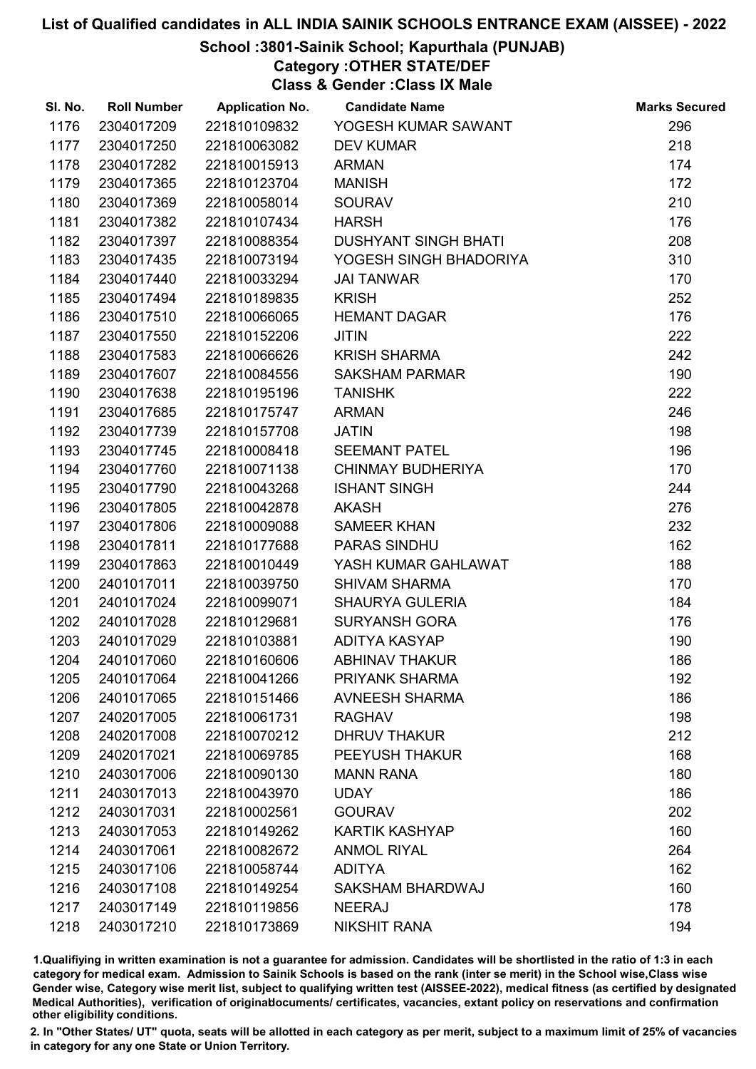## School :3801-Sainik School; Kapurthala (PUNJAB)

Category :OTHER STATE/DEF

Class & Gender :Class IX Male

| SI. No. | <b>Roll Number</b> | <b>Application No.</b> | <b>Candidate Name</b>       | <b>Marks Secured</b> |
|---------|--------------------|------------------------|-----------------------------|----------------------|
| 1176    | 2304017209         | 221810109832           | YOGESH KUMAR SAWANT         | 296                  |
| 1177    | 2304017250         | 221810063082           | <b>DEV KUMAR</b>            | 218                  |
| 1178    | 2304017282         | 221810015913           | <b>ARMAN</b>                | 174                  |
| 1179    | 2304017365         | 221810123704           | <b>MANISH</b>               | 172                  |
| 1180    | 2304017369         | 221810058014           | <b>SOURAV</b>               | 210                  |
| 1181    | 2304017382         | 221810107434           | <b>HARSH</b>                | 176                  |
| 1182    | 2304017397         | 221810088354           | <b>DUSHYANT SINGH BHATI</b> | 208                  |
| 1183    | 2304017435         | 221810073194           | YOGESH SINGH BHADORIYA      | 310                  |
| 1184    | 2304017440         | 221810033294           | <b>JAI TANWAR</b>           | 170                  |
| 1185    | 2304017494         | 221810189835           | <b>KRISH</b>                | 252                  |
| 1186    | 2304017510         | 221810066065           | <b>HEMANT DAGAR</b>         | 176                  |
| 1187    | 2304017550         | 221810152206           | <b>JITIN</b>                | 222                  |
| 1188    | 2304017583         | 221810066626           | <b>KRISH SHARMA</b>         | 242                  |
| 1189    | 2304017607         | 221810084556           | <b>SAKSHAM PARMAR</b>       | 190                  |
| 1190    | 2304017638         | 221810195196           | <b>TANISHK</b>              | 222                  |
| 1191    | 2304017685         | 221810175747           | <b>ARMAN</b>                | 246                  |
| 1192    | 2304017739         | 221810157708           | <b>JATIN</b>                | 198                  |
| 1193    | 2304017745         | 221810008418           | <b>SEEMANT PATEL</b>        | 196                  |
| 1194    | 2304017760         | 221810071138           | <b>CHINMAY BUDHERIYA</b>    | 170                  |
| 1195    | 2304017790         | 221810043268           | <b>ISHANT SINGH</b>         | 244                  |
| 1196    | 2304017805         | 221810042878           | <b>AKASH</b>                | 276                  |
| 1197    | 2304017806         | 221810009088           | <b>SAMEER KHAN</b>          | 232                  |
| 1198    | 2304017811         | 221810177688           | <b>PARAS SINDHU</b>         | 162                  |
| 1199    | 2304017863         | 221810010449           | YASH KUMAR GAHLAWAT         | 188                  |
| 1200    | 2401017011         | 221810039750           | <b>SHIVAM SHARMA</b>        | 170                  |
| 1201    | 2401017024         | 221810099071           | <b>SHAURYA GULERIA</b>      | 184                  |
| 1202    | 2401017028         | 221810129681           | <b>SURYANSH GORA</b>        | 176                  |
| 1203    | 2401017029         | 221810103881           | <b>ADITYA KASYAP</b>        | 190                  |
| 1204    | 2401017060         | 221810160606           | <b>ABHINAV THAKUR</b>       | 186                  |
| 1205    | 2401017064         | 221810041266           | PRIYANK SHARMA              | 192                  |
| 1206    | 2401017065         | 221810151466           | <b>AVNEESH SHARMA</b>       | 186                  |
| 1207    | 2402017005         | 221810061731           | <b>RAGHAV</b>               | 198                  |
| 1208    | 2402017008         | 221810070212           | <b>DHRUV THAKUR</b>         | 212                  |
| 1209    | 2402017021         | 221810069785           | PEEYUSH THAKUR              | 168                  |
| 1210    | 2403017006         | 221810090130           | <b>MANN RANA</b>            | 180                  |
| 1211    | 2403017013         | 221810043970           | <b>UDAY</b>                 | 186                  |
| 1212    | 2403017031         | 221810002561           | <b>GOURAV</b>               | 202                  |
| 1213    | 2403017053         | 221810149262           | <b>KARTIK KASHYAP</b>       | 160                  |
| 1214    | 2403017061         | 221810082672           | <b>ANMOL RIYAL</b>          | 264                  |
| 1215    | 2403017106         | 221810058744           | <b>ADITYA</b>               | 162                  |
| 1216    | 2403017108         | 221810149254           | SAKSHAM BHARDWAJ            | 160                  |
| 1217    | 2403017149         | 221810119856           | <b>NEERAJ</b>               | 178                  |
| 1218    | 2403017210         | 221810173869           | <b>NIKSHIT RANA</b>         | 194                  |

1.Qualifiying in written examination is not a guarantee for admission. Candidates will be shortlisted in the ratio of 1:3 in each category for medical exam. Admission to Sainik Schools is based on the rank (inter se merit) in the School wise,Class wise Gender wise, Category wise merit list, subject to qualifying written test (AISSEE-2022), medical fitness (as certified by designated Medical Authorities), verification of originablocuments/ certificates, vacancies, extant policy on reservations and confirmation other eligibility conditions.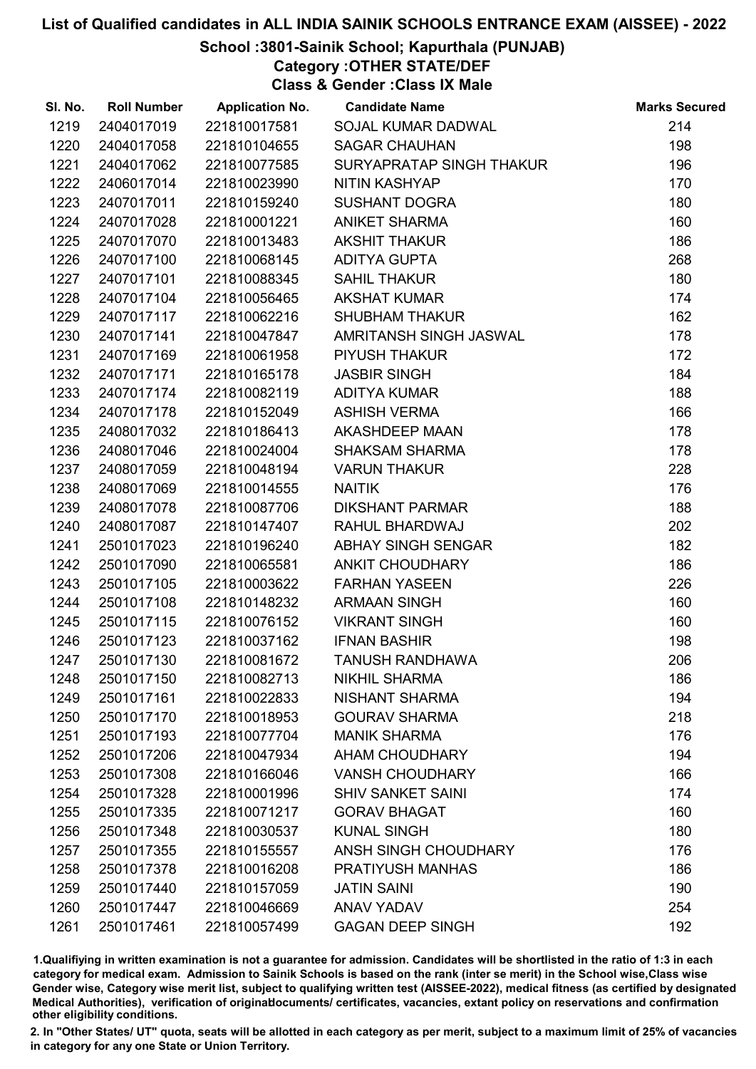## School :3801-Sainik School; Kapurthala (PUNJAB)

Category :OTHER STATE/DEF

Class & Gender :Class IX Male

| SI. No. | <b>Roll Number</b> | <b>Application No.</b> | <b>Candidate Name</b>     | <b>Marks Secured</b> |
|---------|--------------------|------------------------|---------------------------|----------------------|
| 1219    | 2404017019         | 221810017581           | SOJAL KUMAR DADWAL        | 214                  |
| 1220    | 2404017058         | 221810104655           | <b>SAGAR CHAUHAN</b>      | 198                  |
| 1221    | 2404017062         | 221810077585           | SURYAPRATAP SINGH THAKUR  | 196                  |
| 1222    | 2406017014         | 221810023990           | <b>NITIN KASHYAP</b>      | 170                  |
| 1223    | 2407017011         | 221810159240           | <b>SUSHANT DOGRA</b>      | 180                  |
| 1224    | 2407017028         | 221810001221           | <b>ANIKET SHARMA</b>      | 160                  |
| 1225    | 2407017070         | 221810013483           | <b>AKSHIT THAKUR</b>      | 186                  |
| 1226    | 2407017100         | 221810068145           | <b>ADITYA GUPTA</b>       | 268                  |
| 1227    | 2407017101         | 221810088345           | <b>SAHIL THAKUR</b>       | 180                  |
| 1228    | 2407017104         | 221810056465           | <b>AKSHAT KUMAR</b>       | 174                  |
| 1229    | 2407017117         | 221810062216           | <b>SHUBHAM THAKUR</b>     | 162                  |
| 1230    | 2407017141         | 221810047847           | AMRITANSH SINGH JASWAL    | 178                  |
| 1231    | 2407017169         | 221810061958           | PIYUSH THAKUR             | 172                  |
| 1232    | 2407017171         | 221810165178           | <b>JASBIR SINGH</b>       | 184                  |
| 1233    | 2407017174         | 221810082119           | <b>ADITYA KUMAR</b>       | 188                  |
| 1234    | 2407017178         | 221810152049           | <b>ASHISH VERMA</b>       | 166                  |
| 1235    | 2408017032         | 221810186413           | AKASHDEEP MAAN            | 178                  |
| 1236    | 2408017046         | 221810024004           | SHAKSAM SHARMA            | 178                  |
| 1237    | 2408017059         | 221810048194           | <b>VARUN THAKUR</b>       | 228                  |
| 1238    | 2408017069         | 221810014555           | <b>NAITIK</b>             | 176                  |
| 1239    | 2408017078         | 221810087706           | <b>DIKSHANT PARMAR</b>    | 188                  |
| 1240    | 2408017087         | 221810147407           | RAHUL BHARDWAJ            | 202                  |
| 1241    | 2501017023         | 221810196240           | <b>ABHAY SINGH SENGAR</b> | 182                  |
| 1242    | 2501017090         | 221810065581           | <b>ANKIT CHOUDHARY</b>    | 186                  |
| 1243    | 2501017105         | 221810003622           | <b>FARHAN YASEEN</b>      | 226                  |
| 1244    | 2501017108         | 221810148232           | <b>ARMAAN SINGH</b>       | 160                  |
| 1245    | 2501017115         | 221810076152           | <b>VIKRANT SINGH</b>      | 160                  |
| 1246    | 2501017123         | 221810037162           | <b>IFNAN BASHIR</b>       | 198                  |
| 1247    | 2501017130         | 221810081672           | <b>TANUSH RANDHAWA</b>    | 206                  |
| 1248    | 2501017150         | 221810082713           | <b>NIKHIL SHARMA</b>      | 186                  |
| 1249    | 2501017161         | 221810022833           | <b>NISHANT SHARMA</b>     | 194                  |
| 1250    | 2501017170         | 221810018953           | <b>GOURAV SHARMA</b>      | 218                  |
| 1251    | 2501017193         | 221810077704           | <b>MANIK SHARMA</b>       | 176                  |
| 1252    | 2501017206         | 221810047934           | <b>AHAM CHOUDHARY</b>     | 194                  |
| 1253    | 2501017308         | 221810166046           | <b>VANSH CHOUDHARY</b>    | 166                  |
| 1254    | 2501017328         | 221810001996           | <b>SHIV SANKET SAINI</b>  | 174                  |
| 1255    | 2501017335         | 221810071217           | <b>GORAV BHAGAT</b>       | 160                  |
| 1256    | 2501017348         | 221810030537           | <b>KUNAL SINGH</b>        | 180                  |
| 1257    | 2501017355         | 221810155557           | ANSH SINGH CHOUDHARY      | 176                  |
| 1258    | 2501017378         | 221810016208           | <b>PRATIYUSH MANHAS</b>   | 186                  |
| 1259    | 2501017440         | 221810157059           | <b>JATIN SAINI</b>        | 190                  |
| 1260    | 2501017447         | 221810046669           | <b>ANAV YADAV</b>         | 254                  |
| 1261    | 2501017461         | 221810057499           | <b>GAGAN DEEP SINGH</b>   | 192                  |

1.Qualifiying in written examination is not a guarantee for admission. Candidates will be shortlisted in the ratio of 1:3 in each category for medical exam. Admission to Sainik Schools is based on the rank (inter se merit) in the School wise,Class wise Gender wise, Category wise merit list, subject to qualifying written test (AISSEE-2022), medical fitness (as certified by designated Medical Authorities), verification of originablocuments/ certificates, vacancies, extant policy on reservations and confirmation other eligibility conditions.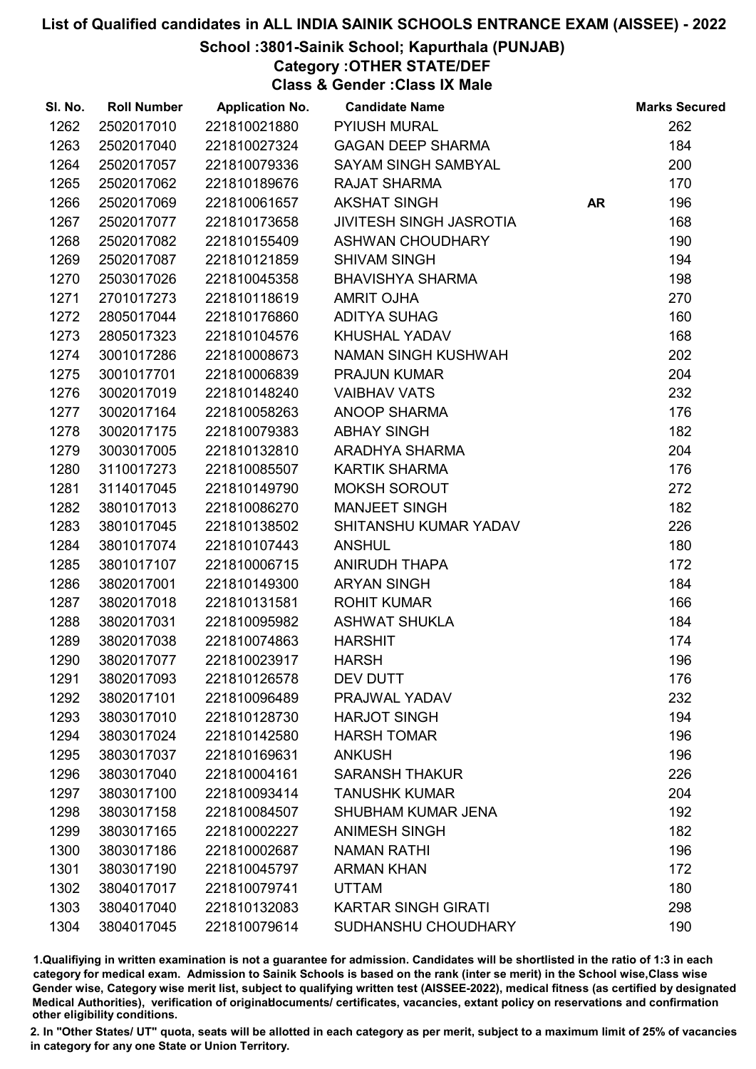## School :3801-Sainik School; Kapurthala (PUNJAB)

Category :OTHER STATE/DEF

Class & Gender :Class IX Male

| SI. No. | <b>Roll Number</b> | <b>Application No.</b> | <b>Candidate Name</b>          |           | <b>Marks Secured</b> |
|---------|--------------------|------------------------|--------------------------------|-----------|----------------------|
| 1262    | 2502017010         | 221810021880           | <b>PYIUSH MURAL</b>            |           | 262                  |
| 1263    | 2502017040         | 221810027324           | <b>GAGAN DEEP SHARMA</b>       |           | 184                  |
| 1264    | 2502017057         | 221810079336           | <b>SAYAM SINGH SAMBYAL</b>     |           | 200                  |
| 1265    | 2502017062         | 221810189676           | <b>RAJAT SHARMA</b>            |           | 170                  |
| 1266    | 2502017069         | 221810061657           | <b>AKSHAT SINGH</b>            | <b>AR</b> | 196                  |
| 1267    | 2502017077         | 221810173658           | <b>JIVITESH SINGH JASROTIA</b> |           | 168                  |
| 1268    | 2502017082         | 221810155409           | <b>ASHWAN CHOUDHARY</b>        |           | 190                  |
| 1269    | 2502017087         | 221810121859           | <b>SHIVAM SINGH</b>            |           | 194                  |
| 1270    | 2503017026         | 221810045358           | <b>BHAVISHYA SHARMA</b>        |           | 198                  |
| 1271    | 2701017273         | 221810118619           | <b>AMRIT OJHA</b>              |           | 270                  |
| 1272    | 2805017044         | 221810176860           | <b>ADITYA SUHAG</b>            |           | 160                  |
| 1273    | 2805017323         | 221810104576           | <b>KHUSHAL YADAV</b>           |           | 168                  |
| 1274    | 3001017286         | 221810008673           | <b>NAMAN SINGH KUSHWAH</b>     |           | 202                  |
| 1275    | 3001017701         | 221810006839           | <b>PRAJUN KUMAR</b>            |           | 204                  |
| 1276    | 3002017019         | 221810148240           | <b>VAIBHAV VATS</b>            |           | 232                  |
| 1277    | 3002017164         | 221810058263           | ANOOP SHARMA                   |           | 176                  |
| 1278    | 3002017175         | 221810079383           | <b>ABHAY SINGH</b>             |           | 182                  |
| 1279    | 3003017005         | 221810132810           | ARADHYA SHARMA                 |           | 204                  |
| 1280    | 3110017273         | 221810085507           | <b>KARTIK SHARMA</b>           |           | 176                  |
| 1281    | 3114017045         | 221810149790           | <b>MOKSH SOROUT</b>            |           | 272                  |
| 1282    | 3801017013         | 221810086270           | <b>MANJEET SINGH</b>           |           | 182                  |
| 1283    | 3801017045         | 221810138502           | SHITANSHU KUMAR YADAV          |           | 226                  |
| 1284    | 3801017074         | 221810107443           | <b>ANSHUL</b>                  |           | 180                  |
| 1285    | 3801017107         | 221810006715           | <b>ANIRUDH THAPA</b>           |           | 172                  |
| 1286    | 3802017001         | 221810149300           | <b>ARYAN SINGH</b>             |           | 184                  |
| 1287    | 3802017018         | 221810131581           | <b>ROHIT KUMAR</b>             |           | 166                  |
| 1288    | 3802017031         | 221810095982           | <b>ASHWAT SHUKLA</b>           |           | 184                  |
| 1289    | 3802017038         | 221810074863           | <b>HARSHIT</b>                 |           | 174                  |
| 1290    | 3802017077         | 221810023917           | <b>HARSH</b>                   |           | 196                  |
| 1291    | 3802017093         | 221810126578           | DEV DUTT                       |           | 176                  |
| 1292    | 3802017101         | 221810096489           | PRAJWAL YADAV                  |           | 232                  |
| 1293    | 3803017010         | 221810128730           | <b>HARJOT SINGH</b>            |           | 194                  |
| 1294    | 3803017024         | 221810142580           | <b>HARSH TOMAR</b>             |           | 196                  |
| 1295    | 3803017037         | 221810169631           | <b>ANKUSH</b>                  |           | 196                  |
| 1296    | 3803017040         | 221810004161           | <b>SARANSH THAKUR</b>          |           | 226                  |
| 1297    | 3803017100         | 221810093414           | <b>TANUSHK KUMAR</b>           |           | 204                  |
| 1298    | 3803017158         | 221810084507           | <b>SHUBHAM KUMAR JENA</b>      |           | 192                  |
| 1299    | 3803017165         | 221810002227           | <b>ANIMESH SINGH</b>           |           | 182                  |
| 1300    | 3803017186         | 221810002687           | <b>NAMAN RATHI</b>             |           | 196                  |
| 1301    | 3803017190         | 221810045797           | <b>ARMAN KHAN</b>              |           | 172                  |
| 1302    | 3804017017         | 221810079741           | <b>UTTAM</b>                   |           | 180                  |
| 1303    | 3804017040         | 221810132083           | <b>KARTAR SINGH GIRATI</b>     |           | 298                  |
| 1304    | 3804017045         | 221810079614           | SUDHANSHU CHOUDHARY            |           | 190                  |

1.Qualifiying in written examination is not a guarantee for admission. Candidates will be shortlisted in the ratio of 1:3 in each category for medical exam. Admission to Sainik Schools is based on the rank (inter se merit) in the School wise,Class wise Gender wise, Category wise merit list, subject to qualifying written test (AISSEE-2022), medical fitness (as certified by designated Medical Authorities), verification of originablocuments/ certificates, vacancies, extant policy on reservations and confirmation other eligibility conditions.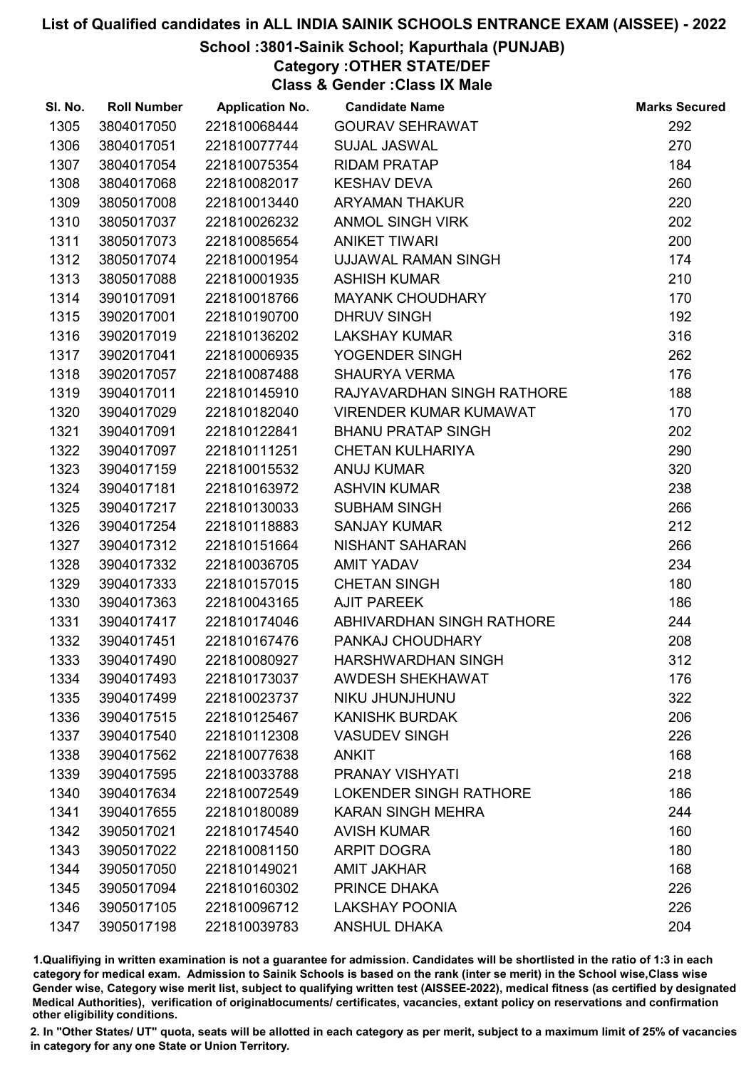## School :3801-Sainik School; Kapurthala (PUNJAB)

Category :OTHER STATE/DEF

Class & Gender :Class IX Male

| SI. No. | <b>Roll Number</b> | <b>Application No.</b> | <b>Candidate Name</b>         | <b>Marks Secured</b> |
|---------|--------------------|------------------------|-------------------------------|----------------------|
| 1305    | 3804017050         | 221810068444           | <b>GOURAV SEHRAWAT</b>        | 292                  |
| 1306    | 3804017051         | 221810077744           | <b>SUJAL JASWAL</b>           | 270                  |
| 1307    | 3804017054         | 221810075354           | <b>RIDAM PRATAP</b>           | 184                  |
| 1308    | 3804017068         | 221810082017           | <b>KESHAV DEVA</b>            | 260                  |
| 1309    | 3805017008         | 221810013440           | ARYAMAN THAKUR                | 220                  |
| 1310    | 3805017037         | 221810026232           | <b>ANMOL SINGH VIRK</b>       | 202                  |
| 1311    | 3805017073         | 221810085654           | <b>ANIKET TIWARI</b>          | 200                  |
| 1312    | 3805017074         | 221810001954           | UJJAWAL RAMAN SINGH           | 174                  |
| 1313    | 3805017088         | 221810001935           | <b>ASHISH KUMAR</b>           | 210                  |
| 1314    | 3901017091         | 221810018766           | <b>MAYANK CHOUDHARY</b>       | 170                  |
| 1315    | 3902017001         | 221810190700           | <b>DHRUV SINGH</b>            | 192                  |
| 1316    | 3902017019         | 221810136202           | <b>LAKSHAY KUMAR</b>          | 316                  |
| 1317    | 3902017041         | 221810006935           | YOGENDER SINGH                | 262                  |
| 1318    | 3902017057         | 221810087488           | <b>SHAURYA VERMA</b>          | 176                  |
| 1319    | 3904017011         | 221810145910           | RAJYAVARDHAN SINGH RATHORE    | 188                  |
| 1320    | 3904017029         | 221810182040           | <b>VIRENDER KUMAR KUMAWAT</b> | 170                  |
| 1321    | 3904017091         | 221810122841           | <b>BHANU PRATAP SINGH</b>     | 202                  |
| 1322    | 3904017097         | 221810111251           | <b>CHETAN KULHARIYA</b>       | 290                  |
| 1323    | 3904017159         | 221810015532           | <b>ANUJ KUMAR</b>             | 320                  |
| 1324    | 3904017181         | 221810163972           | <b>ASHVIN KUMAR</b>           | 238                  |
| 1325    | 3904017217         | 221810130033           | <b>SUBHAM SINGH</b>           | 266                  |
| 1326    | 3904017254         | 221810118883           | <b>SANJAY KUMAR</b>           | 212                  |
| 1327    | 3904017312         | 221810151664           | NISHANT SAHARAN               | 266                  |
| 1328    | 3904017332         | 221810036705           | <b>AMIT YADAV</b>             | 234                  |
| 1329    | 3904017333         | 221810157015           | <b>CHETAN SINGH</b>           | 180                  |
| 1330    | 3904017363         | 221810043165           | <b>AJIT PAREEK</b>            | 186                  |
| 1331    | 3904017417         | 221810174046           | ABHIVARDHAN SINGH RATHORE     | 244                  |
| 1332    | 3904017451         | 221810167476           | PANKAJ CHOUDHARY              | 208                  |
| 1333    | 3904017490         | 221810080927           | HARSHWARDHAN SINGH            | 312                  |
| 1334    | 3904017493         | 221810173037           | <b>AWDESH SHEKHAWAT</b>       | 176                  |
| 1335    | 3904017499         | 221810023737           | NIKU JHUNJHUNU                | 322                  |
| 1336    | 3904017515         | 221810125467           | <b>KANISHK BURDAK</b>         | 206                  |
| 1337    | 3904017540         | 221810112308           | <b>VASUDEV SINGH</b>          | 226                  |
| 1338    | 3904017562         | 221810077638           | <b>ANKIT</b>                  | 168                  |
| 1339    | 3904017595         | 221810033788           | <b>PRANAY VISHYATI</b>        | 218                  |
| 1340    | 3904017634         | 221810072549           | <b>LOKENDER SINGH RATHORE</b> | 186                  |
| 1341    | 3904017655         | 221810180089           | <b>KARAN SINGH MEHRA</b>      | 244                  |
| 1342    | 3905017021         | 221810174540           | <b>AVISH KUMAR</b>            | 160                  |
| 1343    | 3905017022         | 221810081150           | ARPIT DOGRA                   | 180                  |
| 1344    | 3905017050         | 221810149021           | <b>AMIT JAKHAR</b>            | 168                  |
| 1345    | 3905017094         | 221810160302           | PRINCE DHAKA                  | 226                  |
| 1346    | 3905017105         | 221810096712           | <b>LAKSHAY POONIA</b>         | 226                  |
| 1347    | 3905017198         | 221810039783           | <b>ANSHUL DHAKA</b>           | 204                  |

1.Qualifiying in written examination is not a guarantee for admission. Candidates will be shortlisted in the ratio of 1:3 in each category for medical exam. Admission to Sainik Schools is based on the rank (inter se merit) in the School wise,Class wise Gender wise, Category wise merit list, subject to qualifying written test (AISSEE-2022), medical fitness (as certified by designated Medical Authorities), verification of originablocuments/ certificates, vacancies, extant policy on reservations and confirmation other eligibility conditions.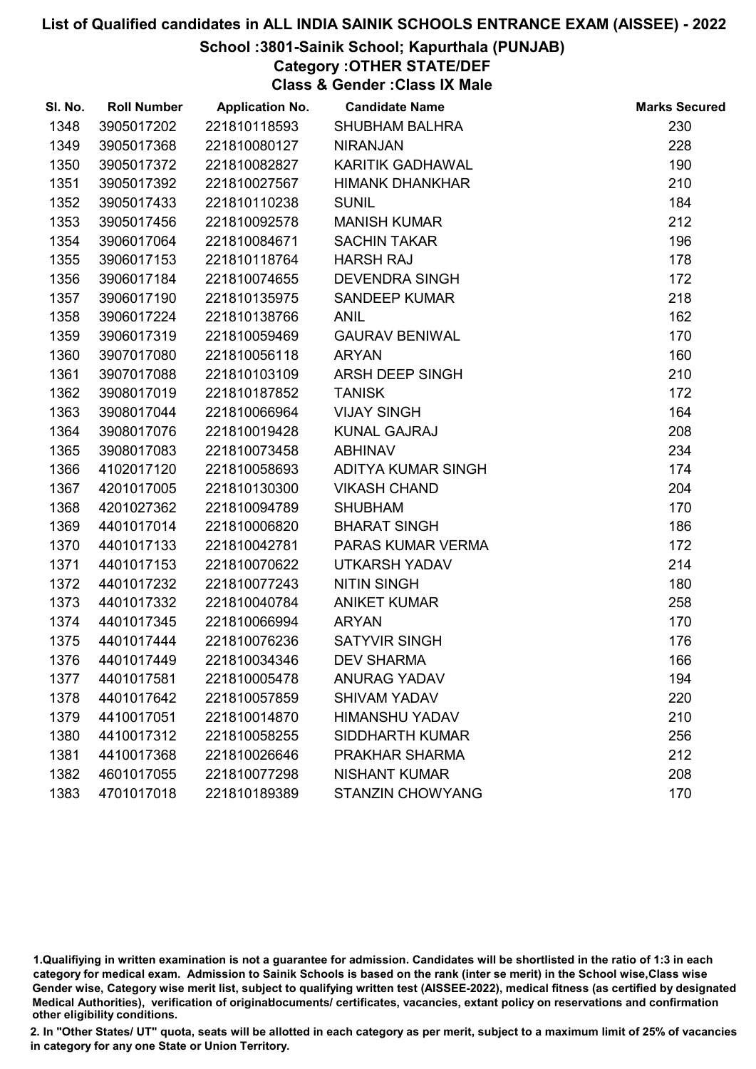## School :3801-Sainik School; Kapurthala (PUNJAB)

Category :OTHER STATE/DEF

Class & Gender :Class IX Male

| SI. No. | <b>Roll Number</b> | <b>Application No.</b> | <b>Candidate Name</b>   | <b>Marks Secured</b> |
|---------|--------------------|------------------------|-------------------------|----------------------|
| 1348    | 3905017202         | 221810118593           | <b>SHUBHAM BALHRA</b>   | 230                  |
| 1349    | 3905017368         | 221810080127           | <b>NIRANJAN</b>         | 228                  |
| 1350    | 3905017372         | 221810082827           | <b>KARITIK GADHAWAL</b> | 190                  |
| 1351    | 3905017392         | 221810027567           | <b>HIMANK DHANKHAR</b>  | 210                  |
| 1352    | 3905017433         | 221810110238           | <b>SUNIL</b>            | 184                  |
| 1353    | 3905017456         | 221810092578           | <b>MANISH KUMAR</b>     | 212                  |
| 1354    | 3906017064         | 221810084671           | <b>SACHIN TAKAR</b>     | 196                  |
| 1355    | 3906017153         | 221810118764           | <b>HARSH RAJ</b>        | 178                  |
| 1356    | 3906017184         | 221810074655           | <b>DEVENDRA SINGH</b>   | 172                  |
| 1357    | 3906017190         | 221810135975           | <b>SANDEEP KUMAR</b>    | 218                  |
| 1358    | 3906017224         | 221810138766           | <b>ANIL</b>             | 162                  |
| 1359    | 3906017319         | 221810059469           | <b>GAURAV BENIWAL</b>   | 170                  |
| 1360    | 3907017080         | 221810056118           | <b>ARYAN</b>            | 160                  |
| 1361    | 3907017088         | 221810103109           | ARSH DEEP SINGH         | 210                  |
| 1362    | 3908017019         | 221810187852           | <b>TANISK</b>           | 172                  |
| 1363    | 3908017044         | 221810066964           | <b>VIJAY SINGH</b>      | 164                  |
| 1364    | 3908017076         | 221810019428           | <b>KUNAL GAJRAJ</b>     | 208                  |
| 1365    | 3908017083         | 221810073458           | <b>ABHINAV</b>          | 234                  |
| 1366    | 4102017120         | 221810058693           | ADITYA KUMAR SINGH      | 174                  |
| 1367    | 4201017005         | 221810130300           | <b>VIKASH CHAND</b>     | 204                  |
| 1368    | 4201027362         | 221810094789           | <b>SHUBHAM</b>          | 170                  |
| 1369    | 4401017014         | 221810006820           | <b>BHARAT SINGH</b>     | 186                  |
| 1370    | 4401017133         | 221810042781           | PARAS KUMAR VERMA       | 172                  |
| 1371    | 4401017153         | 221810070622           | <b>UTKARSH YADAV</b>    | 214                  |
| 1372    | 4401017232         | 221810077243           | <b>NITIN SINGH</b>      | 180                  |
| 1373    | 4401017332         | 221810040784           | <b>ANIKET KUMAR</b>     | 258                  |
| 1374    | 4401017345         | 221810066994           | <b>ARYAN</b>            | 170                  |
| 1375    | 4401017444         | 221810076236           | <b>SATYVIR SINGH</b>    | 176                  |
| 1376    | 4401017449         | 221810034346           | <b>DEV SHARMA</b>       | 166                  |
| 1377    | 4401017581         | 221810005478           | <b>ANURAG YADAV</b>     | 194                  |
| 1378    | 4401017642         | 221810057859           | <b>SHIVAM YADAV</b>     | 220                  |
| 1379    | 4410017051         | 221810014870           | <b>HIMANSHU YADAV</b>   | 210                  |
| 1380    | 4410017312         | 221810058255           | <b>SIDDHARTH KUMAR</b>  | 256                  |
| 1381    | 4410017368         | 221810026646           | PRAKHAR SHARMA          | 212                  |
| 1382    | 4601017055         | 221810077298           | <b>NISHANT KUMAR</b>    | 208                  |
| 1383    | 4701017018         | 221810189389           | <b>STANZIN CHOWYANG</b> | 170                  |

1.Qualifiying in written examination is not a guarantee for admission. Candidates will be shortlisted in the ratio of 1:3 in each category for medical exam. Admission to Sainik Schools is based on the rank (inter se merit) in the School wise,Class wise Gender wise, Category wise merit list, subject to qualifying written test (AISSEE-2022), medical fitness (as certified by designated Medical Authorities), verification of originablocuments/ certificates, vacancies, extant policy on reservations and confirmation other eligibility conditions.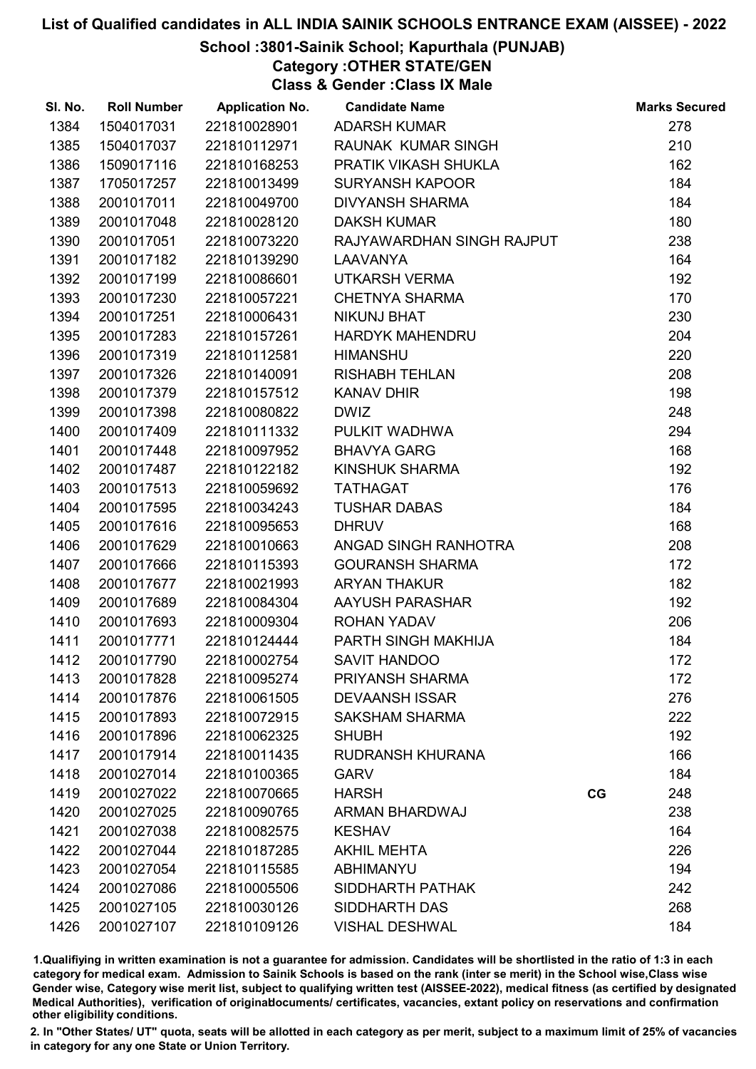## School :3801-Sainik School; Kapurthala (PUNJAB)

Category :OTHER STATE/GEN

Class & Gender :Class IX Male

| SI. No. | <b>Roll Number</b> | <b>Application No.</b> | <b>Candidate Name</b>     |    | <b>Marks Secured</b> |
|---------|--------------------|------------------------|---------------------------|----|----------------------|
| 1384    | 1504017031         | 221810028901           | <b>ADARSH KUMAR</b>       |    | 278                  |
| 1385    | 1504017037         | 221810112971           | RAUNAK KUMAR SINGH        |    | 210                  |
| 1386    | 1509017116         | 221810168253           | PRATIK VIKASH SHUKLA      |    | 162                  |
| 1387    | 1705017257         | 221810013499           | <b>SURYANSH KAPOOR</b>    |    | 184                  |
| 1388    | 2001017011         | 221810049700           | <b>DIVYANSH SHARMA</b>    |    | 184                  |
| 1389    | 2001017048         | 221810028120           | <b>DAKSH KUMAR</b>        |    | 180                  |
| 1390    | 2001017051         | 221810073220           | RAJYAWARDHAN SINGH RAJPUT |    | 238                  |
| 1391    | 2001017182         | 221810139290           | <b>LAAVANYA</b>           |    | 164                  |
| 1392    | 2001017199         | 221810086601           | <b>UTKARSH VERMA</b>      |    | 192                  |
| 1393    | 2001017230         | 221810057221           | <b>CHETNYA SHARMA</b>     |    | 170                  |
| 1394    | 2001017251         | 221810006431           | <b>NIKUNJ BHAT</b>        |    | 230                  |
| 1395    | 2001017283         | 221810157261           | <b>HARDYK MAHENDRU</b>    |    | 204                  |
| 1396    | 2001017319         | 221810112581           | <b>HIMANSHU</b>           |    | 220                  |
| 1397    | 2001017326         | 221810140091           | <b>RISHABH TEHLAN</b>     |    | 208                  |
| 1398    | 2001017379         | 221810157512           | <b>KANAV DHIR</b>         |    | 198                  |
| 1399    | 2001017398         | 221810080822           | <b>DWIZ</b>               |    | 248                  |
| 1400    | 2001017409         | 221810111332           | PULKIT WADHWA             |    | 294                  |
| 1401    | 2001017448         | 221810097952           | <b>BHAVYA GARG</b>        |    | 168                  |
| 1402    | 2001017487         | 221810122182           | KINSHUK SHARMA            |    | 192                  |
| 1403    | 2001017513         | 221810059692           | <b>TATHAGAT</b>           |    | 176                  |
| 1404    | 2001017595         | 221810034243           | <b>TUSHAR DABAS</b>       |    | 184                  |
| 1405    | 2001017616         | 221810095653           | <b>DHRUV</b>              |    | 168                  |
| 1406    | 2001017629         | 221810010663           | ANGAD SINGH RANHOTRA      |    | 208                  |
| 1407    | 2001017666         | 221810115393           | <b>GOURANSH SHARMA</b>    |    | 172                  |
| 1408    | 2001017677         | 221810021993           | <b>ARYAN THAKUR</b>       |    | 182                  |
| 1409    | 2001017689         | 221810084304           | AAYUSH PARASHAR           |    | 192                  |
| 1410    | 2001017693         | 221810009304           | <b>ROHAN YADAV</b>        |    | 206                  |
| 1411    | 2001017771         | 221810124444           | PARTH SINGH MAKHIJA       |    | 184                  |
| 1412    | 2001017790         | 221810002754           | <b>SAVIT HANDOO</b>       |    | 172                  |
| 1413    | 2001017828         | 221810095274           | <b>PRIYANSH SHARMA</b>    |    | 172                  |
| 1414    | 2001017876         | 221810061505           | <b>DEVAANSH ISSAR</b>     |    | 276                  |
| 1415    | 2001017893         | 221810072915           | <b>SAKSHAM SHARMA</b>     |    | 222                  |
| 1416    | 2001017896         | 221810062325           | <b>SHUBH</b>              |    | 192                  |
| 1417    | 2001017914         | 221810011435           | RUDRANSH KHURANA          |    | 166                  |
| 1418    | 2001027014         | 221810100365           | <b>GARV</b>               |    | 184                  |
| 1419    | 2001027022         | 221810070665           | <b>HARSH</b>              | CG | 248                  |
| 1420    | 2001027025         | 221810090765           | ARMAN BHARDWAJ            |    | 238                  |
| 1421    | 2001027038         | 221810082575           | <b>KESHAV</b>             |    | 164                  |
| 1422    | 2001027044         | 221810187285           | <b>AKHIL MEHTA</b>        |    | 226                  |
| 1423    | 2001027054         | 221810115585           | <b>ABHIMANYU</b>          |    | 194                  |
| 1424    | 2001027086         | 221810005506           | SIDDHARTH PATHAK          |    | 242                  |
| 1425    | 2001027105         | 221810030126           | SIDDHARTH DAS             |    | 268                  |
| 1426    | 2001027107         | 221810109126           | <b>VISHAL DESHWAL</b>     |    | 184                  |

1.Qualifiying in written examination is not a guarantee for admission. Candidates will be shortlisted in the ratio of 1:3 in each category for medical exam. Admission to Sainik Schools is based on the rank (inter se merit) in the School wise,Class wise Gender wise, Category wise merit list, subject to qualifying written test (AISSEE-2022), medical fitness (as certified by designated Medical Authorities), verification of originablocuments/ certificates, vacancies, extant policy on reservations and confirmation other eligibility conditions.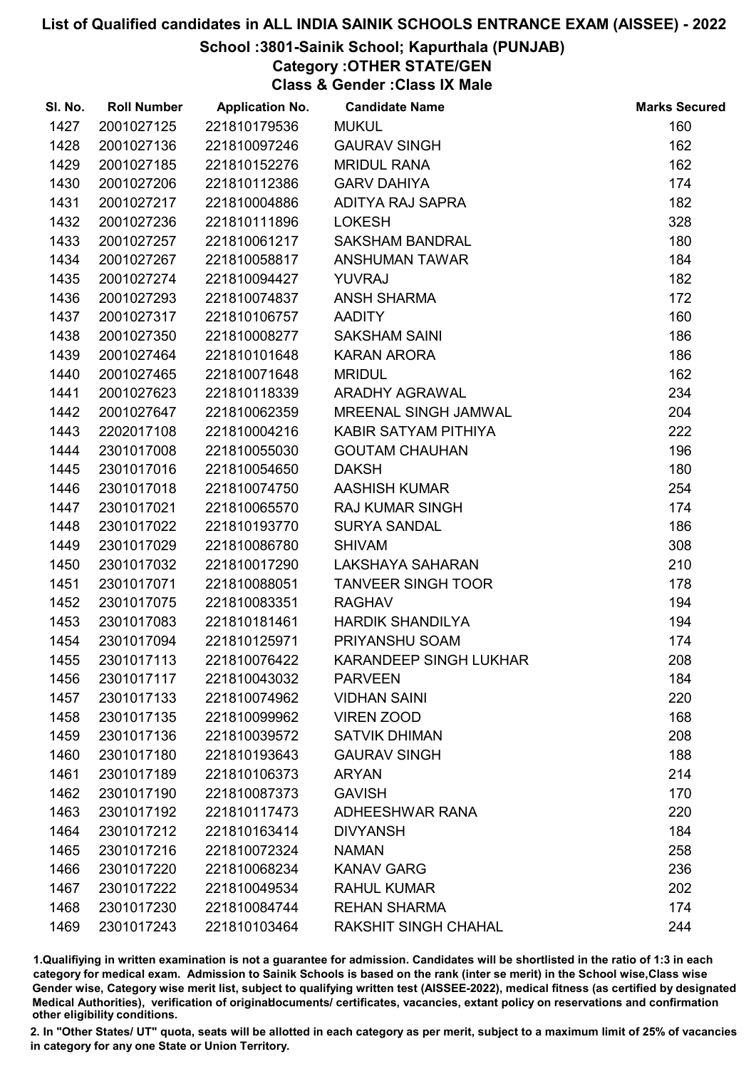## School :3801-Sainik School; Kapurthala (PUNJAB)

Category :OTHER STATE/GEN

Class & Gender :Class IX Male

| SI. No. | <b>Roll Number</b> | <b>Application No.</b> | <b>Candidate Name</b>         | <b>Marks Secured</b> |
|---------|--------------------|------------------------|-------------------------------|----------------------|
| 1427    | 2001027125         | 221810179536           | <b>MUKUL</b>                  | 160                  |
| 1428    | 2001027136         | 221810097246           | <b>GAURAV SINGH</b>           | 162                  |
| 1429    | 2001027185         | 221810152276           | <b>MRIDUL RANA</b>            | 162                  |
| 1430    | 2001027206         | 221810112386           | <b>GARV DAHIYA</b>            | 174                  |
| 1431    | 2001027217         | 221810004886           | ADITYA RAJ SAPRA              | 182                  |
| 1432    | 2001027236         | 221810111896           | <b>LOKESH</b>                 | 328                  |
| 1433    | 2001027257         | 221810061217           | <b>SAKSHAM BANDRAL</b>        | 180                  |
| 1434    | 2001027267         | 221810058817           | ANSHUMAN TAWAR                | 184                  |
| 1435    | 2001027274         | 221810094427           | <b>YUVRAJ</b>                 | 182                  |
| 1436    | 2001027293         | 221810074837           | <b>ANSH SHARMA</b>            | 172                  |
| 1437    | 2001027317         | 221810106757           | <b>AADITY</b>                 | 160                  |
| 1438    | 2001027350         | 221810008277           | <b>SAKSHAM SAINI</b>          | 186                  |
| 1439    | 2001027464         | 221810101648           | <b>KARAN ARORA</b>            | 186                  |
| 1440    | 2001027465         | 221810071648           | <b>MRIDUL</b>                 | 162                  |
| 1441    | 2001027623         | 221810118339           | <b>ARADHY AGRAWAL</b>         | 234                  |
| 1442    | 2001027647         | 221810062359           | MREENAL SINGH JAMWAL          | 204                  |
| 1443    | 2202017108         | 221810004216           | KABIR SATYAM PITHIYA          | 222                  |
| 1444    | 2301017008         | 221810055030           | <b>GOUTAM CHAUHAN</b>         | 196                  |
| 1445    | 2301017016         | 221810054650           | <b>DAKSH</b>                  | 180                  |
| 1446    | 2301017018         | 221810074750           | <b>AASHISH KUMAR</b>          | 254                  |
| 1447    | 2301017021         | 221810065570           | <b>RAJ KUMAR SINGH</b>        | 174                  |
| 1448    | 2301017022         | 221810193770           | <b>SURYA SANDAL</b>           | 186                  |
| 1449    | 2301017029         | 221810086780           | <b>SHIVAM</b>                 | 308                  |
| 1450    | 2301017032         | 221810017290           | LAKSHAYA SAHARAN              | 210                  |
| 1451    | 2301017071         | 221810088051           | <b>TANVEER SINGH TOOR</b>     | 178                  |
| 1452    | 2301017075         | 221810083351           | <b>RAGHAV</b>                 | 194                  |
| 1453    | 2301017083         | 221810181461           | <b>HARDIK SHANDILYA</b>       | 194                  |
| 1454    | 2301017094         | 221810125971           | PRIYANSHU SOAM                | 174                  |
| 1455    | 2301017113         | 221810076422           | <b>KARANDEEP SINGH LUKHAR</b> | 208                  |
| 1456    | 2301017117         | 221810043032           | <b>PARVEEN</b>                | 184                  |
| 1457    | 2301017133         | 221810074962           | <b>VIDHAN SAINI</b>           | 220                  |
| 1458    | 2301017135         | 221810099962           | <b>VIREN ZOOD</b>             | 168                  |
| 1459    | 2301017136         | 221810039572           | <b>SATVIK DHIMAN</b>          | 208                  |
| 1460    | 2301017180         | 221810193643           | <b>GAURAV SINGH</b>           | 188                  |
| 1461    | 2301017189         | 221810106373           | <b>ARYAN</b>                  | 214                  |
| 1462    | 2301017190         | 221810087373           | <b>GAVISH</b>                 | 170                  |
| 1463    | 2301017192         | 221810117473           | <b>ADHEESHWAR RANA</b>        | 220                  |
| 1464    | 2301017212         | 221810163414           | <b>DIVYANSH</b>               | 184                  |
| 1465    | 2301017216         | 221810072324           | <b>NAMAN</b>                  | 258                  |
| 1466    | 2301017220         | 221810068234           | <b>KANAV GARG</b>             | 236                  |
| 1467    | 2301017222         | 221810049534           | <b>RAHUL KUMAR</b>            | 202                  |
| 1468    | 2301017230         | 221810084744           | <b>REHAN SHARMA</b>           | 174                  |
| 1469    | 2301017243         | 221810103464           | <b>RAKSHIT SINGH CHAHAL</b>   | 244                  |

1.Qualifiying in written examination is not a guarantee for admission. Candidates will be shortlisted in the ratio of 1:3 in each category for medical exam. Admission to Sainik Schools is based on the rank (inter se merit) in the School wise,Class wise Gender wise, Category wise merit list, subject to qualifying written test (AISSEE-2022), medical fitness (as certified by designated Medical Authorities), verification of originablocuments/ certificates, vacancies, extant policy on reservations and confirmation other eligibility conditions.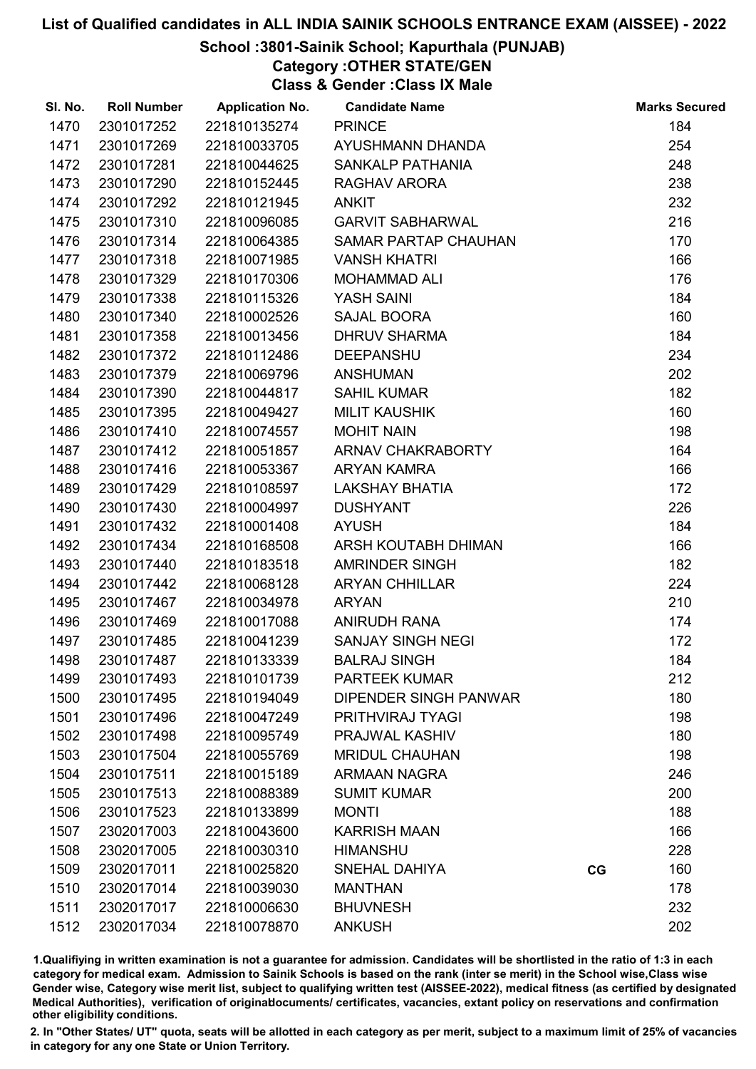## School :3801-Sainik School; Kapurthala (PUNJAB)

Category :OTHER STATE/GEN

Class & Gender :Class IX Male

| SI. No. | <b>Roll Number</b> | <b>Application No.</b> | <b>Candidate Name</b>        |    | <b>Marks Secured</b> |
|---------|--------------------|------------------------|------------------------------|----|----------------------|
| 1470    | 2301017252         | 221810135274           | <b>PRINCE</b>                |    | 184                  |
| 1471    | 2301017269         | 221810033705           | AYUSHMANN DHANDA             |    | 254                  |
| 1472    | 2301017281         | 221810044625           | <b>SANKALP PATHANIA</b>      |    | 248                  |
| 1473    | 2301017290         | 221810152445           | RAGHAV ARORA                 |    | 238                  |
| 1474    | 2301017292         | 221810121945           | <b>ANKIT</b>                 |    | 232                  |
| 1475    | 2301017310         | 221810096085           | <b>GARVIT SABHARWAL</b>      |    | 216                  |
| 1476    | 2301017314         | 221810064385           | SAMAR PARTAP CHAUHAN         |    | 170                  |
| 1477    | 2301017318         | 221810071985           | <b>VANSH KHATRI</b>          |    | 166                  |
| 1478    | 2301017329         | 221810170306           | <b>MOHAMMAD ALI</b>          |    | 176                  |
| 1479    | 2301017338         | 221810115326           | YASH SAINI                   |    | 184                  |
| 1480    | 2301017340         | 221810002526           | SAJAL BOORA                  |    | 160                  |
| 1481    | 2301017358         | 221810013456           | <b>DHRUV SHARMA</b>          |    | 184                  |
| 1482    | 2301017372         | 221810112486           | <b>DEEPANSHU</b>             |    | 234                  |
| 1483    | 2301017379         | 221810069796           | <b>ANSHUMAN</b>              |    | 202                  |
| 1484    | 2301017390         | 221810044817           | <b>SAHIL KUMAR</b>           |    | 182                  |
| 1485    | 2301017395         | 221810049427           | <b>MILIT KAUSHIK</b>         |    | 160                  |
| 1486    | 2301017410         | 221810074557           | <b>MOHIT NAIN</b>            |    | 198                  |
| 1487    | 2301017412         | 221810051857           | ARNAV CHAKRABORTY            |    | 164                  |
| 1488    | 2301017416         | 221810053367           | <b>ARYAN KAMRA</b>           |    | 166                  |
| 1489    | 2301017429         | 221810108597           | <b>LAKSHAY BHATIA</b>        |    | 172                  |
| 1490    | 2301017430         | 221810004997           | <b>DUSHYANT</b>              |    | 226                  |
| 1491    | 2301017432         | 221810001408           | <b>AYUSH</b>                 |    | 184                  |
| 1492    | 2301017434         | 221810168508           | ARSH KOUTABH DHIMAN          |    | 166                  |
| 1493    | 2301017440         | 221810183518           | AMRINDER SINGH               |    | 182                  |
| 1494    | 2301017442         | 221810068128           | <b>ARYAN CHHILLAR</b>        |    | 224                  |
| 1495    | 2301017467         | 221810034978           | <b>ARYAN</b>                 |    | 210                  |
| 1496    | 2301017469         | 221810017088           | <b>ANIRUDH RANA</b>          |    | 174                  |
| 1497    | 2301017485         | 221810041239           | SANJAY SINGH NEGI            |    | 172                  |
| 1498    | 2301017487         | 221810133339           | <b>BALRAJ SINGH</b>          |    | 184                  |
| 1499    | 2301017493         | 221810101739           | <b>PARTEEK KUMAR</b>         |    | 212                  |
| 1500    | 2301017495         | 221810194049           | <b>DIPENDER SINGH PANWAR</b> |    | 180                  |
| 1501    | 2301017496         | 221810047249           | PRITHVIRAJ TYAGI             |    | 198                  |
| 1502    | 2301017498         | 221810095749           | PRAJWAL KASHIV               |    | 180                  |
| 1503    | 2301017504         | 221810055769           | <b>MRIDUL CHAUHAN</b>        |    | 198                  |
| 1504    | 2301017511         | 221810015189           | <b>ARMAAN NAGRA</b>          |    | 246                  |
| 1505    | 2301017513         | 221810088389           | <b>SUMIT KUMAR</b>           |    | 200                  |
| 1506    | 2301017523         | 221810133899           | <b>MONTI</b>                 |    | 188                  |
| 1507    | 2302017003         | 221810043600           | <b>KARRISH MAAN</b>          |    | 166                  |
| 1508    | 2302017005         | 221810030310           | <b>HIMANSHU</b>              |    | 228                  |
| 1509    | 2302017011         | 221810025820           | SNEHAL DAHIYA                | CG | 160                  |
| 1510    | 2302017014         | 221810039030           | <b>MANTHAN</b>               |    | 178                  |
| 1511    | 2302017017         | 221810006630           | <b>BHUVNESH</b>              |    | 232                  |
| 1512    | 2302017034         | 221810078870           | <b>ANKUSH</b>                |    | 202                  |

1.Qualifiying in written examination is not a guarantee for admission. Candidates will be shortlisted in the ratio of 1:3 in each category for medical exam. Admission to Sainik Schools is based on the rank (inter se merit) in the School wise,Class wise Gender wise, Category wise merit list, subject to qualifying written test (AISSEE-2022), medical fitness (as certified by designated Medical Authorities), verification of originablocuments/ certificates, vacancies, extant policy on reservations and confirmation other eligibility conditions.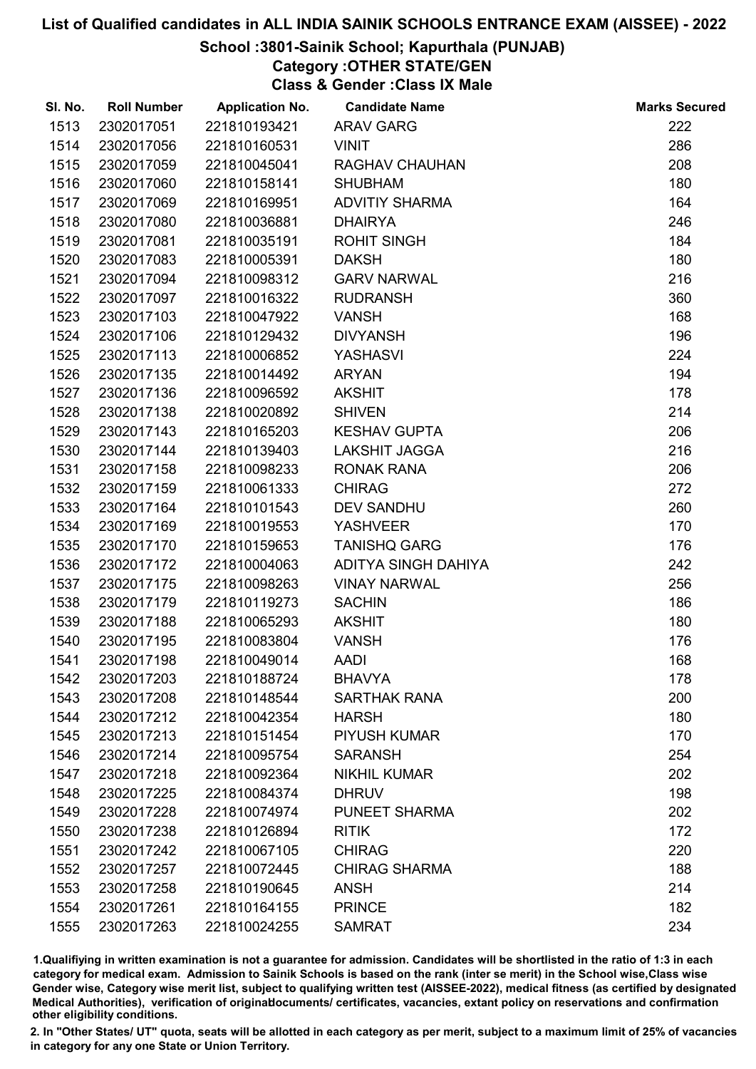#### School :3801-Sainik School; Kapurthala (PUNJAB)

# Category :OTHER STATE/GEN

Class & Gender :Class IX Male

| SI. No. | <b>Roll Number</b> | <b>Application No.</b> | <b>Candidate Name</b> | <b>Marks Secured</b> |
|---------|--------------------|------------------------|-----------------------|----------------------|
| 1513    | 2302017051         | 221810193421           | <b>ARAV GARG</b>      | 222                  |
| 1514    | 2302017056         | 221810160531           | <b>VINIT</b>          | 286                  |
| 1515    | 2302017059         | 221810045041           | RAGHAV CHAUHAN        | 208                  |
| 1516    | 2302017060         | 221810158141           | <b>SHUBHAM</b>        | 180                  |
| 1517    | 2302017069         | 221810169951           | <b>ADVITIY SHARMA</b> | 164                  |
| 1518    | 2302017080         | 221810036881           | <b>DHAIRYA</b>        | 246                  |
| 1519    | 2302017081         | 221810035191           | <b>ROHIT SINGH</b>    | 184                  |
| 1520    | 2302017083         | 221810005391           | <b>DAKSH</b>          | 180                  |
| 1521    | 2302017094         | 221810098312           | <b>GARV NARWAL</b>    | 216                  |
| 1522    | 2302017097         | 221810016322           | <b>RUDRANSH</b>       | 360                  |
| 1523    | 2302017103         | 221810047922           | <b>VANSH</b>          | 168                  |
| 1524    | 2302017106         | 221810129432           | <b>DIVYANSH</b>       | 196                  |
| 1525    | 2302017113         | 221810006852           | YASHASVI              | 224                  |
| 1526    | 2302017135         | 221810014492           | <b>ARYAN</b>          | 194                  |
| 1527    | 2302017136         | 221810096592           | <b>AKSHIT</b>         | 178                  |
| 1528    | 2302017138         | 221810020892           | <b>SHIVEN</b>         | 214                  |
| 1529    | 2302017143         | 221810165203           | <b>KESHAV GUPTA</b>   | 206                  |
| 1530    | 2302017144         | 221810139403           | LAKSHIT JAGGA         | 216                  |
| 1531    | 2302017158         | 221810098233           | <b>RONAK RANA</b>     | 206                  |
| 1532    | 2302017159         | 221810061333           | <b>CHIRAG</b>         | 272                  |
| 1533    | 2302017164         | 221810101543           | <b>DEV SANDHU</b>     | 260                  |
| 1534    | 2302017169         | 221810019553           | <b>YASHVEER</b>       | 170                  |
| 1535    | 2302017170         | 221810159653           | <b>TANISHQ GARG</b>   | 176                  |
| 1536    | 2302017172         | 221810004063           | ADITYA SINGH DAHIYA   | 242                  |
| 1537    | 2302017175         | 221810098263           | <b>VINAY NARWAL</b>   | 256                  |
| 1538    | 2302017179         | 221810119273           | <b>SACHIN</b>         | 186                  |
| 1539    | 2302017188         | 221810065293           | <b>AKSHIT</b>         | 180                  |
| 1540    | 2302017195         | 221810083804           | <b>VANSH</b>          | 176                  |
| 1541    | 2302017198         | 221810049014           | <b>AADI</b>           | 168                  |
| 1542    | 2302017203         | 221810188724           | <b>BHAVYA</b>         | 178                  |
| 1543    | 2302017208         | 221810148544           | <b>SARTHAK RANA</b>   | 200                  |
| 1544    | 2302017212         | 221810042354           | <b>HARSH</b>          | 180                  |
| 1545    | 2302017213         | 221810151454           | <b>PIYUSH KUMAR</b>   | 170                  |
| 1546    | 2302017214         | 221810095754           | <b>SARANSH</b>        | 254                  |
| 1547    | 2302017218         | 221810092364           | <b>NIKHIL KUMAR</b>   | 202                  |
| 1548    | 2302017225         | 221810084374           | <b>DHRUV</b>          | 198                  |
| 1549    | 2302017228         | 221810074974           | <b>PUNEET SHARMA</b>  | 202                  |
| 1550    | 2302017238         | 221810126894           | <b>RITIK</b>          | 172                  |
| 1551    | 2302017242         | 221810067105           | <b>CHIRAG</b>         | 220                  |
| 1552    | 2302017257         | 221810072445           | <b>CHIRAG SHARMA</b>  | 188                  |
| 1553    | 2302017258         | 221810190645           | <b>ANSH</b>           | 214                  |
| 1554    | 2302017261         | 221810164155           | <b>PRINCE</b>         | 182                  |
| 1555    | 2302017263         | 221810024255           | <b>SAMRAT</b>         | 234                  |

1.Qualifiying in written examination is not a guarantee for admission. Candidates will be shortlisted in the ratio of 1:3 in each category for medical exam. Admission to Sainik Schools is based on the rank (inter se merit) in the School wise,Class wise Gender wise, Category wise merit list, subject to qualifying written test (AISSEE-2022), medical fitness (as certified by designated Medical Authorities), verification of originablocuments/ certificates, vacancies, extant policy on reservations and confirmation other eligibility conditions.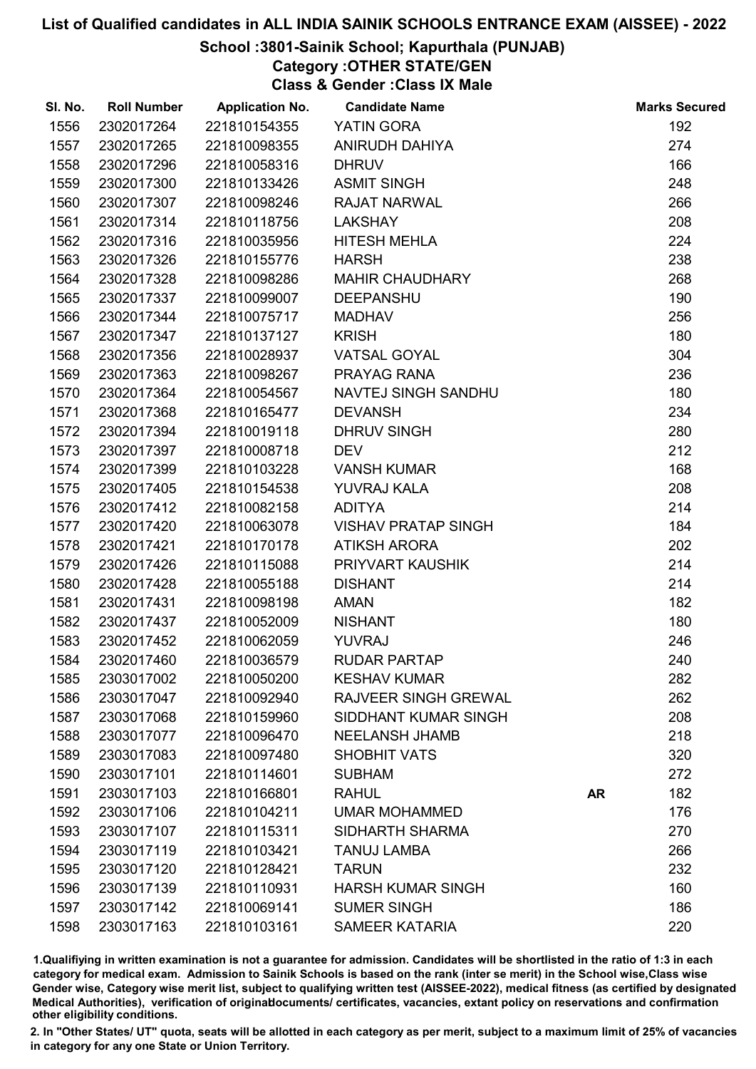## School :3801-Sainik School; Kapurthala (PUNJAB)

# Category :OTHER STATE/GEN

Class & Gender :Class IX Male

| SI. No. | <b>Roll Number</b> | <b>Application No.</b> | <b>Candidate Name</b>       |           | <b>Marks Secured</b> |
|---------|--------------------|------------------------|-----------------------------|-----------|----------------------|
| 1556    | 2302017264         | 221810154355           | YATIN GORA                  |           | 192                  |
| 1557    | 2302017265         | 221810098355           | <b>ANIRUDH DAHIYA</b>       |           | 274                  |
| 1558    | 2302017296         | 221810058316           | <b>DHRUV</b>                |           | 166                  |
| 1559    | 2302017300         | 221810133426           | <b>ASMIT SINGH</b>          |           | 248                  |
| 1560    | 2302017307         | 221810098246           | <b>RAJAT NARWAL</b>         |           | 266                  |
| 1561    | 2302017314         | 221810118756           | <b>LAKSHAY</b>              |           | 208                  |
| 1562    | 2302017316         | 221810035956           | <b>HITESH MEHLA</b>         |           | 224                  |
| 1563    | 2302017326         | 221810155776           | <b>HARSH</b>                |           | 238                  |
| 1564    | 2302017328         | 221810098286           | <b>MAHIR CHAUDHARY</b>      |           | 268                  |
| 1565    | 2302017337         | 221810099007           | <b>DEEPANSHU</b>            |           | 190                  |
| 1566    | 2302017344         | 221810075717           | <b>MADHAV</b>               |           | 256                  |
| 1567    | 2302017347         | 221810137127           | <b>KRISH</b>                |           | 180                  |
| 1568    | 2302017356         | 221810028937           | <b>VATSAL GOYAL</b>         |           | 304                  |
| 1569    | 2302017363         | 221810098267           | PRAYAG RANA                 |           | 236                  |
| 1570    | 2302017364         | 221810054567           | NAVTEJ SINGH SANDHU         |           | 180                  |
| 1571    | 2302017368         | 221810165477           | <b>DEVANSH</b>              |           | 234                  |
| 1572    | 2302017394         | 221810019118           | <b>DHRUV SINGH</b>          |           | 280                  |
| 1573    | 2302017397         | 221810008718           | <b>DEV</b>                  |           | 212                  |
| 1574    | 2302017399         | 221810103228           | <b>VANSH KUMAR</b>          |           | 168                  |
| 1575    | 2302017405         | 221810154538           | YUVRAJ KALA                 |           | 208                  |
| 1576    | 2302017412         | 221810082158           | <b>ADITYA</b>               |           | 214                  |
| 1577    | 2302017420         | 221810063078           | <b>VISHAV PRATAP SINGH</b>  |           | 184                  |
| 1578    | 2302017421         | 221810170178           | <b>ATIKSH ARORA</b>         |           | 202                  |
| 1579    | 2302017426         | 221810115088           | PRIYVART KAUSHIK            |           | 214                  |
| 1580    | 2302017428         | 221810055188           | <b>DISHANT</b>              |           | 214                  |
| 1581    | 2302017431         | 221810098198           | <b>AMAN</b>                 |           | 182                  |
| 1582    | 2302017437         | 221810052009           | <b>NISHANT</b>              |           | 180                  |
| 1583    | 2302017452         | 221810062059           | <b>YUVRAJ</b>               |           | 246                  |
| 1584    | 2302017460         | 221810036579           | <b>RUDAR PARTAP</b>         |           | 240                  |
| 1585    | 2303017002         | 221810050200           | <b>KESHAV KUMAR</b>         |           | 282                  |
| 1586    | 2303017047         | 221810092940           | <b>RAJVEER SINGH GREWAL</b> |           | 262                  |
| 1587    | 2303017068         | 221810159960           | SIDDHANT KUMAR SINGH        |           | 208                  |
| 1588    | 2303017077         | 221810096470           | <b>NEELANSH JHAMB</b>       |           | 218                  |
| 1589    | 2303017083         | 221810097480           | <b>SHOBHIT VATS</b>         |           | 320                  |
| 1590    | 2303017101         | 221810114601           | <b>SUBHAM</b>               |           | 272                  |
| 1591    | 2303017103         | 221810166801           | <b>RAHUL</b>                | <b>AR</b> | 182                  |
| 1592    | 2303017106         | 221810104211           | <b>UMAR MOHAMMED</b>        |           | 176                  |
| 1593    | 2303017107         | 221810115311           | <b>SIDHARTH SHARMA</b>      |           | 270                  |
| 1594    | 2303017119         | 221810103421           | <b>TANUJ LAMBA</b>          |           | 266                  |
| 1595    | 2303017120         | 221810128421           | <b>TARUN</b>                |           | 232                  |
| 1596    | 2303017139         | 221810110931           | <b>HARSH KUMAR SINGH</b>    |           | 160                  |
| 1597    | 2303017142         | 221810069141           | <b>SUMER SINGH</b>          |           | 186                  |
| 1598    | 2303017163         | 221810103161           | <b>SAMEER KATARIA</b>       |           | 220                  |

1.Qualifiying in written examination is not a guarantee for admission. Candidates will be shortlisted in the ratio of 1:3 in each category for medical exam. Admission to Sainik Schools is based on the rank (inter se merit) in the School wise,Class wise Gender wise, Category wise merit list, subject to qualifying written test (AISSEE-2022), medical fitness (as certified by designated Medical Authorities), verification of originablocuments/ certificates, vacancies, extant policy on reservations and confirmation other eligibility conditions.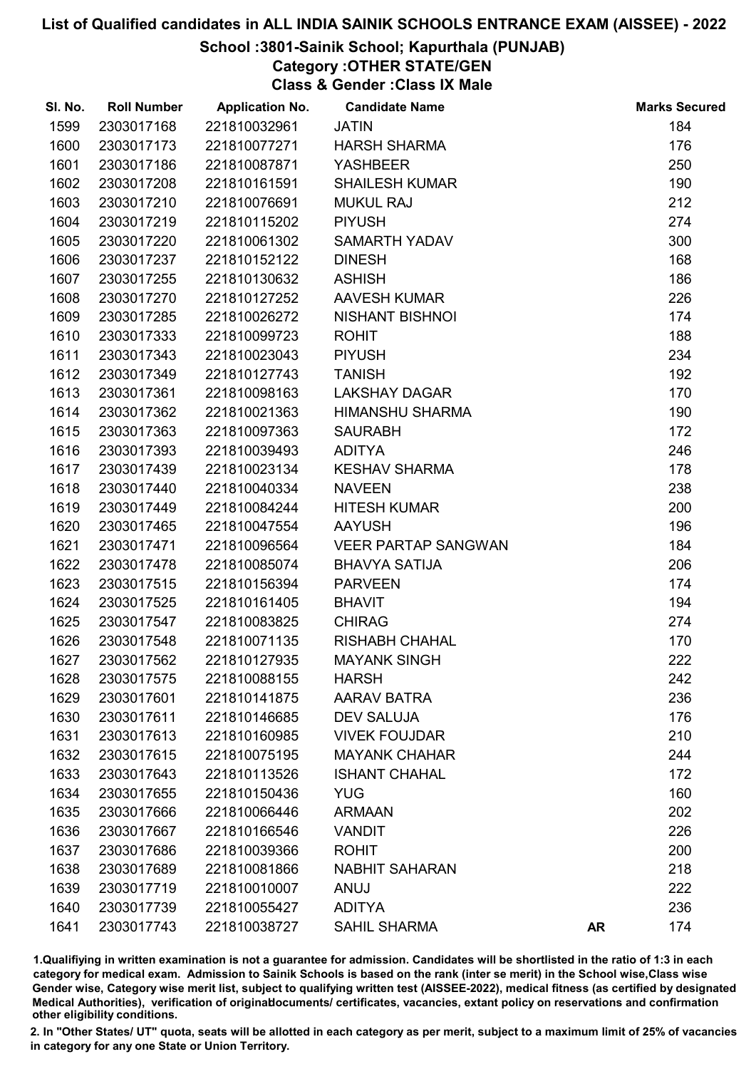## School :3801-Sainik School; Kapurthala (PUNJAB)

Category :OTHER STATE/GEN

Class & Gender :Class IX Male

| SI. No. | <b>Roll Number</b> | <b>Application No.</b> | <b>Candidate Name</b>      |           | <b>Marks Secured</b> |
|---------|--------------------|------------------------|----------------------------|-----------|----------------------|
| 1599    | 2303017168         | 221810032961           | <b>JATIN</b>               |           | 184                  |
| 1600    | 2303017173         | 221810077271           | <b>HARSH SHARMA</b>        |           | 176                  |
| 1601    | 2303017186         | 221810087871           | <b>YASHBEER</b>            |           | 250                  |
| 1602    | 2303017208         | 221810161591           | <b>SHAILESH KUMAR</b>      |           | 190                  |
| 1603    | 2303017210         | 221810076691           | <b>MUKUL RAJ</b>           |           | 212                  |
| 1604    | 2303017219         | 221810115202           | <b>PIYUSH</b>              |           | 274                  |
| 1605    | 2303017220         | 221810061302           | <b>SAMARTH YADAV</b>       |           | 300                  |
| 1606    | 2303017237         | 221810152122           | <b>DINESH</b>              |           | 168                  |
| 1607    | 2303017255         | 221810130632           | <b>ASHISH</b>              |           | 186                  |
| 1608    | 2303017270         | 221810127252           | <b>AAVESH KUMAR</b>        |           | 226                  |
| 1609    | 2303017285         | 221810026272           | <b>NISHANT BISHNOI</b>     |           | 174                  |
| 1610    | 2303017333         | 221810099723           | <b>ROHIT</b>               |           | 188                  |
| 1611    | 2303017343         | 221810023043           | <b>PIYUSH</b>              |           | 234                  |
| 1612    | 2303017349         | 221810127743           | <b>TANISH</b>              |           | 192                  |
| 1613    | 2303017361         | 221810098163           | <b>LAKSHAY DAGAR</b>       |           | 170                  |
| 1614    | 2303017362         | 221810021363           | <b>HIMANSHU SHARMA</b>     |           | 190                  |
| 1615    | 2303017363         | 221810097363           | <b>SAURABH</b>             |           | 172                  |
| 1616    | 2303017393         | 221810039493           | <b>ADITYA</b>              |           | 246                  |
| 1617    | 2303017439         | 221810023134           | <b>KESHAV SHARMA</b>       |           | 178                  |
| 1618    | 2303017440         | 221810040334           | <b>NAVEEN</b>              |           | 238                  |
| 1619    | 2303017449         | 221810084244           | <b>HITESH KUMAR</b>        |           | 200                  |
| 1620    | 2303017465         | 221810047554           | <b>AAYUSH</b>              |           | 196                  |
| 1621    | 2303017471         | 221810096564           | <b>VEER PARTAP SANGWAN</b> |           | 184                  |
| 1622    | 2303017478         | 221810085074           | <b>BHAVYA SATIJA</b>       |           | 206                  |
| 1623    | 2303017515         | 221810156394           | <b>PARVEEN</b>             |           | 174                  |
| 1624    | 2303017525         | 221810161405           | <b>BHAVIT</b>              |           | 194                  |
| 1625    | 2303017547         | 221810083825           | <b>CHIRAG</b>              |           | 274                  |
| 1626    | 2303017548         | 221810071135           | <b>RISHABH CHAHAL</b>      |           | 170                  |
| 1627    | 2303017562         | 221810127935           | <b>MAYANK SINGH</b>        |           | 222                  |
| 1628    | 2303017575         | 221810088155           | <b>HARSH</b>               |           | 242                  |
| 1629    | 2303017601         | 221810141875           | <b>AARAV BATRA</b>         |           | 236                  |
| 1630    | 2303017611         | 221810146685           | <b>DEV SALUJA</b>          |           | 176                  |
| 1631    | 2303017613         | 221810160985           | <b>VIVEK FOUJDAR</b>       |           | 210                  |
| 1632    | 2303017615         | 221810075195           | <b>MAYANK CHAHAR</b>       |           | 244                  |
| 1633    | 2303017643         | 221810113526           | <b>ISHANT CHAHAL</b>       |           | 172                  |
| 1634    | 2303017655         | 221810150436           | <b>YUG</b>                 |           | 160                  |
| 1635    | 2303017666         | 221810066446           | <b>ARMAAN</b>              |           | 202                  |
| 1636    | 2303017667         | 221810166546           | <b>VANDIT</b>              |           | 226                  |
| 1637    | 2303017686         | 221810039366           | <b>ROHIT</b>               |           | 200                  |
| 1638    | 2303017689         | 221810081866           | <b>NABHIT SAHARAN</b>      |           | 218                  |
| 1639    | 2303017719         | 221810010007           | ANUJ                       |           | 222                  |
| 1640    | 2303017739         | 221810055427           | <b>ADITYA</b>              |           | 236                  |
| 1641    | 2303017743         | 221810038727           | <b>SAHIL SHARMA</b>        | <b>AR</b> | 174                  |

1.Qualifiying in written examination is not a guarantee for admission. Candidates will be shortlisted in the ratio of 1:3 in each category for medical exam. Admission to Sainik Schools is based on the rank (inter se merit) in the School wise,Class wise Gender wise, Category wise merit list, subject to qualifying written test (AISSEE-2022), medical fitness (as certified by designated Medical Authorities), verification of originablocuments/ certificates, vacancies, extant policy on reservations and confirmation other eligibility conditions.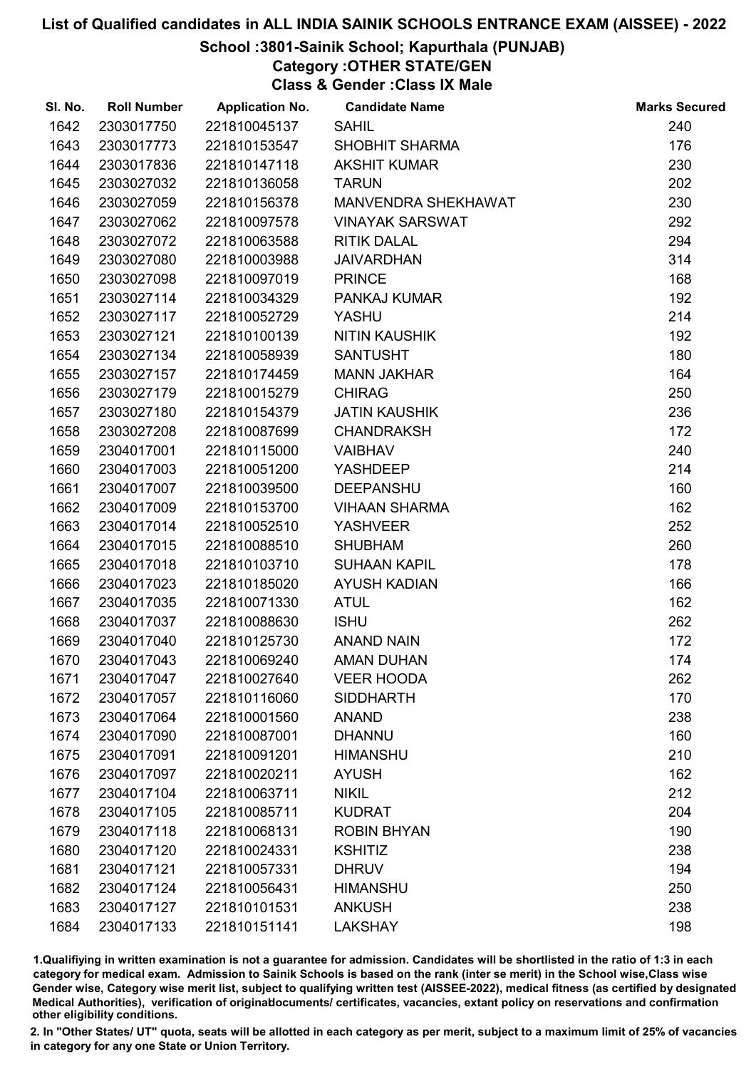## School :3801-Sainik School; Kapurthala (PUNJAB)

Category :OTHER STATE/GEN

Class & Gender :Class IX Male

| SI. No. | <b>Roll Number</b> | <b>Application No.</b> | <b>Candidate Name</b>  | <b>Marks Secured</b> |
|---------|--------------------|------------------------|------------------------|----------------------|
| 1642    | 2303017750         | 221810045137           | <b>SAHIL</b>           | 240                  |
| 1643    | 2303017773         | 221810153547           | SHOBHIT SHARMA         | 176                  |
| 1644    | 2303017836         | 221810147118           | <b>AKSHIT KUMAR</b>    | 230                  |
| 1645    | 2303027032         | 221810136058           | <b>TARUN</b>           | 202                  |
| 1646    | 2303027059         | 221810156378           | MANVENDRA SHEKHAWAT    | 230                  |
| 1647    | 2303027062         | 221810097578           | <b>VINAYAK SARSWAT</b> | 292                  |
| 1648    | 2303027072         | 221810063588           | <b>RITIK DALAL</b>     | 294                  |
| 1649    | 2303027080         | 221810003988           | <b>JAIVARDHAN</b>      | 314                  |
| 1650    | 2303027098         | 221810097019           | <b>PRINCE</b>          | 168                  |
| 1651    | 2303027114         | 221810034329           | PANKAJ KUMAR           | 192                  |
| 1652    | 2303027117         | 221810052729           | YASHU                  | 214                  |
| 1653    | 2303027121         | 221810100139           | <b>NITIN KAUSHIK</b>   | 192                  |
| 1654    | 2303027134         | 221810058939           | <b>SANTUSHT</b>        | 180                  |
| 1655    | 2303027157         | 221810174459           | <b>MANN JAKHAR</b>     | 164                  |
| 1656    | 2303027179         | 221810015279           | <b>CHIRAG</b>          | 250                  |
| 1657    | 2303027180         | 221810154379           | <b>JATIN KAUSHIK</b>   | 236                  |
| 1658    | 2303027208         | 221810087699           | <b>CHANDRAKSH</b>      | 172                  |
| 1659    | 2304017001         | 221810115000           | <b>VAIBHAV</b>         | 240                  |
| 1660    | 2304017003         | 221810051200           | <b>YASHDEEP</b>        | 214                  |
| 1661    | 2304017007         | 221810039500           | <b>DEEPANSHU</b>       | 160                  |
| 1662    | 2304017009         | 221810153700           | <b>VIHAAN SHARMA</b>   | 162                  |
| 1663    | 2304017014         | 221810052510           | <b>YASHVEER</b>        | 252                  |
| 1664    | 2304017015         | 221810088510           | <b>SHUBHAM</b>         | 260                  |
| 1665    | 2304017018         | 221810103710           | <b>SUHAAN KAPIL</b>    | 178                  |
| 1666    | 2304017023         | 221810185020           | <b>AYUSH KADIAN</b>    | 166                  |
| 1667    | 2304017035         | 221810071330           | <b>ATUL</b>            | 162                  |
| 1668    | 2304017037         | 221810088630           | <b>ISHU</b>            | 262                  |
| 1669    | 2304017040         | 221810125730           | <b>ANAND NAIN</b>      | 172                  |
| 1670    | 2304017043         | 221810069240           | <b>AMAN DUHAN</b>      | 174                  |
| 1671    | 2304017047         | 221810027640           | <b>VEER HOODA</b>      | 262                  |
| 1672    | 2304017057         | 221810116060           | <b>SIDDHARTH</b>       | 170                  |
| 1673    | 2304017064         | 221810001560           | <b>ANAND</b>           | 238                  |
| 1674    | 2304017090         | 221810087001           | <b>DHANNU</b>          | 160                  |
| 1675    | 2304017091         | 221810091201           | <b>HIMANSHU</b>        | 210                  |
| 1676    | 2304017097         | 221810020211           | <b>AYUSH</b>           | 162                  |
| 1677    | 2304017104         | 221810063711           | <b>NIKIL</b>           | 212                  |
| 1678    | 2304017105         | 221810085711           | <b>KUDRAT</b>          | 204                  |
| 1679    | 2304017118         | 221810068131           | <b>ROBIN BHYAN</b>     | 190                  |
| 1680    | 2304017120         | 221810024331           | <b>KSHITIZ</b>         | 238                  |
| 1681    | 2304017121         | 221810057331           | <b>DHRUV</b>           | 194                  |
| 1682    | 2304017124         | 221810056431           | <b>HIMANSHU</b>        | 250                  |
| 1683    | 2304017127         | 221810101531           | <b>ANKUSH</b>          | 238                  |
| 1684    | 2304017133         | 221810151141           | <b>LAKSHAY</b>         | 198                  |

1.Qualifiying in written examination is not a guarantee for admission. Candidates will be shortlisted in the ratio of 1:3 in each category for medical exam. Admission to Sainik Schools is based on the rank (inter se merit) in the School wise,Class wise Gender wise, Category wise merit list, subject to qualifying written test (AISSEE-2022), medical fitness (as certified by designated Medical Authorities), verification of originablocuments/ certificates, vacancies, extant policy on reservations and confirmation other eligibility conditions.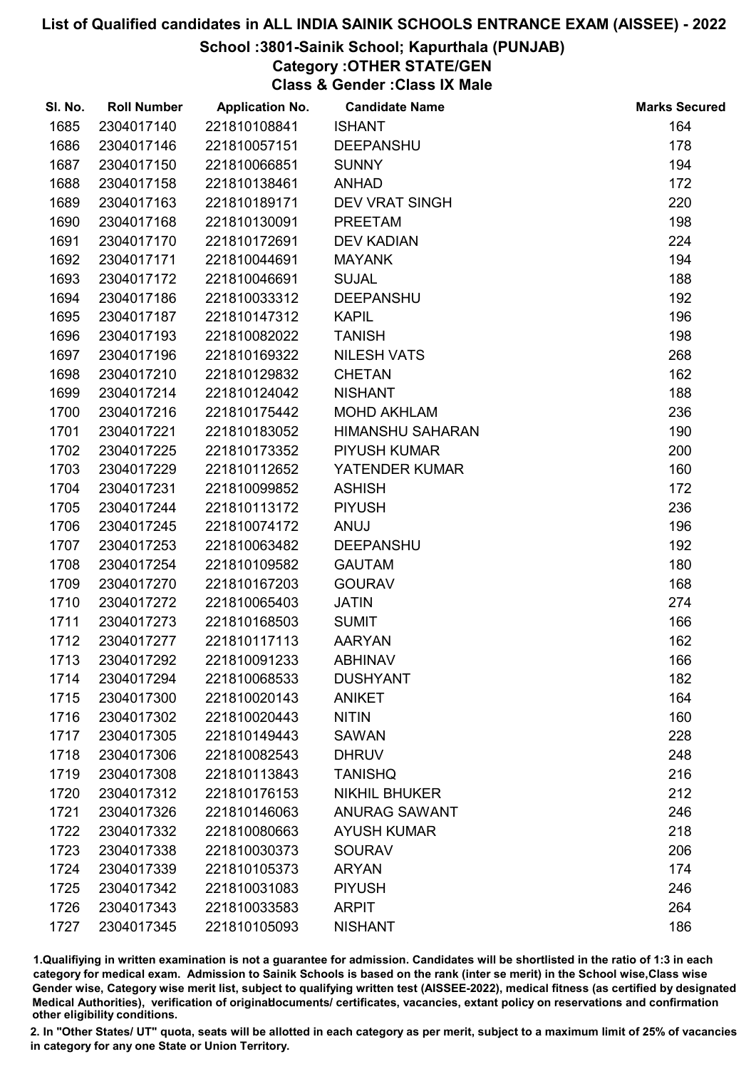## School :3801-Sainik School; Kapurthala (PUNJAB)

# Category :OTHER STATE/GEN

Class & Gender :Class IX Male

| SI. No. | <b>Roll Number</b> | <b>Application No.</b> | <b>Candidate Name</b>   | <b>Marks Secured</b> |
|---------|--------------------|------------------------|-------------------------|----------------------|
| 1685    | 2304017140         | 221810108841           | <b>ISHANT</b>           | 164                  |
| 1686    | 2304017146         | 221810057151           | <b>DEEPANSHU</b>        | 178                  |
| 1687    | 2304017150         | 221810066851           | <b>SUNNY</b>            | 194                  |
| 1688    | 2304017158         | 221810138461           | <b>ANHAD</b>            | 172                  |
| 1689    | 2304017163         | 221810189171           | <b>DEV VRAT SINGH</b>   | 220                  |
| 1690    | 2304017168         | 221810130091           | <b>PREETAM</b>          | 198                  |
| 1691    | 2304017170         | 221810172691           | <b>DEV KADIAN</b>       | 224                  |
| 1692    | 2304017171         | 221810044691           | <b>MAYANK</b>           | 194                  |
| 1693    | 2304017172         | 221810046691           | <b>SUJAL</b>            | 188                  |
| 1694    | 2304017186         | 221810033312           | <b>DEEPANSHU</b>        | 192                  |
| 1695    | 2304017187         | 221810147312           | <b>KAPIL</b>            | 196                  |
| 1696    | 2304017193         | 221810082022           | <b>TANISH</b>           | 198                  |
| 1697    | 2304017196         | 221810169322           | <b>NILESH VATS</b>      | 268                  |
| 1698    | 2304017210         | 221810129832           | <b>CHETAN</b>           | 162                  |
| 1699    | 2304017214         | 221810124042           | <b>NISHANT</b>          | 188                  |
| 1700    | 2304017216         | 221810175442           | <b>MOHD AKHLAM</b>      | 236                  |
| 1701    | 2304017221         | 221810183052           | <b>HIMANSHU SAHARAN</b> | 190                  |
| 1702    | 2304017225         | 221810173352           | <b>PIYUSH KUMAR</b>     | 200                  |
| 1703    | 2304017229         | 221810112652           | YATENDER KUMAR          | 160                  |
| 1704    | 2304017231         | 221810099852           | <b>ASHISH</b>           | 172                  |
| 1705    | 2304017244         | 221810113172           | <b>PIYUSH</b>           | 236                  |
| 1706    | 2304017245         | 221810074172           | ANUJ                    | 196                  |
| 1707    | 2304017253         | 221810063482           | <b>DEEPANSHU</b>        | 192                  |
| 1708    | 2304017254         | 221810109582           | <b>GAUTAM</b>           | 180                  |
| 1709    | 2304017270         | 221810167203           | <b>GOURAV</b>           | 168                  |
| 1710    | 2304017272         | 221810065403           | <b>JATIN</b>            | 274                  |
| 1711    | 2304017273         | 221810168503           | <b>SUMIT</b>            | 166                  |
| 1712    | 2304017277         | 221810117113           | <b>AARYAN</b>           | 162                  |
| 1713    | 2304017292         | 221810091233           | <b>ABHINAV</b>          | 166                  |
| 1714    | 2304017294         | 221810068533           | <b>DUSHYANT</b>         | 182                  |
| 1715    | 2304017300         | 221810020143           | <b>ANIKET</b>           | 164                  |
| 1716    | 2304017302         | 221810020443           | <b>NITIN</b>            | 160                  |
| 1717    | 2304017305         | 221810149443           | <b>SAWAN</b>            | 228                  |
| 1718    | 2304017306         | 221810082543           | <b>DHRUV</b>            | 248                  |
| 1719    | 2304017308         | 221810113843           | <b>TANISHQ</b>          | 216                  |
| 1720    | 2304017312         | 221810176153           | <b>NIKHIL BHUKER</b>    | 212                  |
| 1721    | 2304017326         | 221810146063           | <b>ANURAG SAWANT</b>    | 246                  |
| 1722    | 2304017332         | 221810080663           | <b>AYUSH KUMAR</b>      | 218                  |
| 1723    | 2304017338         | 221810030373           | <b>SOURAV</b>           | 206                  |
| 1724    | 2304017339         | 221810105373           | <b>ARYAN</b>            | 174                  |
| 1725    | 2304017342         | 221810031083           | <b>PIYUSH</b>           | 246                  |
| 1726    | 2304017343         | 221810033583           | <b>ARPIT</b>            | 264                  |
| 1727    | 2304017345         | 221810105093           | <b>NISHANT</b>          | 186                  |

1.Qualifiying in written examination is not a guarantee for admission. Candidates will be shortlisted in the ratio of 1:3 in each category for medical exam. Admission to Sainik Schools is based on the rank (inter se merit) in the School wise,Class wise Gender wise, Category wise merit list, subject to qualifying written test (AISSEE-2022), medical fitness (as certified by designated Medical Authorities), verification of originablocuments/ certificates, vacancies, extant policy on reservations and confirmation other eligibility conditions.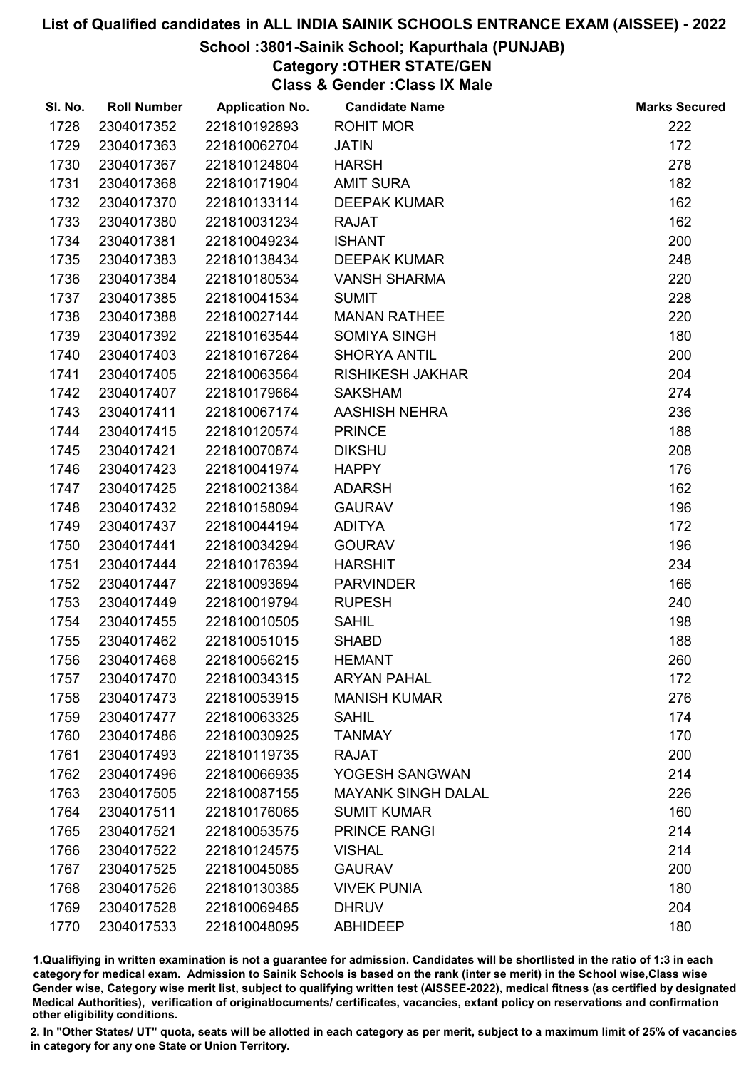#### School :3801-Sainik School; Kapurthala (PUNJAB)

Category :OTHER STATE/GEN

Class & Gender :Class IX Male

| SI. No. | <b>Roll Number</b> | <b>Application No.</b> | <b>Candidate Name</b>     | <b>Marks Secured</b> |
|---------|--------------------|------------------------|---------------------------|----------------------|
| 1728    | 2304017352         | 221810192893           | <b>ROHIT MOR</b>          | 222                  |
| 1729    | 2304017363         | 221810062704           | <b>JATIN</b>              | 172                  |
| 1730    | 2304017367         | 221810124804           | <b>HARSH</b>              | 278                  |
| 1731    | 2304017368         | 221810171904           | <b>AMIT SURA</b>          | 182                  |
| 1732    | 2304017370         | 221810133114           | <b>DEEPAK KUMAR</b>       | 162                  |
| 1733    | 2304017380         | 221810031234           | <b>RAJAT</b>              | 162                  |
| 1734    | 2304017381         | 221810049234           | <b>ISHANT</b>             | 200                  |
| 1735    | 2304017383         | 221810138434           | <b>DEEPAK KUMAR</b>       | 248                  |
| 1736    | 2304017384         | 221810180534           | <b>VANSH SHARMA</b>       | 220                  |
| 1737    | 2304017385         | 221810041534           | <b>SUMIT</b>              | 228                  |
| 1738    | 2304017388         | 221810027144           | <b>MANAN RATHEE</b>       | 220                  |
| 1739    | 2304017392         | 221810163544           | <b>SOMIYA SINGH</b>       | 180                  |
| 1740    | 2304017403         | 221810167264           | <b>SHORYA ANTIL</b>       | 200                  |
| 1741    | 2304017405         | 221810063564           | <b>RISHIKESH JAKHAR</b>   | 204                  |
| 1742    | 2304017407         | 221810179664           | <b>SAKSHAM</b>            | 274                  |
| 1743    | 2304017411         | 221810067174           | <b>AASHISH NEHRA</b>      | 236                  |
| 1744    | 2304017415         | 221810120574           | <b>PRINCE</b>             | 188                  |
| 1745    | 2304017421         | 221810070874           | <b>DIKSHU</b>             | 208                  |
| 1746    | 2304017423         | 221810041974           | <b>HAPPY</b>              | 176                  |
| 1747    | 2304017425         | 221810021384           | <b>ADARSH</b>             | 162                  |
| 1748    | 2304017432         | 221810158094           | <b>GAURAV</b>             | 196                  |
| 1749    | 2304017437         | 221810044194           | <b>ADITYA</b>             | 172                  |
| 1750    | 2304017441         | 221810034294           | <b>GOURAV</b>             | 196                  |
| 1751    | 2304017444         | 221810176394           | <b>HARSHIT</b>            | 234                  |
| 1752    | 2304017447         | 221810093694           | <b>PARVINDER</b>          | 166                  |
| 1753    | 2304017449         | 221810019794           | <b>RUPESH</b>             | 240                  |
| 1754    | 2304017455         | 221810010505           | <b>SAHIL</b>              | 198                  |
| 1755    | 2304017462         | 221810051015           | <b>SHABD</b>              | 188                  |
| 1756    | 2304017468         | 221810056215           | <b>HEMANT</b>             | 260                  |
| 1757    | 2304017470         | 221810034315           | <b>ARYAN PAHAL</b>        | 172                  |
| 1758    | 2304017473         | 221810053915           | <b>MANISH KUMAR</b>       | 276                  |
| 1759    | 2304017477         | 221810063325           | <b>SAHIL</b>              | 174                  |
| 1760    | 2304017486         | 221810030925           | <b>TANMAY</b>             | 170                  |
| 1761    | 2304017493         | 221810119735           | <b>RAJAT</b>              | 200                  |
| 1762    | 2304017496         | 221810066935           | YOGESH SANGWAN            | 214                  |
| 1763    | 2304017505         | 221810087155           | <b>MAYANK SINGH DALAL</b> | 226                  |
| 1764    | 2304017511         | 221810176065           | <b>SUMIT KUMAR</b>        | 160                  |
| 1765    | 2304017521         | 221810053575           | <b>PRINCE RANGI</b>       | 214                  |
| 1766    | 2304017522         | 221810124575           | <b>VISHAL</b>             | 214                  |
| 1767    | 2304017525         | 221810045085           | <b>GAURAV</b>             | 200                  |
| 1768    | 2304017526         | 221810130385           | <b>VIVEK PUNIA</b>        | 180                  |
| 1769    | 2304017528         | 221810069485           | <b>DHRUV</b>              | 204                  |
| 1770    | 2304017533         | 221810048095           | <b>ABHIDEEP</b>           | 180                  |

1.Qualifiying in written examination is not a guarantee for admission. Candidates will be shortlisted in the ratio of 1:3 in each category for medical exam. Admission to Sainik Schools is based on the rank (inter se merit) in the School wise,Class wise Gender wise, Category wise merit list, subject to qualifying written test (AISSEE-2022), medical fitness (as certified by designated Medical Authorities), verification of originablocuments/ certificates, vacancies, extant policy on reservations and confirmation other eligibility conditions.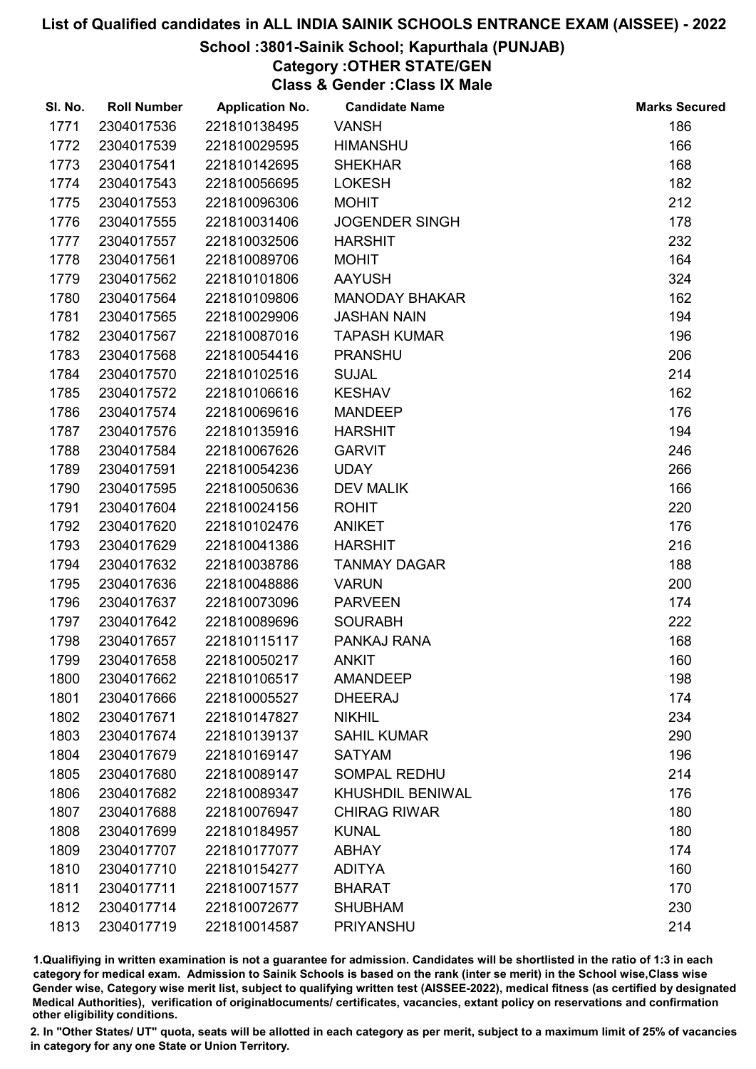## School :3801-Sainik School; Kapurthala (PUNJAB)

Category :OTHER STATE/GEN

Class & Gender :Class IX Male

| SI. No. | <b>Roll Number</b> | <b>Application No.</b> | <b>Candidate Name</b> | <b>Marks Secured</b> |
|---------|--------------------|------------------------|-----------------------|----------------------|
| 1771    | 2304017536         | 221810138495           | <b>VANSH</b>          | 186                  |
| 1772    | 2304017539         | 221810029595           | <b>HIMANSHU</b>       | 166                  |
| 1773    | 2304017541         | 221810142695           | <b>SHEKHAR</b>        | 168                  |
| 1774    | 2304017543         | 221810056695           | <b>LOKESH</b>         | 182                  |
| 1775    | 2304017553         | 221810096306           | <b>MOHIT</b>          | 212                  |
| 1776    | 2304017555         | 221810031406           | <b>JOGENDER SINGH</b> | 178                  |
| 1777    | 2304017557         | 221810032506           | <b>HARSHIT</b>        | 232                  |
| 1778    | 2304017561         | 221810089706           | <b>MOHIT</b>          | 164                  |
| 1779    | 2304017562         | 221810101806           | <b>AAYUSH</b>         | 324                  |
| 1780    | 2304017564         | 221810109806           | <b>MANODAY BHAKAR</b> | 162                  |
| 1781    | 2304017565         | 221810029906           | <b>JASHAN NAIN</b>    | 194                  |
| 1782    | 2304017567         | 221810087016           | <b>TAPASH KUMAR</b>   | 196                  |
| 1783    | 2304017568         | 221810054416           | <b>PRANSHU</b>        | 206                  |
| 1784    | 2304017570         | 221810102516           | <b>SUJAL</b>          | 214                  |
| 1785    | 2304017572         | 221810106616           | <b>KESHAV</b>         | 162                  |
| 1786    | 2304017574         | 221810069616           | <b>MANDEEP</b>        | 176                  |
| 1787    | 2304017576         | 221810135916           | <b>HARSHIT</b>        | 194                  |
| 1788    | 2304017584         | 221810067626           | <b>GARVIT</b>         | 246                  |
| 1789    | 2304017591         | 221810054236           | <b>UDAY</b>           | 266                  |
| 1790    | 2304017595         | 221810050636           | <b>DEV MALIK</b>      | 166                  |
| 1791    | 2304017604         | 221810024156           | <b>ROHIT</b>          | 220                  |
| 1792    | 2304017620         | 221810102476           | <b>ANIKET</b>         | 176                  |
| 1793    | 2304017629         | 221810041386           | <b>HARSHIT</b>        | 216                  |
| 1794    | 2304017632         | 221810038786           | <b>TANMAY DAGAR</b>   | 188                  |
| 1795    | 2304017636         | 221810048886           | <b>VARUN</b>          | 200                  |
| 1796    | 2304017637         | 221810073096           | <b>PARVEEN</b>        | 174                  |
| 1797    | 2304017642         | 221810089696           | <b>SOURABH</b>        | 222                  |
| 1798    | 2304017657         | 221810115117           | PANKAJ RANA           | 168                  |
| 1799    | 2304017658         | 221810050217           | <b>ANKIT</b>          | 160                  |
| 1800    | 2304017662         | 221810106517           | <b>AMANDEEP</b>       | 198                  |
| 1801    | 2304017666         | 221810005527           | <b>DHEERAJ</b>        | 174                  |
| 1802    | 2304017671         | 221810147827           | <b>NIKHIL</b>         | 234                  |
| 1803    | 2304017674         | 221810139137           | <b>SAHIL KUMAR</b>    | 290                  |
| 1804    | 2304017679         | 221810169147           | <b>SATYAM</b>         | 196                  |
| 1805    | 2304017680         | 221810089147           | <b>SOMPAL REDHU</b>   | 214                  |
| 1806    | 2304017682         | 221810089347           | KHUSHDIL BENIWAL      | 176                  |
| 1807    | 2304017688         | 221810076947           | <b>CHIRAG RIWAR</b>   | 180                  |
| 1808    | 2304017699         | 221810184957           | <b>KUNAL</b>          | 180                  |
| 1809    | 2304017707         | 221810177077           | <b>ABHAY</b>          | 174                  |
| 1810    | 2304017710         | 221810154277           | <b>ADITYA</b>         | 160                  |
| 1811    | 2304017711         | 221810071577           | <b>BHARAT</b>         | 170                  |
| 1812    | 2304017714         | 221810072677           | <b>SHUBHAM</b>        | 230                  |
| 1813    | 2304017719         | 221810014587           | PRIYANSHU             | 214                  |

1.Qualifiying in written examination is not a guarantee for admission. Candidates will be shortlisted in the ratio of 1:3 in each category for medical exam. Admission to Sainik Schools is based on the rank (inter se merit) in the School wise,Class wise Gender wise, Category wise merit list, subject to qualifying written test (AISSEE-2022), medical fitness (as certified by designated Medical Authorities), verification of originablocuments/ certificates, vacancies, extant policy on reservations and confirmation other eligibility conditions.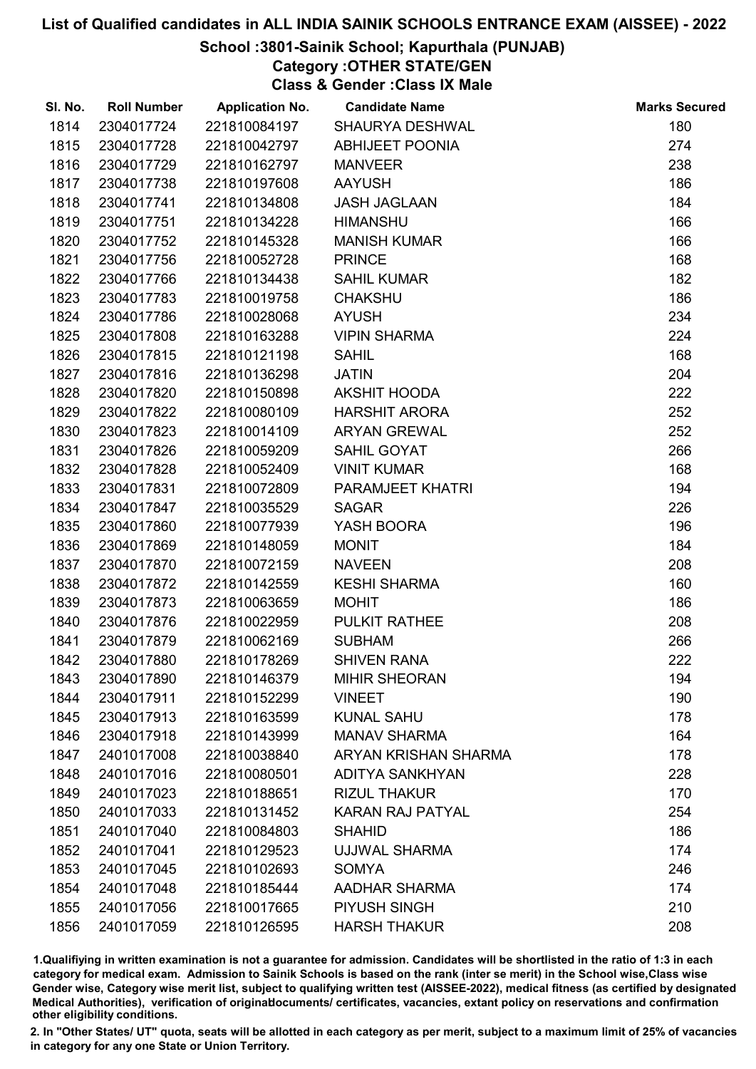## School :3801-Sainik School; Kapurthala (PUNJAB)

Category :OTHER STATE/GEN

Class & Gender :Class IX Male

| SI. No. | <b>Roll Number</b> | <b>Application No.</b> | <b>Candidate Name</b>   | <b>Marks Secured</b> |
|---------|--------------------|------------------------|-------------------------|----------------------|
| 1814    | 2304017724         | 221810084197           | SHAURYA DESHWAL         | 180                  |
| 1815    | 2304017728         | 221810042797           | <b>ABHIJEET POONIA</b>  | 274                  |
| 1816    | 2304017729         | 221810162797           | <b>MANVEER</b>          | 238                  |
| 1817    | 2304017738         | 221810197608           | <b>AAYUSH</b>           | 186                  |
| 1818    | 2304017741         | 221810134808           | <b>JASH JAGLAAN</b>     | 184                  |
| 1819    | 2304017751         | 221810134228           | <b>HIMANSHU</b>         | 166                  |
| 1820    | 2304017752         | 221810145328           | <b>MANISH KUMAR</b>     | 166                  |
| 1821    | 2304017756         | 221810052728           | <b>PRINCE</b>           | 168                  |
| 1822    | 2304017766         | 221810134438           | <b>SAHIL KUMAR</b>      | 182                  |
| 1823    | 2304017783         | 221810019758           | <b>CHAKSHU</b>          | 186                  |
| 1824    | 2304017786         | 221810028068           | <b>AYUSH</b>            | 234                  |
| 1825    | 2304017808         | 221810163288           | <b>VIPIN SHARMA</b>     | 224                  |
| 1826    | 2304017815         | 221810121198           | <b>SAHIL</b>            | 168                  |
| 1827    | 2304017816         | 221810136298           | <b>JATIN</b>            | 204                  |
| 1828    | 2304017820         | 221810150898           | <b>AKSHIT HOODA</b>     | 222                  |
| 1829    | 2304017822         | 221810080109           | <b>HARSHIT ARORA</b>    | 252                  |
| 1830    | 2304017823         | 221810014109           | <b>ARYAN GREWAL</b>     | 252                  |
| 1831    | 2304017826         | 221810059209           | SAHIL GOYAT             | 266                  |
| 1832    | 2304017828         | 221810052409           | <b>VINIT KUMAR</b>      | 168                  |
| 1833    | 2304017831         | 221810072809           | PARAMJEET KHATRI        | 194                  |
| 1834    | 2304017847         | 221810035529           | <b>SAGAR</b>            | 226                  |
| 1835    | 2304017860         | 221810077939           | YASH BOORA              | 196                  |
| 1836    | 2304017869         | 221810148059           | <b>MONIT</b>            | 184                  |
| 1837    | 2304017870         | 221810072159           | <b>NAVEEN</b>           | 208                  |
| 1838    | 2304017872         | 221810142559           | <b>KESHI SHARMA</b>     | 160                  |
| 1839    | 2304017873         | 221810063659           | <b>MOHIT</b>            | 186                  |
| 1840    | 2304017876         | 221810022959           | PULKIT RATHEE           | 208                  |
| 1841    | 2304017879         | 221810062169           | <b>SUBHAM</b>           | 266                  |
| 1842    | 2304017880         | 221810178269           | <b>SHIVEN RANA</b>      | 222                  |
| 1843    | 2304017890         | 221810146379           | <b>MIHIR SHEORAN</b>    | 194                  |
| 1844    | 2304017911         | 221810152299           | <b>VINEET</b>           | 190                  |
| 1845    | 2304017913         | 221810163599           | <b>KUNAL SAHU</b>       | 178                  |
| 1846    | 2304017918         | 221810143999           | <b>MANAV SHARMA</b>     | 164                  |
| 1847    | 2401017008         | 221810038840           | ARYAN KRISHAN SHARMA    | 178                  |
| 1848    | 2401017016         | 221810080501           | <b>ADITYA SANKHYAN</b>  | 228                  |
| 1849    | 2401017023         | 221810188651           | <b>RIZUL THAKUR</b>     | 170                  |
| 1850    | 2401017033         | 221810131452           | <b>KARAN RAJ PATYAL</b> | 254                  |
| 1851    | 2401017040         | 221810084803           | <b>SHAHID</b>           | 186                  |
| 1852    | 2401017041         | 221810129523           | <b>UJJWAL SHARMA</b>    | 174                  |
| 1853    | 2401017045         | 221810102693           | <b>SOMYA</b>            | 246                  |
| 1854    | 2401017048         | 221810185444           | <b>AADHAR SHARMA</b>    | 174                  |
| 1855    | 2401017056         | 221810017665           | PIYUSH SINGH            | 210                  |
| 1856    | 2401017059         | 221810126595           | <b>HARSH THAKUR</b>     | 208                  |

1.Qualifiying in written examination is not a guarantee for admission. Candidates will be shortlisted in the ratio of 1:3 in each category for medical exam. Admission to Sainik Schools is based on the rank (inter se merit) in the School wise,Class wise Gender wise, Category wise merit list, subject to qualifying written test (AISSEE-2022), medical fitness (as certified by designated Medical Authorities), verification of originablocuments/ certificates, vacancies, extant policy on reservations and confirmation other eligibility conditions.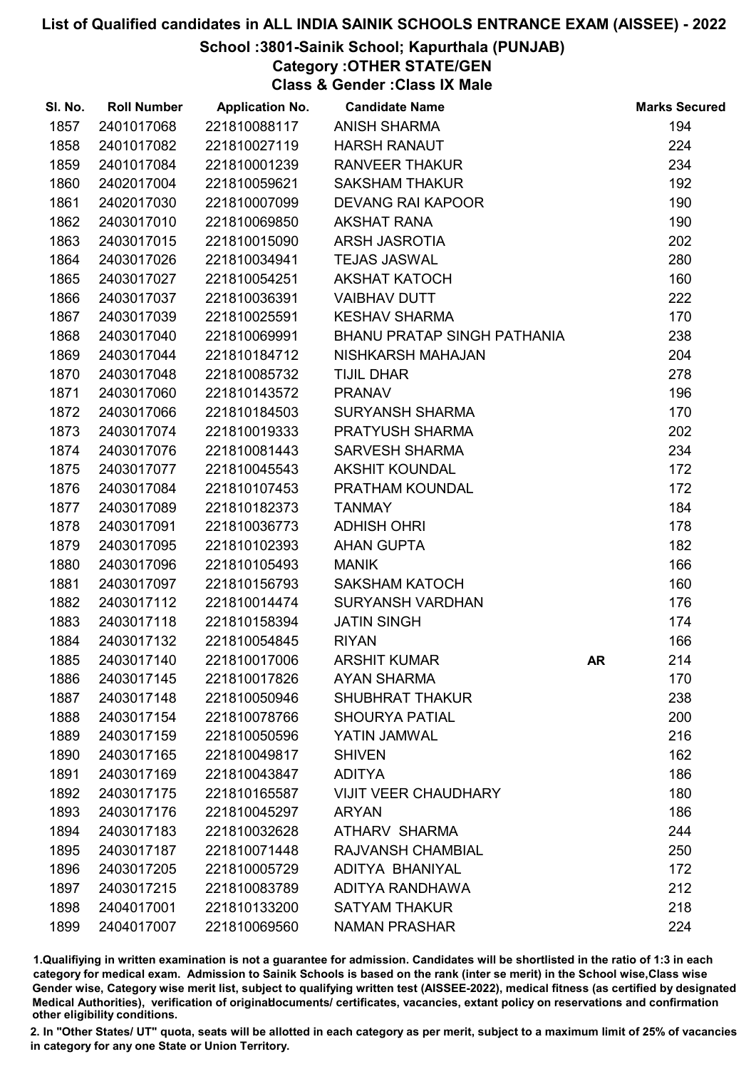## School :3801-Sainik School; Kapurthala (PUNJAB)

Category :OTHER STATE/GEN

Class & Gender :Class IX Male

| SI. No. | <b>Roll Number</b> | <b>Application No.</b> | <b>Candidate Name</b>              |    | <b>Marks Secured</b> |
|---------|--------------------|------------------------|------------------------------------|----|----------------------|
| 1857    | 2401017068         | 221810088117           | <b>ANISH SHARMA</b>                |    | 194                  |
| 1858    | 2401017082         | 221810027119           | <b>HARSH RANAUT</b>                |    | 224                  |
| 1859    | 2401017084         | 221810001239           | <b>RANVEER THAKUR</b>              |    | 234                  |
| 1860    | 2402017004         | 221810059621           | <b>SAKSHAM THAKUR</b>              |    | 192                  |
| 1861    | 2402017030         | 221810007099           | <b>DEVANG RAI KAPOOR</b>           |    | 190                  |
| 1862    | 2403017010         | 221810069850           | <b>AKSHAT RANA</b>                 |    | 190                  |
| 1863    | 2403017015         | 221810015090           | ARSH JASROTIA                      |    | 202                  |
| 1864    | 2403017026         | 221810034941           | <b>TEJAS JASWAL</b>                |    | 280                  |
| 1865    | 2403017027         | 221810054251           | <b>AKSHAT KATOCH</b>               |    | 160                  |
| 1866    | 2403017037         | 221810036391           | <b>VAIBHAV DUTT</b>                |    | 222                  |
| 1867    | 2403017039         | 221810025591           | <b>KESHAV SHARMA</b>               |    | 170                  |
| 1868    | 2403017040         | 221810069991           | <b>BHANU PRATAP SINGH PATHANIA</b> |    | 238                  |
| 1869    | 2403017044         | 221810184712           | NISHKARSH MAHAJAN                  |    | 204                  |
| 1870    | 2403017048         | 221810085732           | <b>TIJIL DHAR</b>                  |    | 278                  |
| 1871    | 2403017060         | 221810143572           | <b>PRANAV</b>                      |    | 196                  |
| 1872    | 2403017066         | 221810184503           | <b>SURYANSH SHARMA</b>             |    | 170                  |
| 1873    | 2403017074         | 221810019333           | PRATYUSH SHARMA                    |    | 202                  |
| 1874    | 2403017076         | 221810081443           | <b>SARVESH SHARMA</b>              |    | 234                  |
| 1875    | 2403017077         | 221810045543           | <b>AKSHIT KOUNDAL</b>              |    | 172                  |
| 1876    | 2403017084         | 221810107453           | PRATHAM KOUNDAL                    |    | 172                  |
| 1877    | 2403017089         | 221810182373           | <b>TANMAY</b>                      |    | 184                  |
| 1878    | 2403017091         | 221810036773           | <b>ADHISH OHRI</b>                 |    | 178                  |
| 1879    | 2403017095         | 221810102393           | <b>AHAN GUPTA</b>                  |    | 182                  |
| 1880    | 2403017096         | 221810105493           | <b>MANIK</b>                       |    | 166                  |
| 1881    | 2403017097         | 221810156793           | <b>SAKSHAM KATOCH</b>              |    | 160                  |
| 1882    | 2403017112         | 221810014474           | <b>SURYANSH VARDHAN</b>            |    | 176                  |
| 1883    | 2403017118         | 221810158394           | <b>JATIN SINGH</b>                 |    | 174                  |
| 1884    | 2403017132         | 221810054845           | <b>RIYAN</b>                       |    | 166                  |
| 1885    | 2403017140         | 221810017006           | <b>ARSHIT KUMAR</b>                | AR | 214                  |
| 1886    | 2403017145         | 221810017826           | <b>AYAN SHARMA</b>                 |    | 170                  |
| 1887    | 2403017148         | 221810050946           | <b>SHUBHRAT THAKUR</b>             |    | 238                  |
| 1888    | 2403017154         | 221810078766           | <b>SHOURYA PATIAL</b>              |    | 200                  |
| 1889    | 2403017159         | 221810050596           | YATIN JAMWAL                       |    | 216                  |
| 1890    | 2403017165         | 221810049817           | <b>SHIVEN</b>                      |    | 162                  |
| 1891    | 2403017169         | 221810043847           | <b>ADITYA</b>                      |    | 186                  |
| 1892    | 2403017175         | 221810165587           | <b>VIJIT VEER CHAUDHARY</b>        |    | 180                  |
| 1893    | 2403017176         | 221810045297           | <b>ARYAN</b>                       |    | 186                  |
| 1894    | 2403017183         | 221810032628           | <b>ATHARV SHARMA</b>               |    | 244                  |
| 1895    | 2403017187         | 221810071448           | <b>RAJVANSH CHAMBIAL</b>           |    | 250                  |
| 1896    | 2403017205         | 221810005729           | ADITYA BHANIYAL                    |    | 172                  |
| 1897    | 2403017215         | 221810083789           | ADITYA RANDHAWA                    |    | 212                  |
| 1898    | 2404017001         | 221810133200           | <b>SATYAM THAKUR</b>               |    | 218                  |
| 1899    | 2404017007         | 221810069560           | <b>NAMAN PRASHAR</b>               |    | 224                  |

1.Qualifiying in written examination is not a guarantee for admission. Candidates will be shortlisted in the ratio of 1:3 in each category for medical exam. Admission to Sainik Schools is based on the rank (inter se merit) in the School wise,Class wise Gender wise, Category wise merit list, subject to qualifying written test (AISSEE-2022), medical fitness (as certified by designated Medical Authorities), verification of originablocuments/ certificates, vacancies, extant policy on reservations and confirmation other eligibility conditions.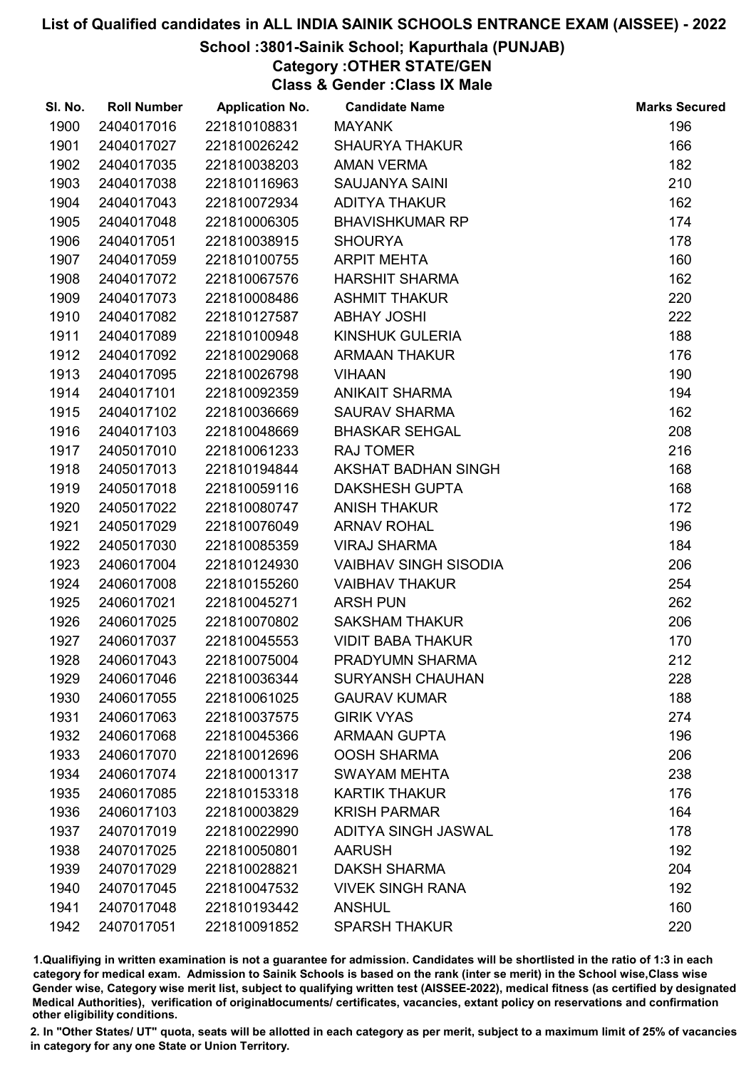## School :3801-Sainik School; Kapurthala (PUNJAB)

Category :OTHER STATE/GEN

Class & Gender :Class IX Male

| SI. No. | <b>Roll Number</b> | <b>Application No.</b> | <b>Candidate Name</b>        | <b>Marks Secured</b> |
|---------|--------------------|------------------------|------------------------------|----------------------|
| 1900    | 2404017016         | 221810108831           | <b>MAYANK</b>                | 196                  |
| 1901    | 2404017027         | 221810026242           | <b>SHAURYA THAKUR</b>        | 166                  |
| 1902    | 2404017035         | 221810038203           | <b>AMAN VERMA</b>            | 182                  |
| 1903    | 2404017038         | 221810116963           | <b>SAUJANYA SAINI</b>        | 210                  |
| 1904    | 2404017043         | 221810072934           | <b>ADITYA THAKUR</b>         | 162                  |
| 1905    | 2404017048         | 221810006305           | <b>BHAVISHKUMAR RP</b>       | 174                  |
| 1906    | 2404017051         | 221810038915           | <b>SHOURYA</b>               | 178                  |
| 1907    | 2404017059         | 221810100755           | <b>ARPIT MEHTA</b>           | 160                  |
| 1908    | 2404017072         | 221810067576           | <b>HARSHIT SHARMA</b>        | 162                  |
| 1909    | 2404017073         | 221810008486           | <b>ASHMIT THAKUR</b>         | 220                  |
| 1910    | 2404017082         | 221810127587           | <b>ABHAY JOSHI</b>           | 222                  |
| 1911    | 2404017089         | 221810100948           | KINSHUK GULERIA              | 188                  |
| 1912    | 2404017092         | 221810029068           | <b>ARMAAN THAKUR</b>         | 176                  |
| 1913    | 2404017095         | 221810026798           | <b>VIHAAN</b>                | 190                  |
| 1914    | 2404017101         | 221810092359           | <b>ANIKAIT SHARMA</b>        | 194                  |
| 1915    | 2404017102         | 221810036669           | <b>SAURAV SHARMA</b>         | 162                  |
| 1916    | 2404017103         | 221810048669           | <b>BHASKAR SEHGAL</b>        | 208                  |
| 1917    | 2405017010         | 221810061233           | <b>RAJ TOMER</b>             | 216                  |
| 1918    | 2405017013         | 221810194844           | AKSHAT BADHAN SINGH          | 168                  |
| 1919    | 2405017018         | 221810059116           | <b>DAKSHESH GUPTA</b>        | 168                  |
| 1920    | 2405017022         | 221810080747           | <b>ANISH THAKUR</b>          | 172                  |
| 1921    | 2405017029         | 221810076049           | <b>ARNAV ROHAL</b>           | 196                  |
| 1922    | 2405017030         | 221810085359           | <b>VIRAJ SHARMA</b>          | 184                  |
| 1923    | 2406017004         | 221810124930           | <b>VAIBHAV SINGH SISODIA</b> | 206                  |
| 1924    | 2406017008         | 221810155260           | <b>VAIBHAV THAKUR</b>        | 254                  |
| 1925    | 2406017021         | 221810045271           | <b>ARSH PUN</b>              | 262                  |
| 1926    | 2406017025         | 221810070802           | <b>SAKSHAM THAKUR</b>        | 206                  |
| 1927    | 2406017037         | 221810045553           | <b>VIDIT BABA THAKUR</b>     | 170                  |
| 1928    | 2406017043         | 221810075004           | PRADYUMN SHARMA              | 212                  |
| 1929    | 2406017046         | 221810036344           | <b>SURYANSH CHAUHAN</b>      | 228                  |
| 1930    | 2406017055         | 221810061025           | <b>GAURAV KUMAR</b>          | 188                  |
| 1931    | 2406017063         | 221810037575           | <b>GIRIK VYAS</b>            | 274                  |
| 1932    | 2406017068         | 221810045366           | <b>ARMAAN GUPTA</b>          | 196                  |
| 1933    | 2406017070         | 221810012696           | <b>OOSH SHARMA</b>           | 206                  |
| 1934    | 2406017074         | 221810001317           | <b>SWAYAM MEHTA</b>          | 238                  |
| 1935    | 2406017085         | 221810153318           | <b>KARTIK THAKUR</b>         | 176                  |
| 1936    | 2406017103         | 221810003829           | <b>KRISH PARMAR</b>          | 164                  |
| 1937    | 2407017019         | 221810022990           | ADITYA SINGH JASWAL          | 178                  |
| 1938    | 2407017025         | 221810050801           | <b>AARUSH</b>                | 192                  |
| 1939    | 2407017029         | 221810028821           | <b>DAKSH SHARMA</b>          | 204                  |
| 1940    | 2407017045         | 221810047532           | <b>VIVEK SINGH RANA</b>      | 192                  |
| 1941    | 2407017048         | 221810193442           | <b>ANSHUL</b>                | 160                  |
| 1942    | 2407017051         | 221810091852           | <b>SPARSH THAKUR</b>         | 220                  |

1.Qualifiying in written examination is not a guarantee for admission. Candidates will be shortlisted in the ratio of 1:3 in each category for medical exam. Admission to Sainik Schools is based on the rank (inter se merit) in the School wise,Class wise Gender wise, Category wise merit list, subject to qualifying written test (AISSEE-2022), medical fitness (as certified by designated Medical Authorities), verification of originablocuments/ certificates, vacancies, extant policy on reservations and confirmation other eligibility conditions.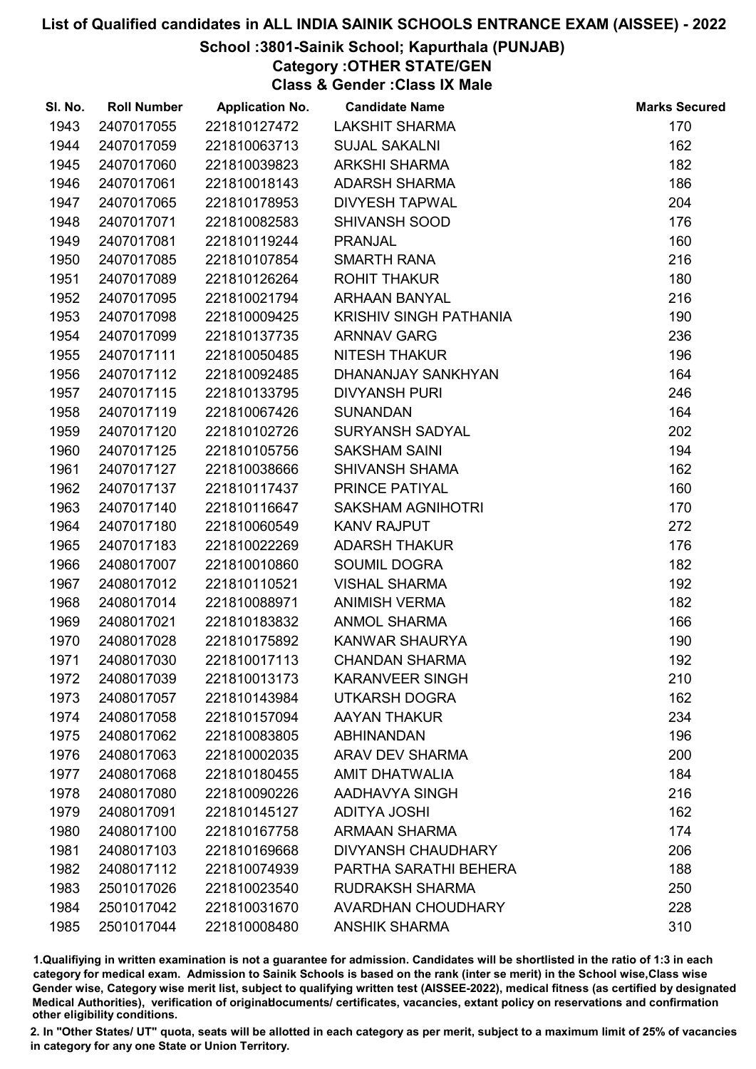## School :3801-Sainik School; Kapurthala (PUNJAB)

Category :OTHER STATE/GEN

Class & Gender :Class IX Male

| SI. No. | <b>Roll Number</b> | <b>Application No.</b> | <b>Candidate Name</b>         | <b>Marks Secured</b> |
|---------|--------------------|------------------------|-------------------------------|----------------------|
| 1943    | 2407017055         | 221810127472           | <b>LAKSHIT SHARMA</b>         | 170                  |
| 1944    | 2407017059         | 221810063713           | <b>SUJAL SAKALNI</b>          | 162                  |
| 1945    | 2407017060         | 221810039823           | <b>ARKSHI SHARMA</b>          | 182                  |
| 1946    | 2407017061         | 221810018143           | <b>ADARSH SHARMA</b>          | 186                  |
| 1947    | 2407017065         | 221810178953           | <b>DIVYESH TAPWAL</b>         | 204                  |
| 1948    | 2407017071         | 221810082583           | <b>SHIVANSH SOOD</b>          | 176                  |
| 1949    | 2407017081         | 221810119244           | <b>PRANJAL</b>                | 160                  |
| 1950    | 2407017085         | 221810107854           | <b>SMARTH RANA</b>            | 216                  |
| 1951    | 2407017089         | 221810126264           | <b>ROHIT THAKUR</b>           | 180                  |
| 1952    | 2407017095         | 221810021794           | <b>ARHAAN BANYAL</b>          | 216                  |
| 1953    | 2407017098         | 221810009425           | <b>KRISHIV SINGH PATHANIA</b> | 190                  |
| 1954    | 2407017099         | 221810137735           | <b>ARNNAV GARG</b>            | 236                  |
| 1955    | 2407017111         | 221810050485           | <b>NITESH THAKUR</b>          | 196                  |
| 1956    | 2407017112         | 221810092485           | DHANANJAY SANKHYAN            | 164                  |
| 1957    | 2407017115         | 221810133795           | <b>DIVYANSH PURI</b>          | 246                  |
| 1958    | 2407017119         | 221810067426           | <b>SUNANDAN</b>               | 164                  |
| 1959    | 2407017120         | 221810102726           | <b>SURYANSH SADYAL</b>        | 202                  |
| 1960    | 2407017125         | 221810105756           | <b>SAKSHAM SAINI</b>          | 194                  |
| 1961    | 2407017127         | 221810038666           | <b>SHIVANSH SHAMA</b>         | 162                  |
| 1962    | 2407017137         | 221810117437           | PRINCE PATIYAL                | 160                  |
| 1963    | 2407017140         | 221810116647           | <b>SAKSHAM AGNIHOTRI</b>      | 170                  |
| 1964    | 2407017180         | 221810060549           | <b>KANV RAJPUT</b>            | 272                  |
| 1965    | 2407017183         | 221810022269           | <b>ADARSH THAKUR</b>          | 176                  |
| 1966    | 2408017007         | 221810010860           | <b>SOUMIL DOGRA</b>           | 182                  |
| 1967    | 2408017012         | 221810110521           | <b>VISHAL SHARMA</b>          | 192                  |
| 1968    | 2408017014         | 221810088971           | <b>ANIMISH VERMA</b>          | 182                  |
| 1969    | 2408017021         | 221810183832           | <b>ANMOL SHARMA</b>           | 166                  |
| 1970    | 2408017028         | 221810175892           | KANWAR SHAURYA                | 190                  |
| 1971    | 2408017030         | 221810017113           | <b>CHANDAN SHARMA</b>         | 192                  |
| 1972    | 2408017039         | 221810013173           | <b>KARANVEER SINGH</b>        | 210                  |
| 1973    | 2408017057         | 221810143984           | UTKARSH DOGRA                 | 162                  |
| 1974    | 2408017058         | 221810157094           | <b>AAYAN THAKUR</b>           | 234                  |
| 1975    | 2408017062         | 221810083805           | <b>ABHINANDAN</b>             | 196                  |
| 1976    | 2408017063         | 221810002035           | <b>ARAV DEV SHARMA</b>        | 200                  |
| 1977    | 2408017068         | 221810180455           | <b>AMIT DHATWALIA</b>         | 184                  |
| 1978    | 2408017080         | 221810090226           | AADHAVYA SINGH                | 216                  |
| 1979    | 2408017091         | 221810145127           | <b>ADITYA JOSHI</b>           | 162                  |
| 1980    | 2408017100         | 221810167758           | <b>ARMAAN SHARMA</b>          | 174                  |
| 1981    | 2408017103         | 221810169668           | <b>DIVYANSH CHAUDHARY</b>     | 206                  |
| 1982    | 2408017112         | 221810074939           | PARTHA SARATHI BEHERA         | 188                  |
| 1983    | 2501017026         | 221810023540           | <b>RUDRAKSH SHARMA</b>        | 250                  |
| 1984    | 2501017042         | 221810031670           | <b>AVARDHAN CHOUDHARY</b>     | 228                  |
| 1985    | 2501017044         | 221810008480           | <b>ANSHIK SHARMA</b>          | 310                  |

1.Qualifiying in written examination is not a guarantee for admission. Candidates will be shortlisted in the ratio of 1:3 in each category for medical exam. Admission to Sainik Schools is based on the rank (inter se merit) in the School wise,Class wise Gender wise, Category wise merit list, subject to qualifying written test (AISSEE-2022), medical fitness (as certified by designated Medical Authorities), verification of originablocuments/ certificates, vacancies, extant policy on reservations and confirmation other eligibility conditions.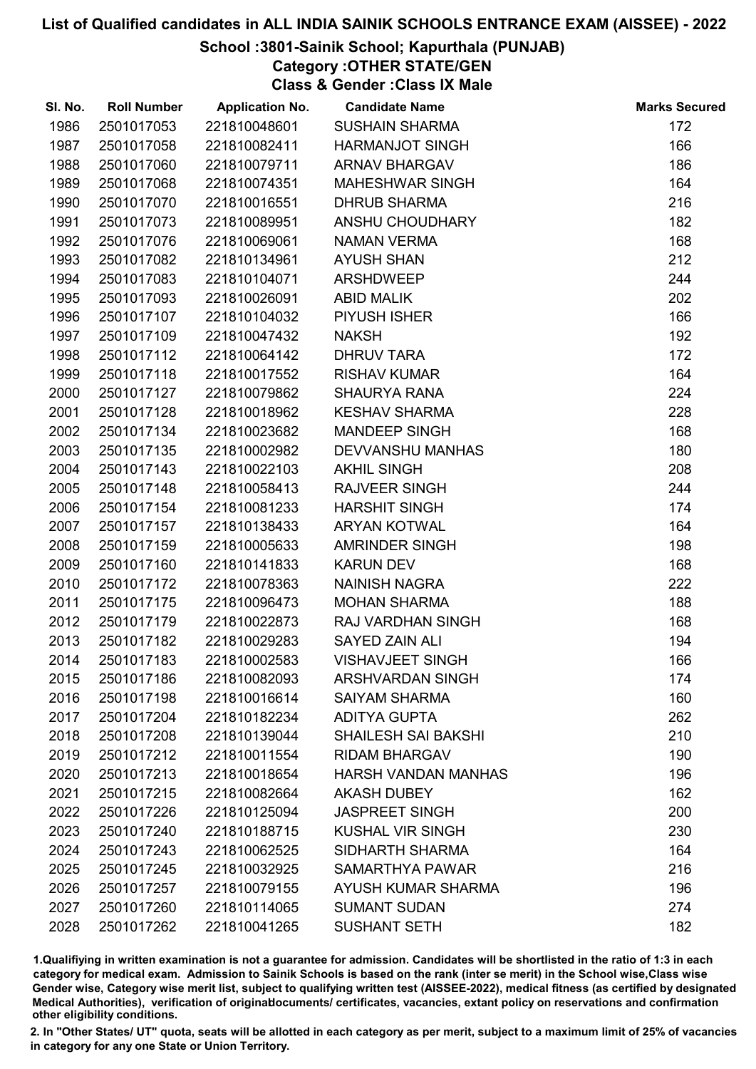## School :3801-Sainik School; Kapurthala (PUNJAB)

Category :OTHER STATE/GEN

Class & Gender :Class IX Male

| SI. No. | <b>Roll Number</b> | <b>Application No.</b> | <b>Candidate Name</b>      | <b>Marks Secured</b> |
|---------|--------------------|------------------------|----------------------------|----------------------|
| 1986    | 2501017053         | 221810048601           | <b>SUSHAIN SHARMA</b>      | 172                  |
| 1987    | 2501017058         | 221810082411           | <b>HARMANJOT SINGH</b>     | 166                  |
| 1988    | 2501017060         | 221810079711           | <b>ARNAV BHARGAV</b>       | 186                  |
| 1989    | 2501017068         | 221810074351           | <b>MAHESHWAR SINGH</b>     | 164                  |
| 1990    | 2501017070         | 221810016551           | <b>DHRUB SHARMA</b>        | 216                  |
| 1991    | 2501017073         | 221810089951           | ANSHU CHOUDHARY            | 182                  |
| 1992    | 2501017076         | 221810069061           | <b>NAMAN VERMA</b>         | 168                  |
| 1993    | 2501017082         | 221810134961           | <b>AYUSH SHAN</b>          | 212                  |
| 1994    | 2501017083         | 221810104071           | <b>ARSHDWEEP</b>           | 244                  |
| 1995    | 2501017093         | 221810026091           | <b>ABID MALIK</b>          | 202                  |
| 1996    | 2501017107         | 221810104032           | PIYUSH ISHER               | 166                  |
| 1997    | 2501017109         | 221810047432           | <b>NAKSH</b>               | 192                  |
| 1998    | 2501017112         | 221810064142           | <b>DHRUV TARA</b>          | 172                  |
| 1999    | 2501017118         | 221810017552           | <b>RISHAV KUMAR</b>        | 164                  |
| 2000    | 2501017127         | 221810079862           | <b>SHAURYA RANA</b>        | 224                  |
| 2001    | 2501017128         | 221810018962           | <b>KESHAV SHARMA</b>       | 228                  |
| 2002    | 2501017134         | 221810023682           | <b>MANDEEP SINGH</b>       | 168                  |
| 2003    | 2501017135         | 221810002982           | <b>DEVVANSHU MANHAS</b>    | 180                  |
| 2004    | 2501017143         | 221810022103           | <b>AKHIL SINGH</b>         | 208                  |
| 2005    | 2501017148         | 221810058413           | <b>RAJVEER SINGH</b>       | 244                  |
| 2006    | 2501017154         | 221810081233           | <b>HARSHIT SINGH</b>       | 174                  |
| 2007    | 2501017157         | 221810138433           | <b>ARYAN KOTWAL</b>        | 164                  |
| 2008    | 2501017159         | 221810005633           | <b>AMRINDER SINGH</b>      | 198                  |
| 2009    | 2501017160         | 221810141833           | <b>KARUN DEV</b>           | 168                  |
| 2010    | 2501017172         | 221810078363           | NAINISH NAGRA              | 222                  |
| 2011    | 2501017175         | 221810096473           | <b>MOHAN SHARMA</b>        | 188                  |
| 2012    | 2501017179         | 221810022873           | RAJ VARDHAN SINGH          | 168                  |
| 2013    | 2501017182         | 221810029283           | <b>SAYED ZAIN ALI</b>      | 194                  |
| 2014    | 2501017183         | 221810002583           | <b>VISHAVJEET SINGH</b>    | 166                  |
| 2015    | 2501017186         | 221810082093           | <b>ARSHVARDAN SINGH</b>    | 174                  |
| 2016    | 2501017198         | 221810016614           | <b>SAIYAM SHARMA</b>       | 160                  |
| 2017    | 2501017204         | 221810182234           | <b>ADITYA GUPTA</b>        | 262                  |
| 2018    | 2501017208         | 221810139044           | <b>SHAILESH SAI BAKSHI</b> | 210                  |
| 2019    | 2501017212         | 221810011554           | <b>RIDAM BHARGAV</b>       | 190                  |
| 2020    | 2501017213         | 221810018654           | <b>HARSH VANDAN MANHAS</b> | 196                  |
| 2021    | 2501017215         | 221810082664           | <b>AKASH DUBEY</b>         | 162                  |
| 2022    | 2501017226         | 221810125094           | <b>JASPREET SINGH</b>      | 200                  |
| 2023    | 2501017240         | 221810188715           | <b>KUSHAL VIR SINGH</b>    | 230                  |
| 2024    | 2501017243         | 221810062525           | SIDHARTH SHARMA            | 164                  |
| 2025    | 2501017245         | 221810032925           | SAMARTHYA PAWAR            | 216                  |
| 2026    | 2501017257         | 221810079155           | AYUSH KUMAR SHARMA         | 196                  |
| 2027    | 2501017260         | 221810114065           | <b>SUMANT SUDAN</b>        | 274                  |
| 2028    | 2501017262         | 221810041265           | <b>SUSHANT SETH</b>        | 182                  |

1.Qualifiying in written examination is not a guarantee for admission. Candidates will be shortlisted in the ratio of 1:3 in each category for medical exam. Admission to Sainik Schools is based on the rank (inter se merit) in the School wise,Class wise Gender wise, Category wise merit list, subject to qualifying written test (AISSEE-2022), medical fitness (as certified by designated Medical Authorities), verification of originablocuments/ certificates, vacancies, extant policy on reservations and confirmation other eligibility conditions.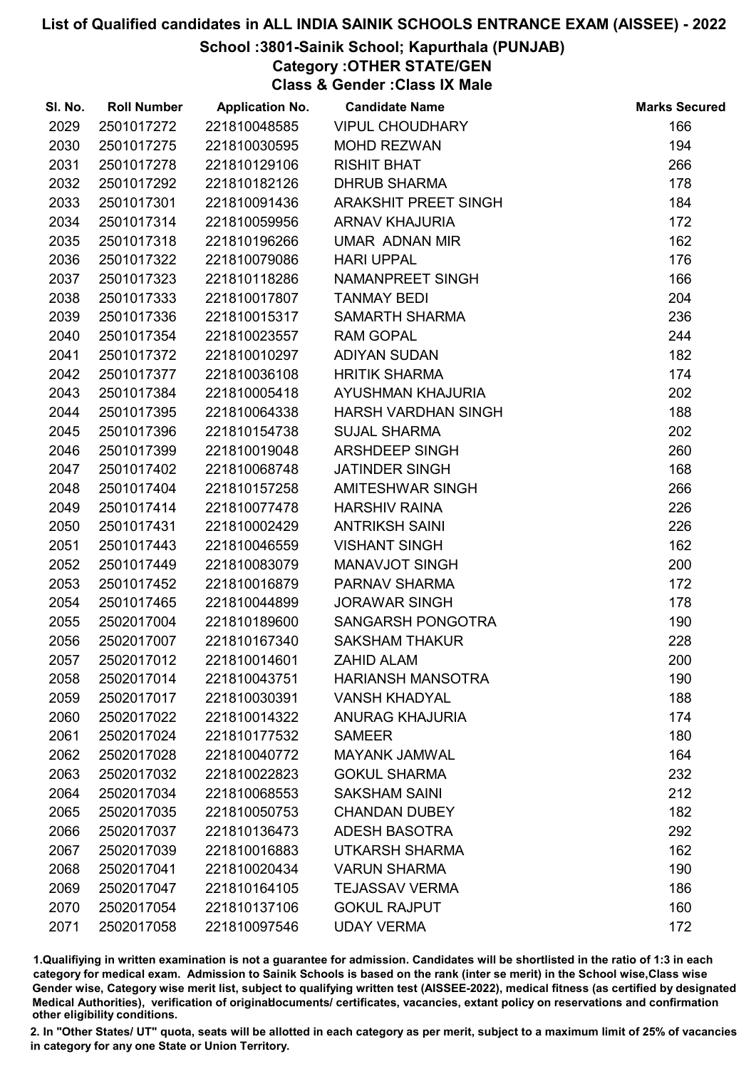## School :3801-Sainik School; Kapurthala (PUNJAB)

Category :OTHER STATE/GEN

Class & Gender :Class IX Male

| SI. No. | <b>Roll Number</b> | <b>Application No.</b> | <b>Candidate Name</b>      | <b>Marks Secured</b> |
|---------|--------------------|------------------------|----------------------------|----------------------|
| 2029    | 2501017272         | 221810048585           | <b>VIPUL CHOUDHARY</b>     | 166                  |
| 2030    | 2501017275         | 221810030595           | <b>MOHD REZWAN</b>         | 194                  |
| 2031    | 2501017278         | 221810129106           | <b>RISHIT BHAT</b>         | 266                  |
| 2032    | 2501017292         | 221810182126           | <b>DHRUB SHARMA</b>        | 178                  |
| 2033    | 2501017301         | 221810091436           | ARAKSHIT PREET SINGH       | 184                  |
| 2034    | 2501017314         | 221810059956           | <b>ARNAV KHAJURIA</b>      | 172                  |
| 2035    | 2501017318         | 221810196266           | <b>UMAR ADNAN MIR</b>      | 162                  |
| 2036    | 2501017322         | 221810079086           | <b>HARI UPPAL</b>          | 176                  |
| 2037    | 2501017323         | 221810118286           | NAMANPREET SINGH           | 166                  |
| 2038    | 2501017333         | 221810017807           | <b>TANMAY BEDI</b>         | 204                  |
| 2039    | 2501017336         | 221810015317           | <b>SAMARTH SHARMA</b>      | 236                  |
| 2040    | 2501017354         | 221810023557           | <b>RAM GOPAL</b>           | 244                  |
| 2041    | 2501017372         | 221810010297           | <b>ADIYAN SUDAN</b>        | 182                  |
| 2042    | 2501017377         | 221810036108           | <b>HRITIK SHARMA</b>       | 174                  |
| 2043    | 2501017384         | 221810005418           | AYUSHMAN KHAJURIA          | 202                  |
| 2044    | 2501017395         | 221810064338           | <b>HARSH VARDHAN SINGH</b> | 188                  |
| 2045    | 2501017396         | 221810154738           | <b>SUJAL SHARMA</b>        | 202                  |
| 2046    | 2501017399         | 221810019048           | ARSHDEEP SINGH             | 260                  |
| 2047    | 2501017402         | 221810068748           | <b>JATINDER SINGH</b>      | 168                  |
| 2048    | 2501017404         | 221810157258           | AMITESHWAR SINGH           | 266                  |
| 2049    | 2501017414         | 221810077478           | <b>HARSHIV RAINA</b>       | 226                  |
| 2050    | 2501017431         | 221810002429           | <b>ANTRIKSH SAINI</b>      | 226                  |
| 2051    | 2501017443         | 221810046559           | <b>VISHANT SINGH</b>       | 162                  |
| 2052    | 2501017449         | 221810083079           | <b>MANAVJOT SINGH</b>      | 200                  |
| 2053    | 2501017452         | 221810016879           | PARNAV SHARMA              | 172                  |
| 2054    | 2501017465         | 221810044899           | <b>JORAWAR SINGH</b>       | 178                  |
| 2055    | 2502017004         | 221810189600           | SANGARSH PONGOTRA          | 190                  |
| 2056    | 2502017007         | 221810167340           | <b>SAKSHAM THAKUR</b>      | 228                  |
| 2057    | 2502017012         | 221810014601           | <b>ZAHID ALAM</b>          | 200                  |
| 2058    | 2502017014         | 221810043751           | <b>HARIANSH MANSOTRA</b>   | 190                  |
| 2059    | 2502017017         | 221810030391           | <b>VANSH KHADYAL</b>       | 188                  |
| 2060    | 2502017022         | 221810014322           | <b>ANURAG KHAJURIA</b>     | 174                  |
| 2061    | 2502017024         | 221810177532           | <b>SAMEER</b>              | 180                  |
| 2062    | 2502017028         | 221810040772           | <b>MAYANK JAMWAL</b>       | 164                  |
| 2063    | 2502017032         | 221810022823           | <b>GOKUL SHARMA</b>        | 232                  |
| 2064    | 2502017034         | 221810068553           | <b>SAKSHAM SAINI</b>       | 212                  |
| 2065    | 2502017035         | 221810050753           | <b>CHANDAN DUBEY</b>       | 182                  |
| 2066    | 2502017037         | 221810136473           | <b>ADESH BASOTRA</b>       | 292                  |
| 2067    | 2502017039         | 221810016883           | UTKARSH SHARMA             | 162                  |
| 2068    | 2502017041         | 221810020434           | <b>VARUN SHARMA</b>        | 190                  |
| 2069    | 2502017047         | 221810164105           | <b>TEJASSAV VERMA</b>      | 186                  |
| 2070    | 2502017054         | 221810137106           | <b>GOKUL RAJPUT</b>        | 160                  |
| 2071    | 2502017058         | 221810097546           | <b>UDAY VERMA</b>          | 172                  |

1.Qualifiying in written examination is not a guarantee for admission. Candidates will be shortlisted in the ratio of 1:3 in each category for medical exam. Admission to Sainik Schools is based on the rank (inter se merit) in the School wise,Class wise Gender wise, Category wise merit list, subject to qualifying written test (AISSEE-2022), medical fitness (as certified by designated Medical Authorities), verification of originablocuments/ certificates, vacancies, extant policy on reservations and confirmation other eligibility conditions.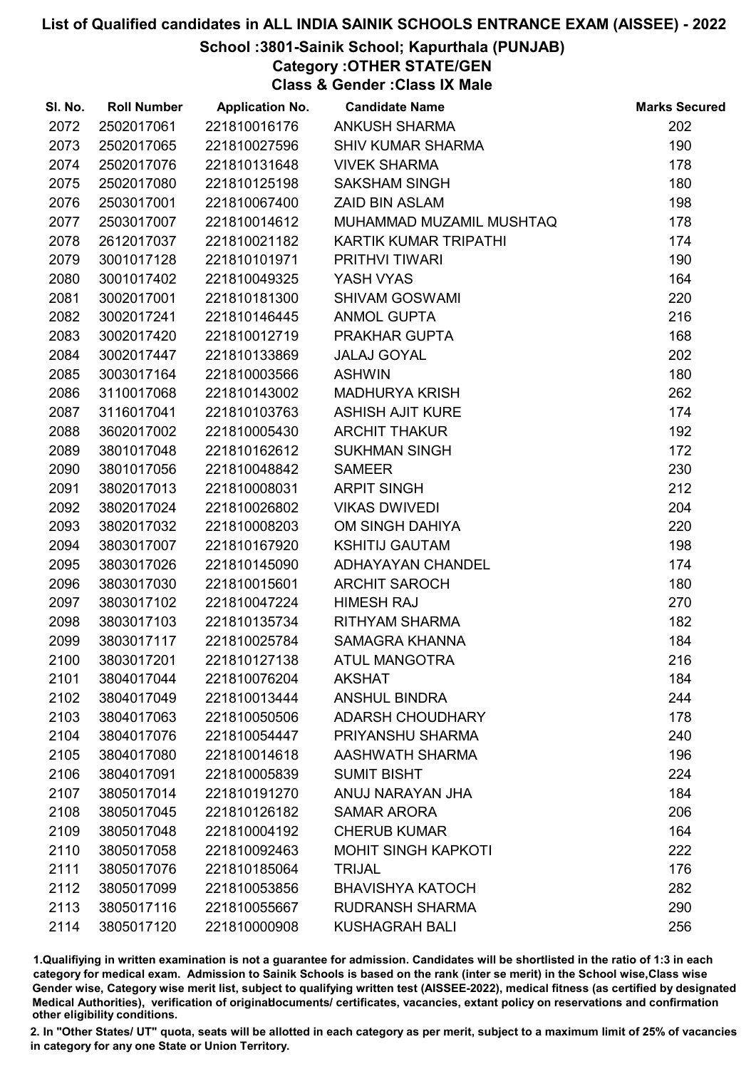## School :3801-Sainik School; Kapurthala (PUNJAB)

Category :OTHER STATE/GEN

Class & Gender :Class IX Male

| SI. No. | <b>Roll Number</b> | <b>Application No.</b> | <b>Candidate Name</b>      | <b>Marks Secured</b> |
|---------|--------------------|------------------------|----------------------------|----------------------|
| 2072    | 2502017061         | 221810016176           | <b>ANKUSH SHARMA</b>       | 202                  |
| 2073    | 2502017065         | 221810027596           | <b>SHIV KUMAR SHARMA</b>   | 190                  |
| 2074    | 2502017076         | 221810131648           | <b>VIVEK SHARMA</b>        | 178                  |
| 2075    | 2502017080         | 221810125198           | <b>SAKSHAM SINGH</b>       | 180                  |
| 2076    | 2503017001         | 221810067400           | <b>ZAID BIN ASLAM</b>      | 198                  |
| 2077    | 2503017007         | 221810014612           | MUHAMMAD MUZAMIL MUSHTAQ   | 178                  |
| 2078    | 2612017037         | 221810021182           | KARTIK KUMAR TRIPATHI      | 174                  |
| 2079    | 3001017128         | 221810101971           | PRITHVI TIWARI             | 190                  |
| 2080    | 3001017402         | 221810049325           | YASH VYAS                  | 164                  |
| 2081    | 3002017001         | 221810181300           | <b>SHIVAM GOSWAMI</b>      | 220                  |
| 2082    | 3002017241         | 221810146445           | <b>ANMOL GUPTA</b>         | 216                  |
| 2083    | 3002017420         | 221810012719           | PRAKHAR GUPTA              | 168                  |
| 2084    | 3002017447         | 221810133869           | <b>JALAJ GOYAL</b>         | 202                  |
| 2085    | 3003017164         | 221810003566           | <b>ASHWIN</b>              | 180                  |
| 2086    | 3110017068         | 221810143002           | <b>MADHURYA KRISH</b>      | 262                  |
| 2087    | 3116017041         | 221810103763           | <b>ASHISH AJIT KURE</b>    | 174                  |
| 2088    | 3602017002         | 221810005430           | <b>ARCHIT THAKUR</b>       | 192                  |
| 2089    | 3801017048         | 221810162612           | <b>SUKHMAN SINGH</b>       | 172                  |
| 2090    | 3801017056         | 221810048842           | <b>SAMEER</b>              | 230                  |
| 2091    | 3802017013         | 221810008031           | <b>ARPIT SINGH</b>         | 212                  |
| 2092    | 3802017024         | 221810026802           | <b>VIKAS DWIVEDI</b>       | 204                  |
| 2093    | 3802017032         | 221810008203           | OM SINGH DAHIYA            | 220                  |
| 2094    | 3803017007         | 221810167920           | <b>KSHITIJ GAUTAM</b>      | 198                  |
| 2095    | 3803017026         | 221810145090           | ADHAYAYAN CHANDEL          | 174                  |
| 2096    | 3803017030         | 221810015601           | <b>ARCHIT SAROCH</b>       | 180                  |
| 2097    | 3803017102         | 221810047224           | <b>HIMESH RAJ</b>          | 270                  |
| 2098    | 3803017103         | 221810135734           | RITHYAM SHARMA             | 182                  |
| 2099    | 3803017117         | 221810025784           | SAMAGRA KHANNA             | 184                  |
| 2100    | 3803017201         | 221810127138           | <b>ATUL MANGOTRA</b>       | 216                  |
| 2101    | 3804017044         | 221810076204           | <b>AKSHAT</b>              | 184                  |
| 2102    | 3804017049         | 221810013444           | <b>ANSHUL BINDRA</b>       | 244                  |
| 2103    | 3804017063         | 221810050506           | <b>ADARSH CHOUDHARY</b>    | 178                  |
| 2104    | 3804017076         | 221810054447           | PRIYANSHU SHARMA           | 240                  |
| 2105    | 3804017080         | 221810014618           | AASHWATH SHARMA            | 196                  |
| 2106    | 3804017091         | 221810005839           | <b>SUMIT BISHT</b>         | 224                  |
| 2107    | 3805017014         | 221810191270           | ANUJ NARAYAN JHA           | 184                  |
| 2108    | 3805017045         | 221810126182           | <b>SAMAR ARORA</b>         | 206                  |
| 2109    | 3805017048         | 221810004192           | <b>CHERUB KUMAR</b>        | 164                  |
| 2110    | 3805017058         | 221810092463           | <b>MOHIT SINGH KAPKOTI</b> | 222                  |
| 2111    | 3805017076         | 221810185064           | <b>TRIJAL</b>              | 176                  |
| 2112    | 3805017099         | 221810053856           | <b>BHAVISHYA KATOCH</b>    | 282                  |
| 2113    | 3805017116         | 221810055667           | <b>RUDRANSH SHARMA</b>     | 290                  |
| 2114    | 3805017120         | 221810000908           | <b>KUSHAGRAH BALI</b>      | 256                  |

1.Qualifiying in written examination is not a guarantee for admission. Candidates will be shortlisted in the ratio of 1:3 in each category for medical exam. Admission to Sainik Schools is based on the rank (inter se merit) in the School wise,Class wise Gender wise, Category wise merit list, subject to qualifying written test (AISSEE-2022), medical fitness (as certified by designated Medical Authorities), verification of originablocuments/ certificates, vacancies, extant policy on reservations and confirmation other eligibility conditions.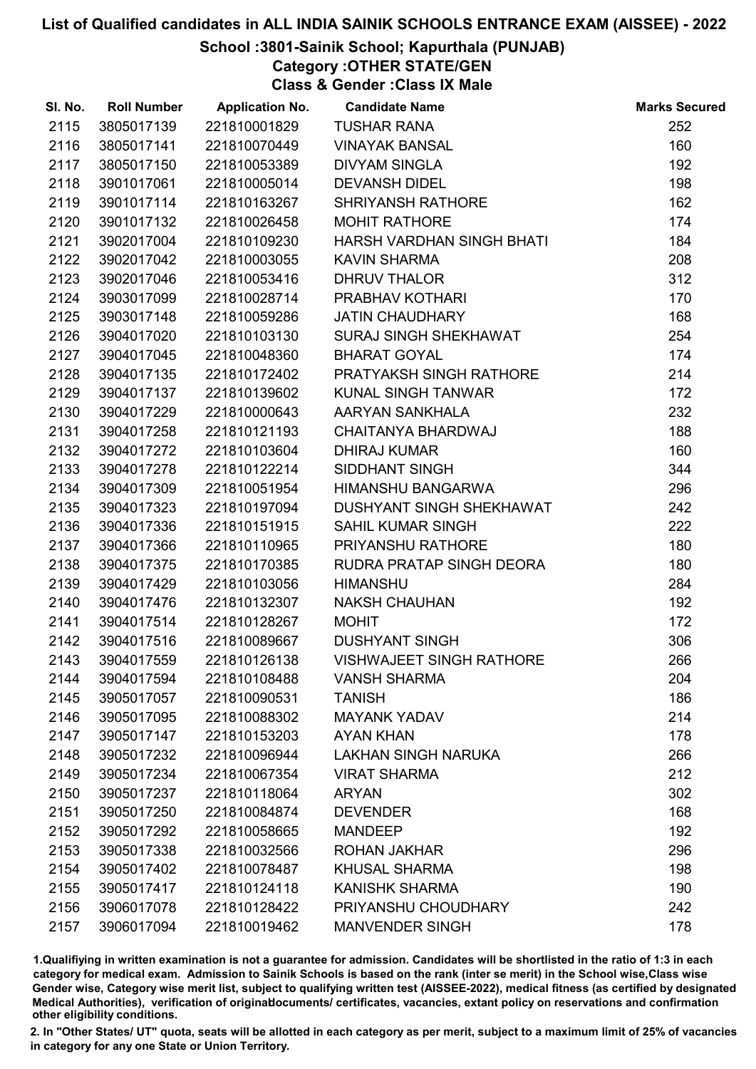## School :3801-Sainik School; Kapurthala (PUNJAB)

Category :OTHER STATE/GEN

Class & Gender :Class IX Male

| 2115<br>3805017139<br>221810001829<br><b>TUSHAR RANA</b><br>2116<br>3805017141<br>221810070449<br><b>VINAYAK BANSAL</b><br>2117<br>3805017150<br>221810053389<br><b>DIVYAM SINGLA</b><br>2118<br><b>DEVANSH DIDEL</b><br>3901017061<br>221810005014<br>2119<br>SHRIYANSH RATHORE<br>3901017114<br>221810163267<br>2120<br><b>MOHIT RATHORE</b><br>3901017132<br>221810026458<br>2121<br>HARSH VARDHAN SINGH BHATI<br>3902017004<br>221810109230 | 252<br>160<br>192<br>198<br>162<br>174 |
|-------------------------------------------------------------------------------------------------------------------------------------------------------------------------------------------------------------------------------------------------------------------------------------------------------------------------------------------------------------------------------------------------------------------------------------------------|----------------------------------------|
|                                                                                                                                                                                                                                                                                                                                                                                                                                                 |                                        |
|                                                                                                                                                                                                                                                                                                                                                                                                                                                 |                                        |
|                                                                                                                                                                                                                                                                                                                                                                                                                                                 |                                        |
|                                                                                                                                                                                                                                                                                                                                                                                                                                                 |                                        |
|                                                                                                                                                                                                                                                                                                                                                                                                                                                 |                                        |
|                                                                                                                                                                                                                                                                                                                                                                                                                                                 |                                        |
|                                                                                                                                                                                                                                                                                                                                                                                                                                                 | 184                                    |
| 2122<br>3902017042<br>221810003055<br><b>KAVIN SHARMA</b>                                                                                                                                                                                                                                                                                                                                                                                       | 208                                    |
| 2123<br>3902017046<br>221810053416<br><b>DHRUV THALOR</b>                                                                                                                                                                                                                                                                                                                                                                                       | 312                                    |
| 2124<br>3903017099<br>221810028714<br>PRABHAV KOTHARI                                                                                                                                                                                                                                                                                                                                                                                           | 170                                    |
| 2125<br>3903017148<br>221810059286<br><b>JATIN CHAUDHARY</b>                                                                                                                                                                                                                                                                                                                                                                                    | 168                                    |
| 2126<br>3904017020<br>221810103130<br>SURAJ SINGH SHEKHAWAT                                                                                                                                                                                                                                                                                                                                                                                     | 254                                    |
| 2127<br>3904017045<br>221810048360<br><b>BHARAT GOYAL</b>                                                                                                                                                                                                                                                                                                                                                                                       | 174                                    |
| 2128<br>PRATYAKSH SINGH RATHORE<br>3904017135<br>221810172402                                                                                                                                                                                                                                                                                                                                                                                   | 214                                    |
| 2129<br>221810139602<br>3904017137<br><b>KUNAL SINGH TANWAR</b>                                                                                                                                                                                                                                                                                                                                                                                 | 172                                    |
| 2130<br>3904017229<br>221810000643<br>AARYAN SANKHALA                                                                                                                                                                                                                                                                                                                                                                                           | 232                                    |
| 2131<br>3904017258<br>221810121193<br>CHAITANYA BHARDWAJ                                                                                                                                                                                                                                                                                                                                                                                        | 188                                    |
| 2132<br>3904017272<br>221810103604<br><b>DHIRAJ KUMAR</b>                                                                                                                                                                                                                                                                                                                                                                                       | 160                                    |
| 2133<br>3904017278<br>221810122214<br><b>SIDDHANT SINGH</b>                                                                                                                                                                                                                                                                                                                                                                                     | 344                                    |
| 2134<br>3904017309<br>221810051954<br><b>HIMANSHU BANGARWA</b>                                                                                                                                                                                                                                                                                                                                                                                  | 296                                    |
| 2135<br>DUSHYANT SINGH SHEKHAWAT<br>3904017323<br>221810197094                                                                                                                                                                                                                                                                                                                                                                                  | 242                                    |
| 2136<br><b>SAHIL KUMAR SINGH</b><br>3904017336<br>221810151915                                                                                                                                                                                                                                                                                                                                                                                  | 222                                    |
| 2137<br>PRIYANSHU RATHORE<br>3904017366<br>221810110965                                                                                                                                                                                                                                                                                                                                                                                         | 180                                    |
| 2138<br>3904017375<br>221810170385<br>RUDRA PRATAP SINGH DEORA                                                                                                                                                                                                                                                                                                                                                                                  | 180                                    |
| 2139<br>3904017429<br>221810103056<br><b>HIMANSHU</b>                                                                                                                                                                                                                                                                                                                                                                                           | 284                                    |
| <b>NAKSH CHAUHAN</b><br>2140<br>3904017476<br>221810132307                                                                                                                                                                                                                                                                                                                                                                                      | 192                                    |
| 2141<br>3904017514<br>221810128267<br><b>MOHIT</b>                                                                                                                                                                                                                                                                                                                                                                                              | 172                                    |
| 2142<br>3904017516<br>221810089667<br><b>DUSHYANT SINGH</b>                                                                                                                                                                                                                                                                                                                                                                                     | 306                                    |
| 2143<br><b>VISHWAJEET SINGH RATHORE</b><br>3904017559<br>221810126138                                                                                                                                                                                                                                                                                                                                                                           | 266                                    |
| 2144<br><b>VANSH SHARMA</b><br>3904017594<br>221810108488                                                                                                                                                                                                                                                                                                                                                                                       | 204                                    |
| 2145<br>3905017057<br><b>TANISH</b><br>221810090531                                                                                                                                                                                                                                                                                                                                                                                             | 186                                    |
| 2146<br>3905017095<br>221810088302<br><b>MAYANK YADAV</b>                                                                                                                                                                                                                                                                                                                                                                                       | 214                                    |
| 2147<br>3905017147<br>221810153203<br><b>AYAN KHAN</b>                                                                                                                                                                                                                                                                                                                                                                                          | 178                                    |
| 2148<br>221810096944<br><b>LAKHAN SINGH NARUKA</b><br>3905017232                                                                                                                                                                                                                                                                                                                                                                                | 266                                    |
| 2149<br>3905017234<br>221810067354<br><b>VIRAT SHARMA</b>                                                                                                                                                                                                                                                                                                                                                                                       | 212                                    |
| 2150<br>3905017237<br>221810118064<br><b>ARYAN</b>                                                                                                                                                                                                                                                                                                                                                                                              | 302                                    |
| 2151<br>3905017250<br>221810084874<br><b>DEVENDER</b>                                                                                                                                                                                                                                                                                                                                                                                           | 168                                    |
| 2152<br><b>MANDEEP</b><br>3905017292<br>221810058665                                                                                                                                                                                                                                                                                                                                                                                            | 192                                    |
| 2153<br>3905017338<br>221810032566<br><b>ROHAN JAKHAR</b>                                                                                                                                                                                                                                                                                                                                                                                       | 296                                    |
| 2154<br>3905017402<br>221810078487<br><b>KHUSAL SHARMA</b>                                                                                                                                                                                                                                                                                                                                                                                      | 198                                    |
| 2155<br>3905017417<br>221810124118<br><b>KANISHK SHARMA</b>                                                                                                                                                                                                                                                                                                                                                                                     | 190                                    |
| 2156<br>PRIYANSHU CHOUDHARY<br>3906017078<br>221810128422                                                                                                                                                                                                                                                                                                                                                                                       | 242                                    |
| 2157<br>3906017094<br>221810019462<br><b>MANVENDER SINGH</b>                                                                                                                                                                                                                                                                                                                                                                                    | 178                                    |

1.Qualifiying in written examination is not a guarantee for admission. Candidates will be shortlisted in the ratio of 1:3 in each category for medical exam. Admission to Sainik Schools is based on the rank (inter se merit) in the School wise,Class wise Gender wise, Category wise merit list, subject to qualifying written test (AISSEE-2022), medical fitness (as certified by designated Medical Authorities), verification of originablocuments/ certificates, vacancies, extant policy on reservations and confirmation other eligibility conditions.